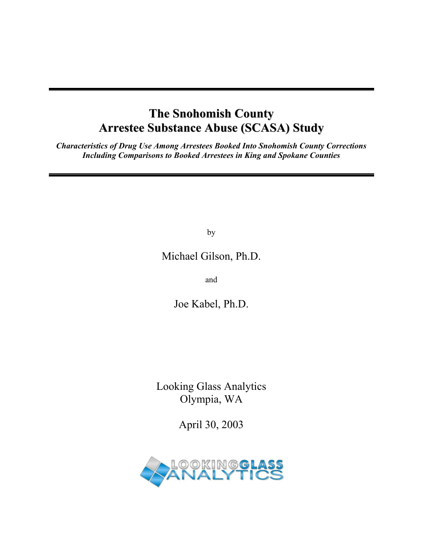## **The Snohomish County Arrestee Substance Abuse (SCASA) Study**

*Characteristics of Drug Use Among Arrestees Booked Into Snohomish County Corrections Including Comparisons to Booked Arrestees in King and Spokane Counties* 

by

Michael Gilson, Ph.D.

and

Joe Kabel, Ph.D.

Looking Glass Analytics Olympia, WA

April 30, 2003

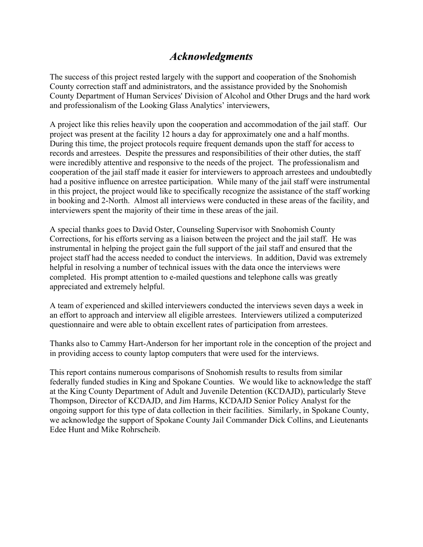## *Acknowledgments*

The success of this project rested largely with the support and cooperation of the Snohomish County correction staff and administrators, and the assistance provided by the Snohomish County Department of Human Services' Division of Alcohol and Other Drugs and the hard work and professionalism of the Looking Glass Analytics' interviewers,

A project like this relies heavily upon the cooperation and accommodation of the jail staff. Our project was present at the facility 12 hours a day for approximately one and a half months. During this time, the project protocols require frequent demands upon the staff for access to records and arrestees. Despite the pressures and responsibilities of their other duties, the staff were incredibly attentive and responsive to the needs of the project. The professionalism and cooperation of the jail staff made it easier for interviewers to approach arrestees and undoubtedly had a positive influence on arrestee participation. While many of the jail staff were instrumental in this project, the project would like to specifically recognize the assistance of the staff working in booking and 2-North. Almost all interviews were conducted in these areas of the facility, and interviewers spent the majority of their time in these areas of the jail.

A special thanks goes to David Oster, Counseling Supervisor with Snohomish County Corrections, for his efforts serving as a liaison between the project and the jail staff. He was instrumental in helping the project gain the full support of the jail staff and ensured that the project staff had the access needed to conduct the interviews. In addition, David was extremely helpful in resolving a number of technical issues with the data once the interviews were completed. His prompt attention to e-mailed questions and telephone calls was greatly appreciated and extremely helpful.

A team of experienced and skilled interviewers conducted the interviews seven days a week in an effort to approach and interview all eligible arrestees. Interviewers utilized a computerized questionnaire and were able to obtain excellent rates of participation from arrestees.

Thanks also to Cammy Hart-Anderson for her important role in the conception of the project and in providing access to county laptop computers that were used for the interviews.

This report contains numerous comparisons of Snohomish results to results from similar federally funded studies in King and Spokane Counties. We would like to acknowledge the staff at the King County Department of Adult and Juvenile Detention (KCDAJD), particularly Steve Thompson, Director of KCDAJD, and Jim Harms, KCDAJD Senior Policy Analyst for the ongoing support for this type of data collection in their facilities. Similarly, in Spokane County, we acknowledge the support of Spokane County Jail Commander Dick Collins, and Lieutenants Edee Hunt and Mike Rohrscheib.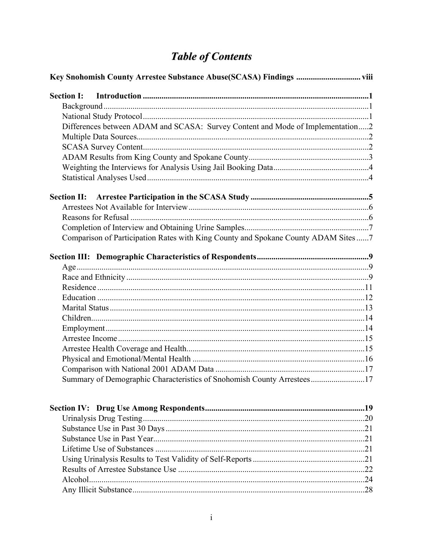# **Table of Contents**

| Differences between ADAM and SCASA: Survey Content and Mode of Implementation2     |  |  |
|------------------------------------------------------------------------------------|--|--|
|                                                                                    |  |  |
|                                                                                    |  |  |
|                                                                                    |  |  |
|                                                                                    |  |  |
|                                                                                    |  |  |
|                                                                                    |  |  |
|                                                                                    |  |  |
|                                                                                    |  |  |
|                                                                                    |  |  |
| Comparison of Participation Rates with King County and Spokane County ADAM Sites 7 |  |  |
|                                                                                    |  |  |
|                                                                                    |  |  |
|                                                                                    |  |  |
|                                                                                    |  |  |
|                                                                                    |  |  |
|                                                                                    |  |  |
|                                                                                    |  |  |
|                                                                                    |  |  |
|                                                                                    |  |  |
|                                                                                    |  |  |
|                                                                                    |  |  |
|                                                                                    |  |  |
| Summary of Demographic Characteristics of Snohomish County Arrestees17             |  |  |
|                                                                                    |  |  |
|                                                                                    |  |  |
|                                                                                    |  |  |
|                                                                                    |  |  |
|                                                                                    |  |  |
|                                                                                    |  |  |
|                                                                                    |  |  |
|                                                                                    |  |  |
|                                                                                    |  |  |
|                                                                                    |  |  |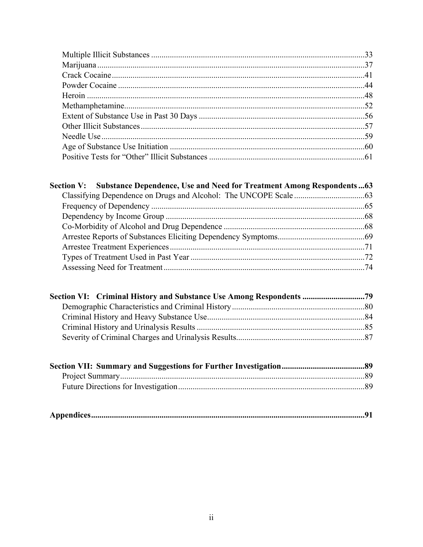| Section V: Substance Dependence, Use and Need for Treatment Among Respondents63 |  |
|---------------------------------------------------------------------------------|--|
|                                                                                 |  |
|                                                                                 |  |
|                                                                                 |  |
|                                                                                 |  |
|                                                                                 |  |
|                                                                                 |  |
|                                                                                 |  |
|                                                                                 |  |

| Section VI: Criminal History and Substance Use Among Respondents 79 |  |
|---------------------------------------------------------------------|--|
|                                                                     |  |
|                                                                     |  |
|                                                                     |  |
|                                                                     |  |

|--|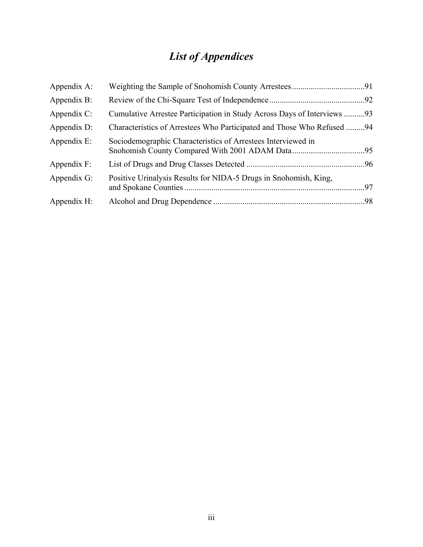# *List of Appendices*

| Appendix A:    |                                                                         |  |
|----------------|-------------------------------------------------------------------------|--|
| Appendix B:    |                                                                         |  |
| Appendix $C$ : | Cumulative Arrestee Participation in Study Across Days of Interviews 93 |  |
| Appendix D:    | Characteristics of Arrestees Who Participated and Those Who Refused 94  |  |
| Appendix E:    | Sociodemographic Characteristics of Arrestees Interviewed in            |  |
| Appendix $F$ : |                                                                         |  |
| Appendix G:    | Positive Urinalysis Results for NIDA-5 Drugs in Snohomish, King,        |  |
| Appendix H:    |                                                                         |  |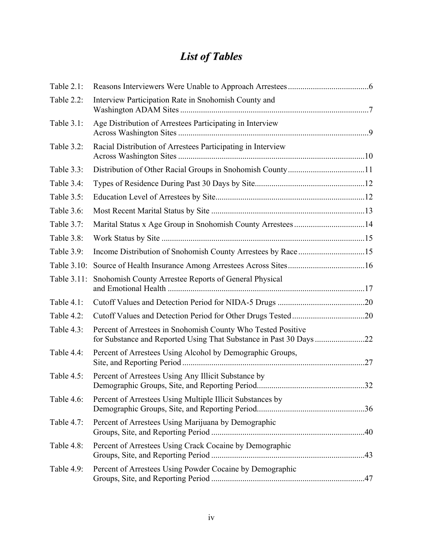# *List of Tables*

| Table 2.1:  |                                                              |  |
|-------------|--------------------------------------------------------------|--|
| Table 2.2:  | Interview Participation Rate in Snohomish County and         |  |
| Table 3.1:  | Age Distribution of Arrestees Participating in Interview     |  |
| Table 3.2:  | Racial Distribution of Arrestees Participating in Interview  |  |
| Table 3.3:  |                                                              |  |
| Table 3.4:  |                                                              |  |
| Table 3.5:  |                                                              |  |
| Table 3.6:  |                                                              |  |
| Table 3.7:  |                                                              |  |
| Table 3.8:  |                                                              |  |
| Table 3.9:  |                                                              |  |
| Table 3.10: |                                                              |  |
| Table 3.11: | Snohomish County Arrestee Reports of General Physical        |  |
| Table 4.1:  |                                                              |  |
| Table 4.2:  |                                                              |  |
| Table 4.3:  | Percent of Arrestees in Snohomish County Who Tested Positive |  |
| Table 4.4:  | Percent of Arrestees Using Alcohol by Demographic Groups,    |  |
| Table 4.5:  | Percent of Arrestees Using Any Illicit Substance by          |  |
| Table 4.6:  | Percent of Arrestees Using Multiple Illicit Substances by    |  |
| Table 4.7:  | Percent of Arrestees Using Marijuana by Demographic          |  |
| Table 4.8:  | Percent of Arrestees Using Crack Cocaine by Demographic      |  |
| Table 4.9:  | Percent of Arrestees Using Powder Cocaine by Demographic     |  |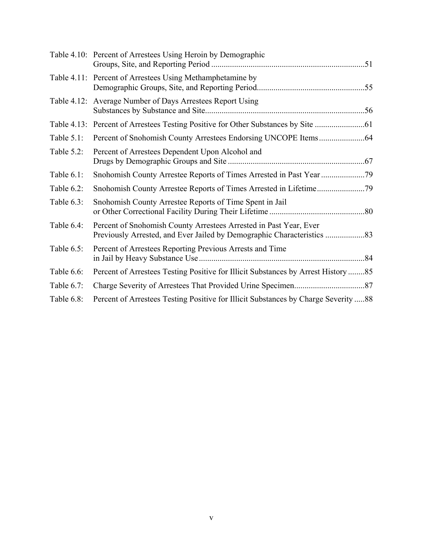|               | Table 4.10: Percent of Arrestees Using Heroin by Demographic                       |
|---------------|------------------------------------------------------------------------------------|
|               | Table 4.11: Percent of Arrestees Using Methamphetamine by                          |
|               | Table 4.12: Average Number of Days Arrestees Report Using                          |
|               |                                                                                    |
| Table $5.1$ : |                                                                                    |
| Table 5.2:    | Percent of Arrestees Dependent Upon Alcohol and                                    |
| Table 6.1:    |                                                                                    |
| Table 6.2:    |                                                                                    |
| Table 6.3:    | Snohomish County Arrestee Reports of Time Spent in Jail                            |
| Table 6.4:    | Percent of Snohomish County Arrestees Arrested in Past Year, Ever                  |
| Table $6.5$ : | Percent of Arrestees Reporting Previous Arrests and Time                           |
| Table 6.6:    | Percent of Arrestees Testing Positive for Illicit Substances by Arrest History85   |
| Table 6.7:    |                                                                                    |
| Table 6.8:    | Percent of Arrestees Testing Positive for Illicit Substances by Charge Severity 88 |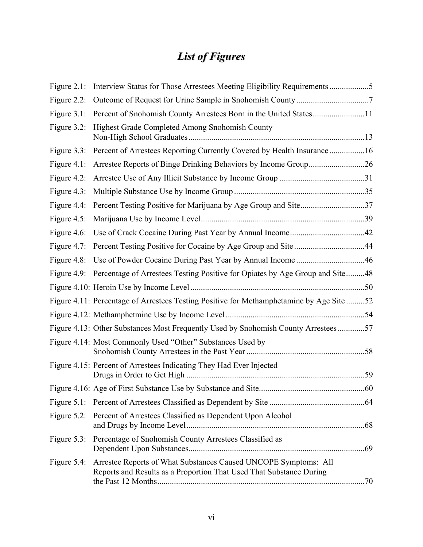# *List of Figures*

|                | Figure 2.1: Interview Status for Those Arrestees Meeting Eligibility Requirements 5                                                    |  |
|----------------|----------------------------------------------------------------------------------------------------------------------------------------|--|
|                |                                                                                                                                        |  |
|                | Figure 3.1: Percent of Snohomish County Arrestees Born in the United States11                                                          |  |
| Figure $3.2$ : | Highest Grade Completed Among Snohomish County                                                                                         |  |
|                | Figure 3.3: Percent of Arrestees Reporting Currently Covered by Health Insurance 16                                                    |  |
|                | Figure 4.1: Arrestee Reports of Binge Drinking Behaviors by Income Group26                                                             |  |
|                |                                                                                                                                        |  |
|                |                                                                                                                                        |  |
|                | Figure 4.4: Percent Testing Positive for Marijuana by Age Group and Site37                                                             |  |
|                |                                                                                                                                        |  |
|                |                                                                                                                                        |  |
|                |                                                                                                                                        |  |
|                |                                                                                                                                        |  |
|                | Figure 4.9: Percentage of Arrestees Testing Positive for Opiates by Age Group and Site48                                               |  |
|                |                                                                                                                                        |  |
|                | Figure 4.11: Percentage of Arrestees Testing Positive for Methamphetamine by Age Site 52                                               |  |
|                |                                                                                                                                        |  |
|                | Figure 4.13: Other Substances Most Frequently Used by Snohomish County Arrestees57                                                     |  |
|                | Figure 4.14: Most Commonly Used "Other" Substances Used by                                                                             |  |
|                | Figure 4.15: Percent of Arrestees Indicating They Had Ever Injected                                                                    |  |
|                |                                                                                                                                        |  |
|                |                                                                                                                                        |  |
|                | Figure 5.2: Percent of Arrestees Classified as Dependent Upon Alcohol                                                                  |  |
| Figure $5.3$ : | Percentage of Snohomish County Arrestees Classified as                                                                                 |  |
| Figure $5.4$ : | Arrestee Reports of What Substances Caused UNCOPE Symptoms: All<br>Reports and Results as a Proportion That Used That Substance During |  |
|                |                                                                                                                                        |  |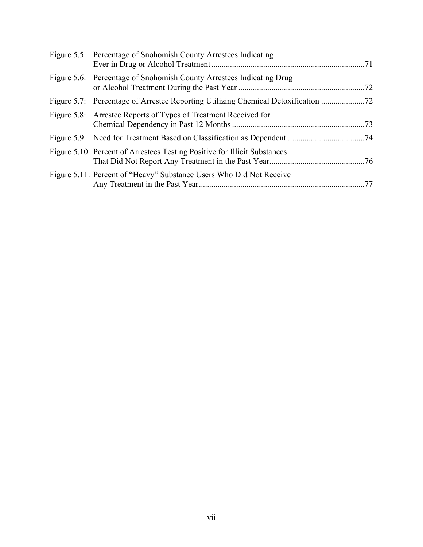| Figure 5.5: Percentage of Snohomish County Arrestees Indicating           |
|---------------------------------------------------------------------------|
| Figure 5.6: Percentage of Snohomish County Arrestees Indicating Drug      |
|                                                                           |
| Figure 5.8: Arrestee Reports of Types of Treatment Received for           |
|                                                                           |
| Figure 5.10: Percent of Arrestees Testing Positive for Illicit Substances |
| Figure 5.11: Percent of "Heavy" Substance Users Who Did Not Receive       |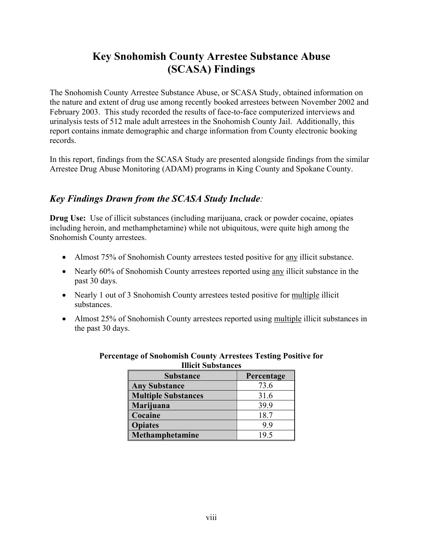## **Key Snohomish County Arrestee Substance Abuse (SCASA) Findings**

The Snohomish County Arrestee Substance Abuse, or SCASA Study, obtained information on the nature and extent of drug use among recently booked arrestees between November 2002 and February 2003. This study recorded the results of face-to-face computerized interviews and urinalysis tests of 512 male adult arrestees in the Snohomish County Jail. Additionally, this report contains inmate demographic and charge information from County electronic booking records.

In this report, findings from the SCASA Study are presented alongside findings from the similar Arrestee Drug Abuse Monitoring (ADAM) programs in King County and Spokane County.

## *Key Findings Drawn from the SCASA Study Include:*

**Drug Use:** Use of illicit substances (including marijuana, crack or powder cocaine, opiates including heroin, and methamphetamine) while not ubiquitous, were quite high among the Snohomish County arrestees.

- Almost 75% of Snohomish County arrestees tested positive for any illicit substance.
- Nearly 60% of Snohomish County arrestees reported using any illicit substance in the past 30 days.
- Nearly 1 out of 3 Snohomish County arrestees tested positive for multiple illicit substances.
- Almost 25% of Snohomish County arrestees reported using multiple illicit substances in the past 30 days.

| ппен эйрэмнеез             |            |  |
|----------------------------|------------|--|
| <b>Substance</b>           | Percentage |  |
| <b>Any Substance</b>       | 73.6       |  |
| <b>Multiple Substances</b> | 31.6       |  |
| Marijuana                  | 39.9       |  |
| Cocaine                    | 18.7       |  |
| <b>Opiates</b>             | 99         |  |
| Methamphetamine            | 195        |  |

#### **Percentage of Snohomish County Arrestees Testing Positive for Illicit Substances**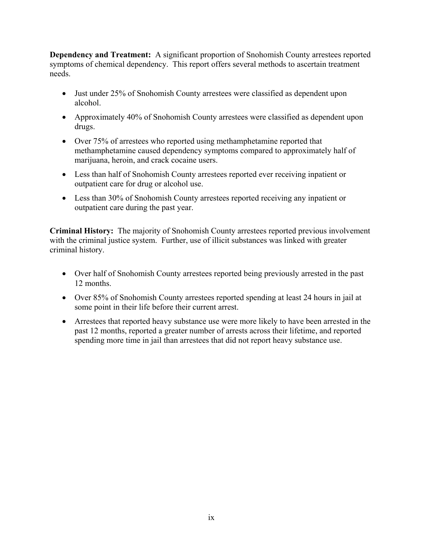**Dependency and Treatment:** A significant proportion of Snohomish County arrestees reported symptoms of chemical dependency. This report offers several methods to ascertain treatment needs.

- Just under 25% of Snohomish County arrestees were classified as dependent upon alcohol.
- Approximately 40% of Snohomish County arrestees were classified as dependent upon drugs.
- Over 75% of arrestees who reported using methamphetamine reported that methamphetamine caused dependency symptoms compared to approximately half of marijuana, heroin, and crack cocaine users.
- Less than half of Snohomish County arrestees reported ever receiving inpatient or outpatient care for drug or alcohol use.
- Less than 30% of Snohomish County arrestees reported receiving any inpatient or outpatient care during the past year.

**Criminal History:** The majority of Snohomish County arrestees reported previous involvement with the criminal justice system. Further, use of illicit substances was linked with greater criminal history.

- Over half of Snohomish County arrestees reported being previously arrested in the past 12 months.
- Over 85% of Snohomish County arrestees reported spending at least 24 hours in jail at some point in their life before their current arrest.
- Arrestees that reported heavy substance use were more likely to have been arrested in the past 12 months, reported a greater number of arrests across their lifetime, and reported spending more time in jail than arrestees that did not report heavy substance use.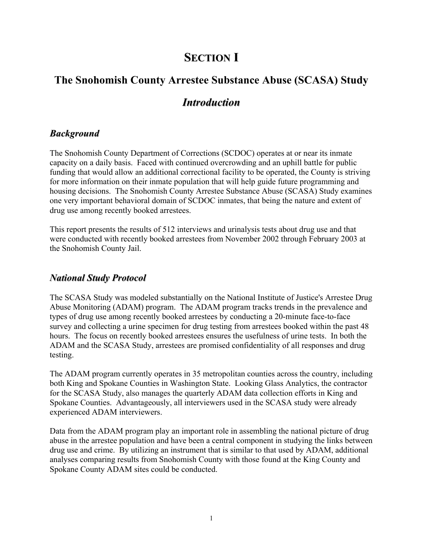## **SECTION I**

# **The Snohomish County Arrestee Substance Abuse (SCASA) Study**

## *Introduction*

### *Background*

The Snohomish County Department of Corrections (SCDOC) operates at or near its inmate capacity on a daily basis. Faced with continued overcrowding and an uphill battle for public funding that would allow an additional correctional facility to be operated, the County is striving for more information on their inmate population that will help guide future programming and housing decisions. The Snohomish County Arrestee Substance Abuse (SCASA) Study examines one very important behavioral domain of SCDOC inmates, that being the nature and extent of drug use among recently booked arrestees.

This report presents the results of 512 interviews and urinalysis tests about drug use and that were conducted with recently booked arrestees from November 2002 through February 2003 at the Snohomish County Jail.

#### *National Study Protocol*

The SCASA Study was modeled substantially on the National Institute of Justice's Arrestee Drug Abuse Monitoring (ADAM) program. The ADAM program tracks trends in the prevalence and types of drug use among recently booked arrestees by conducting a 20-minute face-to-face survey and collecting a urine specimen for drug testing from arrestees booked within the past 48 hours. The focus on recently booked arrestees ensures the usefulness of urine tests. In both the ADAM and the SCASA Study, arrestees are promised confidentiality of all responses and drug testing.

The ADAM program currently operates in 35 metropolitan counties across the country, including both King and Spokane Counties in Washington State. Looking Glass Analytics, the contractor for the SCASA Study, also manages the quarterly ADAM data collection efforts in King and Spokane Counties. Advantageously, all interviewers used in the SCASA study were already experienced ADAM interviewers.

Data from the ADAM program play an important role in assembling the national picture of drug abuse in the arrestee population and have been a central component in studying the links between drug use and crime. By utilizing an instrument that is similar to that used by ADAM, additional analyses comparing results from Snohomish County with those found at the King County and Spokane County ADAM sites could be conducted.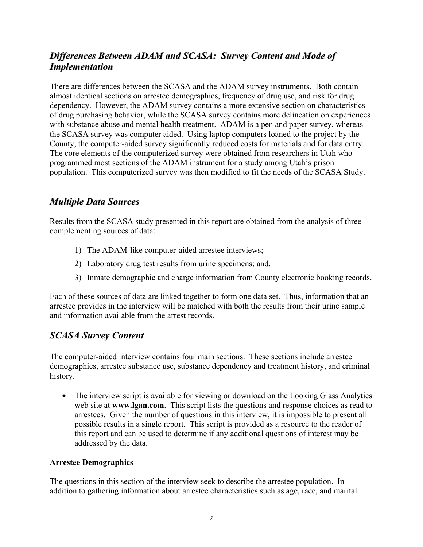## *Differences Between ADAM and SCASA: Survey Content and Mode of Implementation*

There are differences between the SCASA and the ADAM survey instruments. Both contain almost identical sections on arrestee demographics, frequency of drug use, and risk for drug dependency. However, the ADAM survey contains a more extensive section on characteristics of drug purchasing behavior, while the SCASA survey contains more delineation on experiences with substance abuse and mental health treatment. ADAM is a pen and paper survey, whereas the SCASA survey was computer aided. Using laptop computers loaned to the project by the County, the computer-aided survey significantly reduced costs for materials and for data entry. The core elements of the computerized survey were obtained from researchers in Utah who programmed most sections of the ADAM instrument for a study among Utah's prison population. This computerized survey was then modified to fit the needs of the SCASA Study.

## *Multiple Data Sources*

Results from the SCASA study presented in this report are obtained from the analysis of three complementing sources of data:

- 1) The ADAM-like computer-aided arrestee interviews;
- 2) Laboratory drug test results from urine specimens; and,
- 3) Inmate demographic and charge information from County electronic booking records.

Each of these sources of data are linked together to form one data set. Thus, information that an arrestee provides in the interview will be matched with both the results from their urine sample and information available from the arrest records.

## *SCASA Survey Content*

The computer-aided interview contains four main sections. These sections include arrestee demographics, arrestee substance use, substance dependency and treatment history, and criminal history.

• The interview script is available for viewing or download on the Looking Glass Analytics web site at **www.lgan.com**. This script lists the questions and response choices as read to arrestees. Given the number of questions in this interview, it is impossible to present all possible results in a single report. This script is provided as a resource to the reader of this report and can be used to determine if any additional questions of interest may be addressed by the data.

#### **Arrestee Demographics**

The questions in this section of the interview seek to describe the arrestee population. In addition to gathering information about arrestee characteristics such as age, race, and marital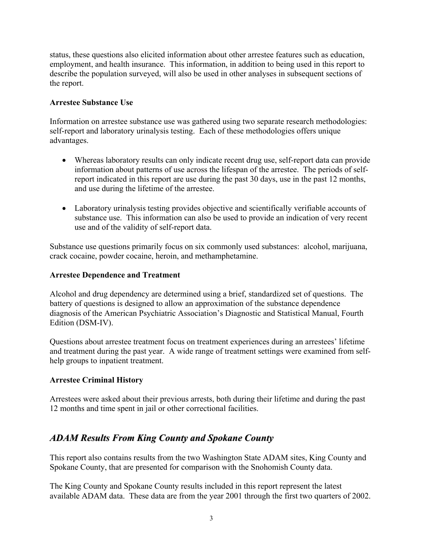status, these questions also elicited information about other arrestee features such as education, employment, and health insurance. This information, in addition to being used in this report to describe the population surveyed, will also be used in other analyses in subsequent sections of the report.

#### **Arrestee Substance Use**

Information on arrestee substance use was gathered using two separate research methodologies: self-report and laboratory urinalysis testing. Each of these methodologies offers unique advantages.

- Whereas laboratory results can only indicate recent drug use, self-report data can provide information about patterns of use across the lifespan of the arrestee. The periods of selfreport indicated in this report are use during the past 30 days, use in the past 12 months, and use during the lifetime of the arrestee.
- Laboratory urinalysis testing provides objective and scientifically verifiable accounts of substance use. This information can also be used to provide an indication of very recent use and of the validity of self-report data.

Substance use questions primarily focus on six commonly used substances: alcohol, marijuana, crack cocaine, powder cocaine, heroin, and methamphetamine.

#### **Arrestee Dependence and Treatment**

Alcohol and drug dependency are determined using a brief, standardized set of questions. The battery of questions is designed to allow an approximation of the substance dependence diagnosis of the American Psychiatric Association's Diagnostic and Statistical Manual, Fourth Edition (DSM-IV).

Questions about arrestee treatment focus on treatment experiences during an arrestees' lifetime and treatment during the past year. A wide range of treatment settings were examined from selfhelp groups to inpatient treatment.

#### **Arrestee Criminal History**

Arrestees were asked about their previous arrests, both during their lifetime and during the past 12 months and time spent in jail or other correctional facilities.

## *ADAM Results From King County and Spokane County*

This report also contains results from the two Washington State ADAM sites, King County and Spokane County, that are presented for comparison with the Snohomish County data.

The King County and Spokane County results included in this report represent the latest available ADAM data. These data are from the year 2001 through the first two quarters of 2002.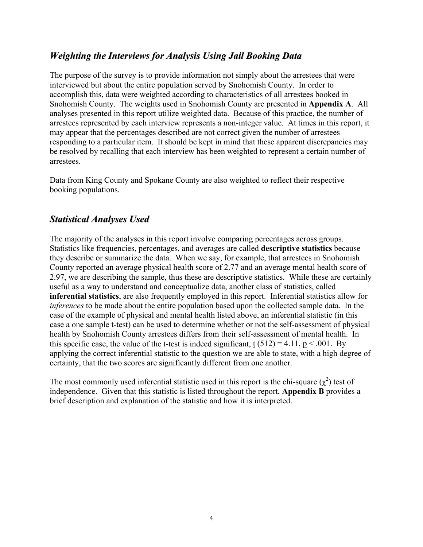## *Weighting the Interviews for Analysis Using Jail Booking Data*

The purpose of the survey is to provide information not simply about the arrestees that were interviewed but about the entire population served by Snohomish County. In order to accomplish this, data were weighted according to characteristics of all arrestees booked in Snohomish County. The weights used in Snohomish County are presented in **Appendix A**. All analyses presented in this report utilize weighted data. Because of this practice, the number of arrestees represented by each interview represents a non-integer value. At times in this report, it may appear that the percentages described are not correct given the number of arrestees responding to a particular item. It should be kept in mind that these apparent discrepancies may be resolved by recalling that each interview has been weighted to represent a certain number of arrestees.

Data from King County and Spokane County are also weighted to reflect their respective booking populations.

## *Statistical Analyses Used*

The majority of the analyses in this report involve comparing percentages across groups. Statistics like frequencies, percentages, and averages are called **descriptive statistics** because they describe or summarize the data. When we say, for example, that arrestees in Snohomish County reported an average physical health score of 2.77 and an average mental health score of 2.97, we are describing the sample, thus these are descriptive statistics. While these are certainly useful as a way to understand and conceptualize data, another class of statistics, called **inferential statistics**, are also frequently employed in this report. Inferential statistics allow for *inferences* to be made about the entire population based upon the collected sample data. In the case of the example of physical and mental health listed above, an inferential statistic (in this case a one sample t-test) can be used to determine whether or not the self-assessment of physical health by Snohomish County arrestees differs from their self-assessment of mental health. In this specific case, the value of the t-test is indeed significant, t  $(512) = 4.11$ ,  $p < .001$ . By applying the correct inferential statistic to the question we are able to state, with a high degree of certainty, that the two scores are significantly different from one another.

The most commonly used inferential statistic used in this report is the chi-square  $(\chi^2)$  test of independence. Given that this statistic is listed throughout the report, **Appendix B** provides a brief description and explanation of the statistic and how it is interpreted.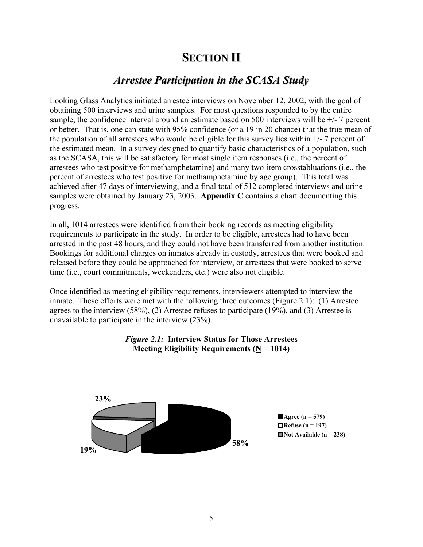## **SECTION II**

## *Arrestee Participation in the SCASA Study*

Looking Glass Analytics initiated arrestee interviews on November 12, 2002, with the goal of obtaining 500 interviews and urine samples. For most questions responded to by the entire sample, the confidence interval around an estimate based on 500 interviews will be +/- 7 percent or better. That is, one can state with 95% confidence (or a 19 in 20 chance) that the true mean of the population of all arrestees who would be eligible for this survey lies within  $+/-$  7 percent of the estimated mean. In a survey designed to quantify basic characteristics of a population, such as the SCASA, this will be satisfactory for most single item responses (i.e., the percent of arrestees who test positive for methamphetamine) and many two-item crosstabluations (i.e., the percent of arrestees who test positive for methamphetamine by age group). This total was achieved after 47 days of interviewing, and a final total of 512 completed interviews and urine samples were obtained by January 23, 2003. **Appendix C** contains a chart documenting this progress.

In all, 1014 arrestees were identified from their booking records as meeting eligibility requirements to participate in the study. In order to be eligible, arrestees had to have been arrested in the past 48 hours, and they could not have been transferred from another institution. Bookings for additional charges on inmates already in custody, arrestees that were booked and released before they could be approached for interview, or arrestees that were booked to serve time (i.e., court commitments, weekenders, etc.) were also not eligible.

Once identified as meeting eligibility requirements, interviewers attempted to interview the inmate. These efforts were met with the following three outcomes (Figure 2.1): (1) Arrestee agrees to the interview (58%), (2) Arrestee refuses to participate (19%), and (3) Arrestee is unavailable to participate in the interview (23%).



#### *Figure 2.1:* **Interview Status for Those Arrestees Meeting Eligibility Requirements (** $N = 1014$ **)**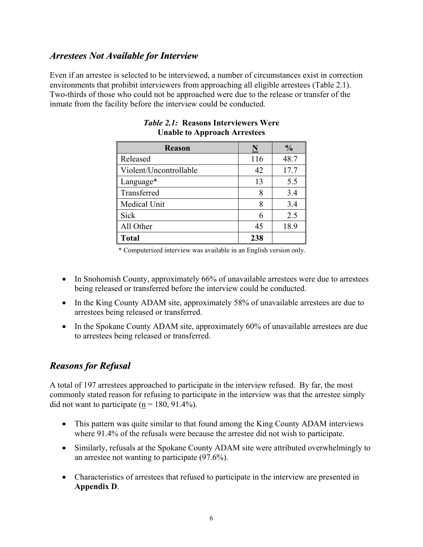## *Arrestees Not Available for Interview*

Even if an arrestee is selected to be interviewed, a number of circumstances exist in correction environments that prohibit interviewers from approaching all eligible arrestees (Table 2.1). Two-thirds of those who could not be approached were due to the release or transfer of the inmate from the facility before the interview could be conducted.

| <b>Reason</b>          | <u>N</u> | $\frac{0}{0}$ |
|------------------------|----------|---------------|
| Released               | 116      | 48.7          |
| Violent/Uncontrollable | 42       | 17.7          |
| Language*              | 13       | 5.5           |
| Transferred            | 8        | 3.4           |
| Medical Unit           | 8        | 3.4           |
| Sick                   |          | 2.5           |
| All Other              | 45       | 18.9          |
| <b>Total</b>           | 238      |               |

#### *Table 2.1:* **Reasons Interviewers Were Unable to Approach Arrestees**

\* Computerized interview was available in an English version only.

- In Snohomish County, approximately 66% of unavailable arrestees were due to arrestees being released or transferred before the interview could be conducted.
- In the King County ADAM site, approximately 58% of unavailable arrestees are due to arrestees being released or transferred.
- In the Spokane County ADAM site, approximately 60% of unavailable arrestees are due to arrestees being released or transferred.

## *Reasons for Refusal*

A total of 197 arrestees approached to participate in the interview refused. By far, the most commonly stated reason for refusing to participate in the interview was that the arrestee simply did not want to participate ( $n = 180, 91.4\%$ ).

- This pattern was quite similar to that found among the King County ADAM interviews where 91.4% of the refusals were because the arrestee did not wish to participate.
- Similarly, refusals at the Spokane County ADAM site were attributed overwhelmingly to an arrestee not wanting to participate (97.6%).
- Characteristics of arrestees that refused to participate in the interview are presented in **Appendix D**.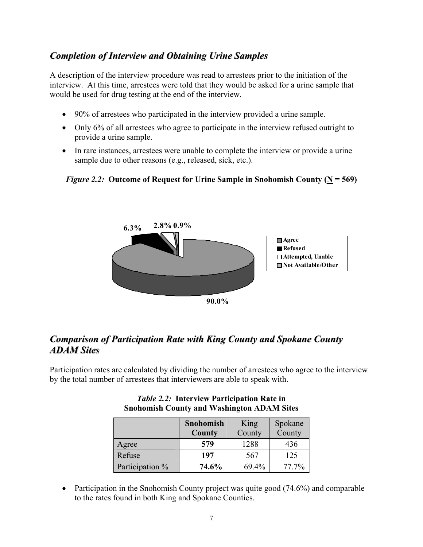## *Completion of Interview and Obtaining Urine Samples*

A description of the interview procedure was read to arrestees prior to the initiation of the interview. At this time, arrestees were told that they would be asked for a urine sample that would be used for drug testing at the end of the interview.

- 90% of arrestees who participated in the interview provided a urine sample.
- Only 6% of all arrestees who agree to participate in the interview refused outright to provide a urine sample.
- In rare instances, arrestees were unable to complete the interview or provide a urine sample due to other reasons (e.g., released, sick, etc.).

#### *Figure 2.2:* Outcome of Request for Urine Sample in Snohomish County ( $N = 569$ )



## *Comparison of Participation Rate with King County and Spokane County ADAM Sites*

Participation rates are calculated by dividing the number of arrestees who agree to the interview by the total number of arrestees that interviewers are able to speak with.

|                 | Snohomish<br>County | King<br>County | Spokane<br>County |
|-----------------|---------------------|----------------|-------------------|
| Agree           | 579                 | 1288           | 436               |
| Refuse          | 197                 | 567            | 125               |
| Participation % | 74.6%               | 69.4%          | 77.7%             |

*Table 2.2:* **Interview Participation Rate in Snohomish County and Washington ADAM Sites** 

• Participation in the Snohomish County project was quite good (74.6%) and comparable to the rates found in both King and Spokane Counties.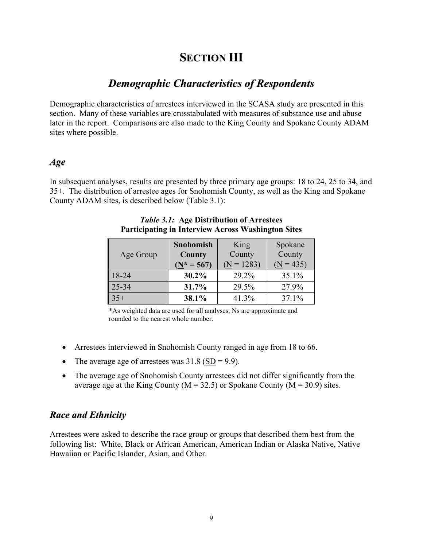## **SECTION III**

## *Demographic Characteristics of Respondents*

Demographic characteristics of arrestees interviewed in the SCASA study are presented in this section. Many of these variables are crosstabulated with measures of substance use and abuse later in the report. Comparisons are also made to the King County and Spokane County ADAM sites where possible.

#### *Age*

In subsequent analyses, results are presented by three primary age groups: 18 to 24, 25 to 34, and 35+. The distribution of arrestee ages for Snohomish County, as well as the King and Spokane County ADAM sites, is described below (Table 3.1):

| Age Group | Snohomish<br><b>County</b> | King<br>County | Spokane<br>County |
|-----------|----------------------------|----------------|-------------------|
|           | $(N^* = 567)$              | $(N = 1283)$   | $(N = 435)$       |
| 18-24     | 30.2%                      | 29.2%          | 35.1%             |
| $25 - 34$ | 31.7%                      | 29.5%          | 27.9%             |
| $35+$     | 38.1%                      | 41.3%          | 37.1%             |

#### *Table 3.1:* **Age Distribution of Arrestees Participating in Interview Across Washington Sites**

\*As weighted data are used for all analyses, Ns are approximate and rounded to the nearest whole number.

- Arrestees interviewed in Snohomish County ranged in age from 18 to 66.
- The average age of arrestees was  $31.8 \left( \frac{\text{SD}}{\text{SD}} \right) = 9.9$ .
- The average age of Snohomish County arrestees did not differ significantly from the average age at the King County ( $\underline{M}$  = 32.5) or Spokane County ( $\underline{M}$  = 30.9) sites.

#### *Race and Ethnicity*

Arrestees were asked to describe the race group or groups that described them best from the following list: White, Black or African American, American Indian or Alaska Native, Native Hawaiian or Pacific Islander, Asian, and Other.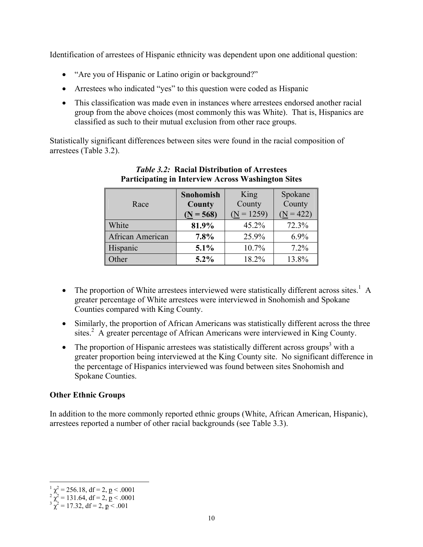Identification of arrestees of Hispanic ethnicity was dependent upon one additional question:

- "Are you of Hispanic or Latino origin or background?"
- Arrestees who indicated "yes" to this question were coded as Hispanic
- This classification was made even in instances where arrestees endorsed another racial group from the above choices (most commonly this was White). That is, Hispanics are classified as such to their mutual exclusion from other race groups.

Statistically significant differences between sites were found in the racial composition of arrestees (Table 3.2).

|                  | Snohomish   | King         | Spokane     |
|------------------|-------------|--------------|-------------|
| Race             | County      | County       | County      |
|                  | $(N = 568)$ | $(N = 1259)$ | $(N = 422)$ |
| White            | 81.9%       | 45.2%        | 72.3%       |
| African American | 7.8%        | 25.9%        | $6.9\%$     |
| Hispanic         | 5.1%        | 10.7%        | 7.2%        |
| Other            | $5.2\%$     | 18.2%        | 13.8%       |

#### *Table 3.2:* **Racial Distribution of Arrestees Participating in Interview Across Washington Sites**

- The proportion of White arrestees interviewed were statistically different across sites.<sup>1</sup> A greater percentage of White arrestees were interviewed in Snohomish and Spokane Counties compared with King County.
- Similarly, the proportion of African Americans was statistically different across the three sites.<sup>2</sup> A greater percentage of African Americans were interviewed in King County.
- The proportion of Hispanic arrestees was statistically different across groups<sup>3</sup> with a greater proportion being interviewed at the King County site. No significant difference in the percentage of Hispanics interviewed was found between sites Snohomish and Spokane Counties.

#### **Other Ethnic Groups**

In addition to the more commonly reported ethnic groups (White, African American, Hispanic), arrestees reported a number of other racial backgrounds (see Table 3.3).

 $\overline{a}$  $\frac{1}{2} \chi^2 = 256.18$ , df = 2, p < .0001<br>  $\chi^2 = 131.64$ , df = 2, p < .0001<br>  $\frac{3}{2} \chi^2 = 17.32$ , df = 2, p < .001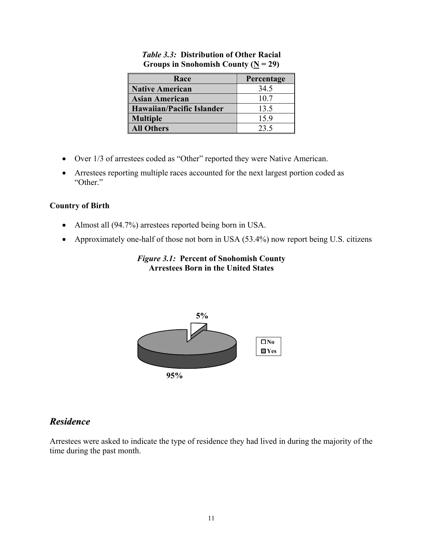| Race                             | Percentage |
|----------------------------------|------------|
| <b>Native American</b>           | 34.5       |
| <b>Asian American</b>            | 10.7       |
| <b>Hawaiian/Pacific Islander</b> | 13.5       |
| <b>Multiple</b>                  | 15.9       |
| <b>All Others</b>                | 23.5       |

*Table 3.3:* **Distribution of Other Racial**  Groups in Snohomish County  $(N = 29)$ 

- Over 1/3 of arrestees coded as "Other" reported they were Native American.
- Arrestees reporting multiple races accounted for the next largest portion coded as "Other."

#### **Country of Birth**

- Almost all (94.7%) arrestees reported being born in USA.
- Approximately one-half of those not born in USA (53.4%) now report being U.S. citizens

#### *Figure 3.1:* **Percent of Snohomish County Arrestees Born in the United States**



## *Residence*

Arrestees were asked to indicate the type of residence they had lived in during the majority of the time during the past month.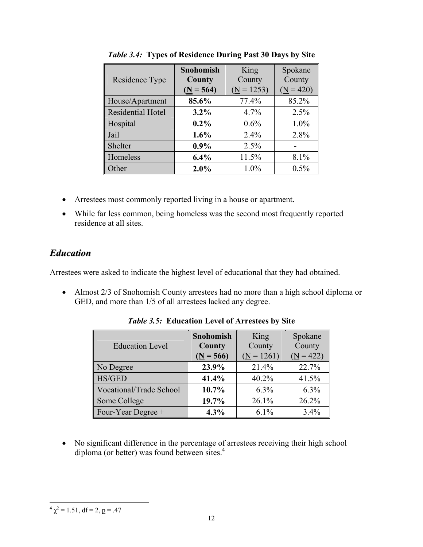| Residence Type           | <b>Snohomish</b><br>County<br>$(N = 564)$ | King<br>County<br>$(N = 1253)$ | Spokane<br>County<br>$(N = 420)$ |
|--------------------------|-------------------------------------------|--------------------------------|----------------------------------|
| House/Apartment          | 85.6%                                     | 77.4%                          | 85.2%                            |
| <b>Residential Hotel</b> | $3.2\%$                                   | 4.7%                           | 2.5%                             |
| Hospital                 | $0.2\%$                                   | $0.6\%$                        | 1.0%                             |
| Jail                     | 1.6%                                      | 2.4%                           | 2.8%                             |
| Shelter                  | $0.9\%$                                   | 2.5%                           |                                  |
| Homeless                 | 6.4%                                      | 11.5%                          | 8.1%                             |
| Other                    | 2.0%                                      | 1.0%                           | 0.5%                             |

*Table 3.4:* **Types of Residence During Past 30 Days by Site** 

- Arrestees most commonly reported living in a house or apartment.
- While far less common, being homeless was the second most frequently reported residence at all sites.

## *Education*

Arrestees were asked to indicate the highest level of educational that they had obtained.

• Almost 2/3 of Snohomish County arrestees had no more than a high school diploma or GED, and more than 1/5 of all arrestees lacked any degree.

| <b>Education Level</b>  | Snohomish<br>County<br>$(N = 566)$ | King<br>County<br>$(N = 1261)$ | Spokane<br>County<br>$(N = 422)$ |
|-------------------------|------------------------------------|--------------------------------|----------------------------------|
| No Degree               | 23.9%                              | 21.4%                          | 22.7%                            |
| <b>HS/GED</b>           | 41.4%                              | 40.2%                          | 41.5%                            |
| Vocational/Trade School | 10.7%                              | $6.3\%$                        | $6.3\%$                          |
| Some College            | 19.7%                              | 26.1%                          | 26.2%                            |
| Four-Year Degree +      | 4.3%                               | $6.1\%$                        | 3.4%                             |

*Table 3.5:* **Education Level of Arrestees by Site** 

• No significant difference in the percentage of arrestees receiving their high school diploma (or better) was found between sites.<sup>4</sup>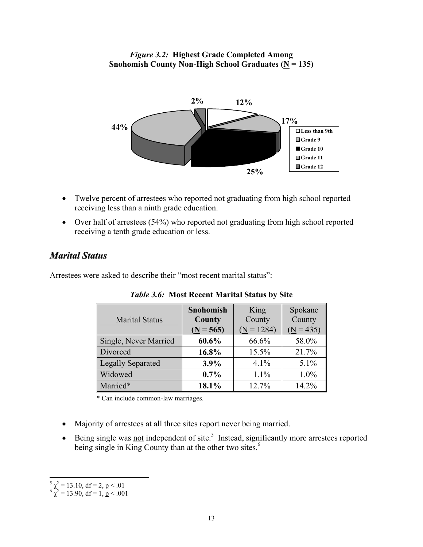*Figure 3.2:* **Highest Grade Completed Among Snohomish County Non-High School Graduates (** $N = 135$ **)** 



- Twelve percent of arrestees who reported not graduating from high school reported receiving less than a ninth grade education.
- Over half of arrestees (54%) who reported not graduating from high school reported receiving a tenth grade education or less.

## *Marital Status*

Arrestees were asked to describe their "most recent marital status":

| <b>Marital Status</b>    | <b>Snohomish</b><br><b>County</b><br>$(N = 565)$ | King<br>County<br>$(N = 1284)$ | Spokane<br>County<br>$(N = 435)$ |
|--------------------------|--------------------------------------------------|--------------------------------|----------------------------------|
| Single, Never Married    | 60.6%                                            | 66.6%                          | 58.0%                            |
| Divorced                 | 16.8%                                            | 15.5%                          | 21.7%                            |
| <b>Legally Separated</b> | 3.9%                                             | $4.1\%$                        | $5.1\%$                          |
| Widowed                  | $0.7\%$                                          | $1.1\%$                        | 1.0%                             |
| Married*                 | 18.1%                                            | 12.7%                          | 14.2%                            |

|  | <i>Table 3.6:</i> Most Recent Marital Status by Site |  |  |  |
|--|------------------------------------------------------|--|--|--|
|--|------------------------------------------------------|--|--|--|

\* Can include common-law marriages.

- Majority of arrestees at all three sites report never being married.
- $\bullet$  Being single was not independent of site.<sup>5</sup> Instead, significantly more arrestees reported being single in King County than at the other two sites.<sup>6</sup>

 $\overline{a}$ 

 $5 \chi^2 = 13.10$ , df = 2, <u>p</u> < .01<br>  $6 \chi^2 = 13.90$ , df = 1, <u>p</u> < .001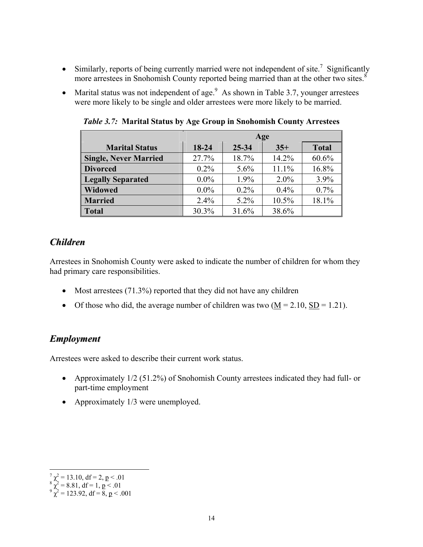- Similarly, reports of being currently married were not independent of site.<sup>7</sup> Significantly more arrestees in Snohomish County reported being married than at the other two sites.<sup>8</sup>
- Marital status was not independent of age.<sup>9</sup> As shown in Table 3.7, younger arrestees were more likely to be single and older arrestees were more likely to be married.

|                              | Age                                     |         |         |       |  |
|------------------------------|-----------------------------------------|---------|---------|-------|--|
| <b>Marital Status</b>        | 18-24<br>25-34<br><b>Total</b><br>$35+$ |         |         |       |  |
| <b>Single, Never Married</b> | 27.7%                                   | 18.7%   | 14.2%   | 60.6% |  |
| <b>Divorced</b>              | $0.2\%$                                 | 5.6%    | 11.1%   | 16.8% |  |
| <b>Legally Separated</b>     | $0.0\%$                                 | 1.9%    | $2.0\%$ | 3.9%  |  |
| <b>Widowed</b>               | $0.0\%$                                 | $0.2\%$ | $0.4\%$ | 0.7%  |  |
| <b>Married</b>               | $2.4\%$                                 | $5.2\%$ | 10.5%   | 18.1% |  |
| <b>Total</b>                 | 30.3%                                   | 31.6%   | 38.6%   |       |  |

*Table 3.7:* **Marital Status by Age Group in Snohomish County Arrestees** 

## *Children*

Arrestees in Snohomish County were asked to indicate the number of children for whom they had primary care responsibilities.

- Most arrestees (71.3%) reported that they did not have any children
- Of those who did, the average number of children was two  $(M = 2.10, SD = 1.21)$ .

## *Employment*

Arrestees were asked to describe their current work status.

- Approximately 1/2 (51.2%) of Snohomish County arrestees indicated they had full- or part-time employment
- Approximately 1/3 were unemployed.

 $\overline{a}$ 

 $\begin{cases} 7 \ \chi^2 = 13.10, \text{ df} = 2, \, \text{p} < .01 \\ 8 \ \chi^2 = 8.81, \, \text{df} = 1, \, \text{p} < .01 \\ 9 \ \chi^2 = 123.92, \, \text{df} = 8, \, \text{p} < .001 \end{cases}$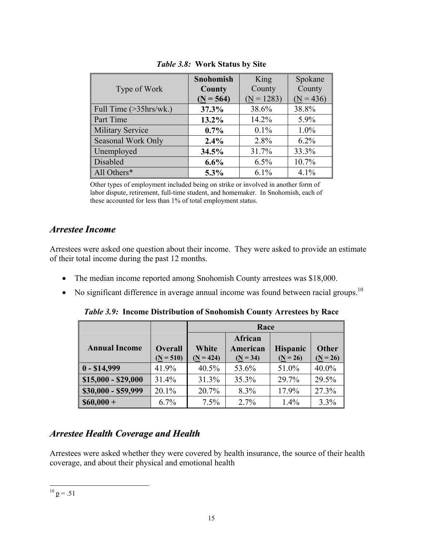| Type of Work                               | Snohomish<br>County<br>$(N = 564)$ | King<br>County<br>$(N = 1283)$ | Spokane<br>County<br>$(N = 436)$ |
|--------------------------------------------|------------------------------------|--------------------------------|----------------------------------|
| Full Time $(>\frac{35}{hrs}{\text{w}}k)$ . | 37.3%                              | 38.6%                          | 38.8%                            |
| Part Time                                  | 13.2%                              | 14.2%                          | 5.9%                             |
| <b>Military Service</b>                    | $0.7\%$                            | $0.1\%$                        | $1.0\%$                          |
| Seasonal Work Only                         | 2.4%                               | 2.8%                           | $6.2\%$                          |
| Unemployed                                 | 34.5%                              | 31.7%                          | 33.3%                            |
| Disabled                                   | 6.6%                               | 6.5%                           | 10.7%                            |
| All Others*                                | $5.3\%$                            | $6.1\%$                        | 4.1%                             |

*Table 3.8:* **Work Status by Site** 

Other types of employment included being on strike or involved in another form of labor dispute, retirement, full-time student, and homemaker. In Snohomish, each of these accounted for less than 1% of total employment status.

## *Arrestee Income*

Arrestees were asked one question about their income. They were asked to provide an estimate of their total income during the past 12 months.

- The median income reported among Snohomish County arrestees was \$18,000.
- No significant difference in average annual income was found between racial groups.<sup>10</sup>

*Table 3.9:* **Income Distribution of Snohomish County Arrestees by Race** 

|                      |             | Race        |            |                 |              |
|----------------------|-------------|-------------|------------|-----------------|--------------|
|                      |             |             | African    |                 |              |
| <b>Annual Income</b> | Overall     | White       | American   | <b>Hispanic</b> | <b>Other</b> |
|                      | $(N = 510)$ | $(N = 424)$ | $(N = 34)$ | $(N = 26)$      | $(N = 26)$   |
| $0 - $14,999$        | 41.9%       | 40.5%       | 53.6%      | 51.0%           | 40.0%        |
| $$15,000 - $29,000$  | 31.4%       | 31.3%       | 35.3%      | 29.7%           | 29.5%        |
| \$30,000 - \$59,999  | 20.1%       | 20.7%       | 8.3%       | 17.9%           | 27.3%        |
| $$60,000+$           | 6.7%        | $7.5\%$     | 2.7%       | 1.4%            | 3.3%         |

## *Arrestee Health Coverage and Health*

Arrestees were asked whether they were covered by health insurance, the source of their health coverage, and about their physical and emotional health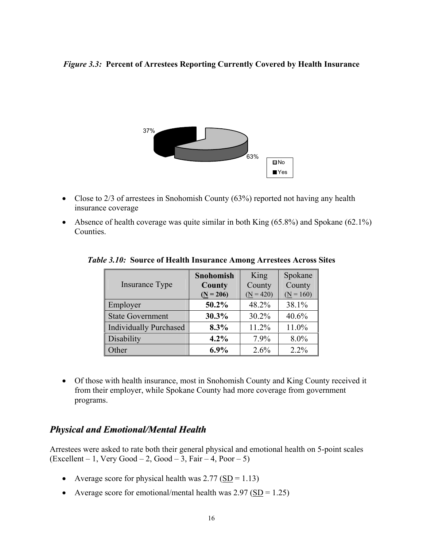#### *Figure 3.3:* **Percent of Arrestees Reporting Currently Covered by Health Insurance**



- Close to 2/3 of arrestees in Snohomish County (63%) reported not having any health insurance coverage
- Absence of health coverage was quite similar in both King  $(65.8\%)$  and Spokane  $(62.1\%)$ Counties.

| Insurance Type                | Snohomish<br>County | King<br>County | Spokane<br>County |
|-------------------------------|---------------------|----------------|-------------------|
|                               | $(N = 206)$         | $(N = 420)$    | $(N = 160)$       |
| Employer                      | 50.2%               | 48.2%          | 38.1%             |
| <b>State Government</b>       | 30.3%               | 30.2%          | 40.6%             |
| <b>Individually Purchased</b> | 8.3%                | 11.2%          | 11.0%             |
| Disability                    | 4.2%                | 7.9%           | 8.0%              |
| Other                         | $6.9\%$             | 2.6%           | $2.2\%$           |

*Table 3.10:* **Source of Health Insurance Among Arrestees Across Sites** 

• Of those with health insurance, most in Snohomish County and King County received it from their employer, while Spokane County had more coverage from government programs.

## *Physical and Emotional/Mental Health*

Arrestees were asked to rate both their general physical and emotional health on 5-point scales  $(Excellent - 1, Very Good - 2, Good - 3, Fair - 4, Poor - 5)$ 

- Average score for physical health was  $2.77 \left( \frac{\text{SD}}{\text{SD}} \right) = 1.13$ )
- Average score for emotional/mental health was  $2.97$  (SD = 1.25)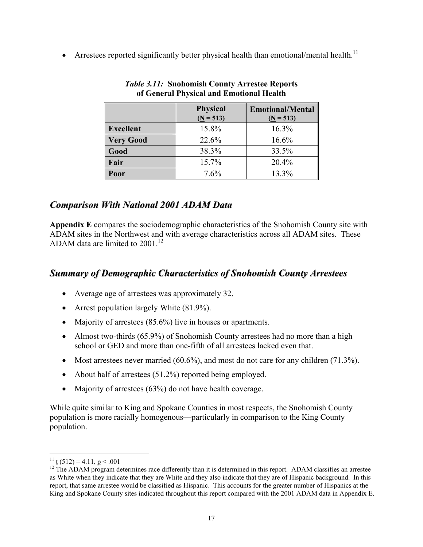• Arrestees reported significantly better physical health than emotional/mental health.<sup>11</sup>

|                  | <b>Physical</b><br>$(N = 513)$ | <b>Emotional/Mental</b><br>$(N = 513)$ |
|------------------|--------------------------------|----------------------------------------|
| <b>Excellent</b> | 15.8%                          | 16.3%                                  |
| <b>Very Good</b> | 22.6%                          | 16.6%                                  |
| Good             | 38.3%                          | 33.5%                                  |
| Fair             | 15.7%                          | 20.4%                                  |
| Poor             | 7.6%                           | 13.3%                                  |

#### *Table 3.11:* **Snohomish County Arrestee Reports of General Physical and Emotional Health**

## *Comparison With National 2001 ADAM Data*

**Appendix E** compares the sociodemographic characteristics of the Snohomish County site with ADAM sites in the Northwest and with average characteristics across all ADAM sites. These ADAM data are limited to 2001.<sup>12</sup>

## *Summary of Demographic Characteristics of Snohomish County Arrestees*

- Average age of arrestees was approximately 32.
- Arrest population largely White  $(81.9\%)$ .
- Majority of arrestees (85.6%) live in houses or apartments.
- Almost two-thirds (65.9%) of Snohomish County arrestees had no more than a high school or GED and more than one-fifth of all arrestees lacked even that.
- Most arrestees never married (60.6%), and most do not care for any children (71.3%).
- About half of arrestees (51.2%) reported being employed.
- Majority of arrestees (63%) do not have health coverage.

While quite similar to King and Spokane Counties in most respects, the Snohomish County population is more racially homogenous—particularly in comparison to the King County population.

 $\overline{a}$ 

<sup>&</sup>lt;sup>11</sup> t (512) = 4.11,  $p < .001$ <br><sup>12</sup> The ADAM program determines race differently than it is determined in this report. ADAM classifies an arrestee as White when they indicate that they are White and they also indicate that they are of Hispanic background. In this report, that same arrestee would be classified as Hispanic. This accounts for the greater number of Hispanics at the King and Spokane County sites indicated throughout this report compared with the 2001 ADAM data in Appendix E.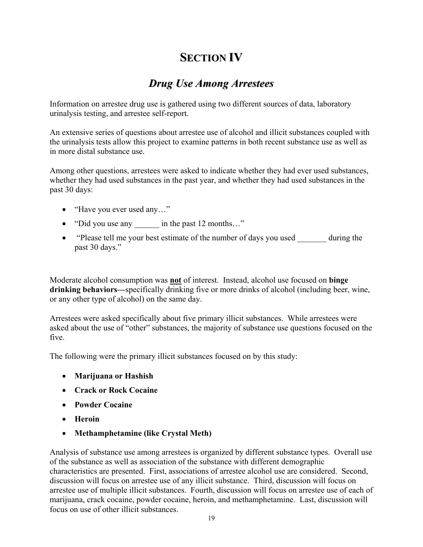## **SECTION IV**

## *Drug Use Among Arrestees*

Information on arrestee drug use is gathered using two different sources of data, laboratory urinalysis testing, and arrestee self-report.

An extensive series of questions about arrestee use of alcohol and illicit substances coupled with the urinalysis tests allow this project to examine patterns in both recent substance use as well as in more distal substance use.

Among other questions, arrestees were asked to indicate whether they had ever used substances, whether they had used substances in the past year, and whether they had used substances in the past 30 days:

- "Have you ever used any..."
- "Did you use any in the past 12 months..."
- "Please tell me your best estimate of the number of days you used during the past 30 days."

Moderate alcohol consumption was **not** of interest. Instead, alcohol use focused on **binge drinking behaviors—**specifically drinking five or more drinks of alcohol (including beer, wine, or any other type of alcohol) on the same day.

Arrestees were asked specifically about five primary illicit substances. While arrestees were asked about the use of "other" substances, the majority of substance use questions focused on the five.

The following were the primary illicit substances focused on by this study:

- **Marijuana or Hashish**
- **Crack or Rock Cocaine**
- **Powder Cocaine**
- **Heroin**
- **Methamphetamine (like Crystal Meth)**

Analysis of substance use among arrestees is organized by different substance types. Overall use of the substance as well as association of the substance with different demographic characteristics are presented. First, associations of arrestee alcohol use are considered. Second, discussion will focus on arrestee use of any illicit substance. Third, discussion will focus on arrestee use of multiple illicit substances. Fourth, discussion will focus on arrestee use of each of marijuana, crack cocaine, powder cocaine, heroin, and methamphetamine. Last, discussion will focus on use of other illicit substances.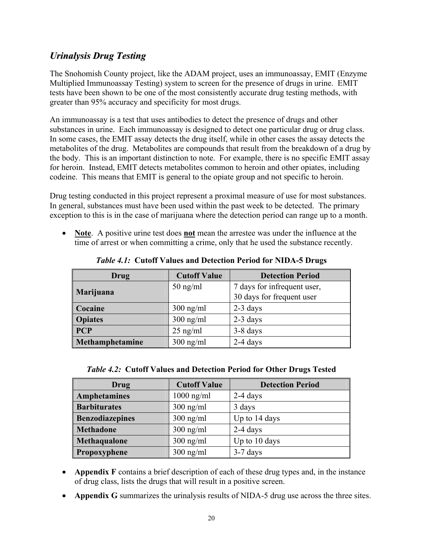## *Urinalysis Drug Testing*

The Snohomish County project, like the ADAM project, uses an immunoassay, EMIT (Enzyme Multiplied Immunoassay Testing) system to screen for the presence of drugs in urine. EMIT tests have been shown to be one of the most consistently accurate drug testing methods, with greater than 95% accuracy and specificity for most drugs.

An immunoassay is a test that uses antibodies to detect the presence of drugs and other substances in urine. Each immunoassay is designed to detect one particular drug or drug class. In some cases, the EMIT assay detects the drug itself, while in other cases the assay detects the metabolites of the drug. Metabolites are compounds that result from the breakdown of a drug by the body. This is an important distinction to note. For example, there is no specific EMIT assay for heroin. Instead, EMIT detects metabolites common to heroin and other opiates, including codeine. This means that EMIT is general to the opiate group and not specific to heroin.

Drug testing conducted in this project represent a proximal measure of use for most substances. In general, substances must have been used within the past week to be detected. The primary exception to this is in the case of marijuana where the detection period can range up to a month.

• **Note**. A positive urine test does **not** mean the arrestee was under the influence at the time of arrest or when committing a crime, only that he used the substance recently.

| Drug            | <b>Cutoff Value</b> | <b>Detection Period</b>                                  |
|-----------------|---------------------|----------------------------------------------------------|
| Marijuana       | $50$ ng/ml          | 7 days for infrequent user,<br>30 days for frequent user |
| Cocaine         | $300$ ng/ml         | $2-3$ days                                               |
| <b>Opiates</b>  | $300$ ng/ml         | $2-3$ days                                               |
| <b>PCP</b>      | $25$ ng/ml          | $3-8$ days                                               |
| Methamphetamine | $300$ ng/ml         | $2-4$ days                                               |

*Table 4.1:* **Cutoff Values and Detection Period for NIDA-5 Drugs** 

| <i>Table 4.2:</i> Cutoff Values and Detection Period for Other Drugs Tested |
|-----------------------------------------------------------------------------|
|-----------------------------------------------------------------------------|

| Drug                   | <b>Cutoff Value</b> | <b>Detection Period</b> |
|------------------------|---------------------|-------------------------|
| <b>Amphetamines</b>    | $1000$ ng/ml        | $2-4$ days              |
| <b>Barbiturates</b>    | $300$ ng/ml         | 3 days                  |
| <b>Benzodiazepines</b> | $300$ ng/ml         | Up to 14 days           |
| <b>Methadone</b>       | $300$ ng/ml         | $2-4$ days              |
| Methaqualone           | $300$ ng/ml         | Up to 10 days           |
| Propoxyphene           | $300$ ng/ml         | $3-7$ days              |

- **Appendix F** contains a brief description of each of these drug types and, in the instance of drug class, lists the drugs that will result in a positive screen.
- **Appendix G** summarizes the urinalysis results of NIDA-5 drug use across the three sites.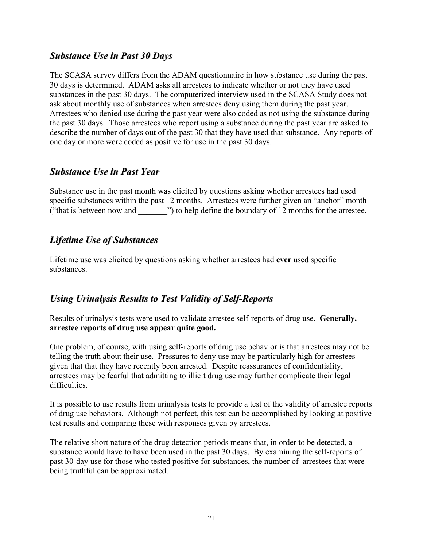#### *Substance Use in Past 30 Days*

The SCASA survey differs from the ADAM questionnaire in how substance use during the past 30 days is determined. ADAM asks all arrestees to indicate whether or not they have used substances in the past 30 days. The computerized interview used in the SCASA Study does not ask about monthly use of substances when arrestees deny using them during the past year. Arrestees who denied use during the past year were also coded as not using the substance during the past 30 days. Those arrestees who report using a substance during the past year are asked to describe the number of days out of the past 30 that they have used that substance. Any reports of one day or more were coded as positive for use in the past 30 days.

## *Substance Use in Past Year*

Substance use in the past month was elicited by questions asking whether arrestees had used specific substances within the past 12 months. Arrestees were further given an "anchor" month ("that is between now and ") to help define the boundary of 12 months for the arrestee.

## *Lifetime Use of Substances*

Lifetime use was elicited by questions asking whether arrestees had **ever** used specific substances.

## *Using Urinalysis Results to Test Validity of Self-Reports*

Results of urinalysis tests were used to validate arrestee self-reports of drug use. **Generally, arrestee reports of drug use appear quite good.**

One problem, of course, with using self-reports of drug use behavior is that arrestees may not be telling the truth about their use. Pressures to deny use may be particularly high for arrestees given that that they have recently been arrested. Despite reassurances of confidentiality, arrestees may be fearful that admitting to illicit drug use may further complicate their legal difficulties.

It is possible to use results from urinalysis tests to provide a test of the validity of arrestee reports of drug use behaviors. Although not perfect, this test can be accomplished by looking at positive test results and comparing these with responses given by arrestees.

The relative short nature of the drug detection periods means that, in order to be detected, a substance would have to have been used in the past 30 days. By examining the self-reports of past 30-day use for those who tested positive for substances, the number of arrestees that were being truthful can be approximated.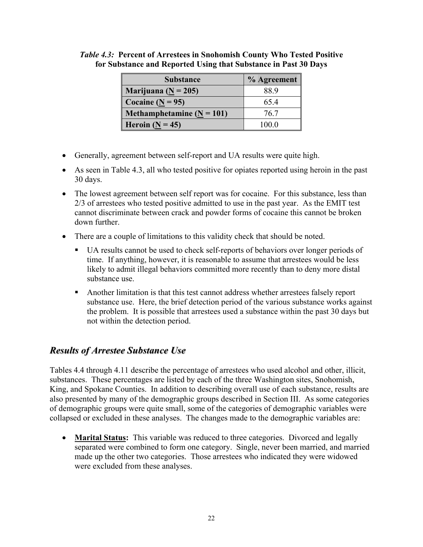| r substance and reported Using that substance in Fast 30 Da |             |  |
|-------------------------------------------------------------|-------------|--|
| <b>Substance</b>                                            | % Agreement |  |
| $Marijuana (N = 205)$                                       | 88 9        |  |
| Cocaine $(\underline{N} = 95)$                              |             |  |

**Methamphetamine (N = 101)**  $\qquad$  76.7 **Heroin (N = 45)** 100.0

#### *Table 4.3:* **Percent of Arrestees in Snohomish County Who Tested Positive for Substance and Reported Using that Substance in Past 30 Days**

- Generally, agreement between self-report and UA results were quite high.
- As seen in Table 4.3, all who tested positive for opiates reported using heroin in the past 30 days.
- The lowest agreement between self report was for cocaine. For this substance, less than 2/3 of arrestees who tested positive admitted to use in the past year. As the EMIT test cannot discriminate between crack and powder forms of cocaine this cannot be broken down further.
- There are a couple of limitations to this validity check that should be noted.
	- UA results cannot be used to check self-reports of behaviors over longer periods of time. If anything, however, it is reasonable to assume that arrestees would be less likely to admit illegal behaviors committed more recently than to deny more distal substance use.
	- Another limitation is that this test cannot address whether arrestees falsely report substance use. Here, the brief detection period of the various substance works against the problem. It is possible that arrestees used a substance within the past 30 days but not within the detection period.

## *Results of Arrestee Substance Use*

Tables 4.4 through 4.11 describe the percentage of arrestees who used alcohol and other, illicit, substances. These percentages are listed by each of the three Washington sites, Snohomish, King, and Spokane Counties. In addition to describing overall use of each substance, results are also presented by many of the demographic groups described in Section III. As some categories of demographic groups were quite small, some of the categories of demographic variables were collapsed or excluded in these analyses. The changes made to the demographic variables are:

• **Marital Status:** This variable was reduced to three categories. Divorced and legally separated were combined to form one category. Single, never been married, and married made up the other two categories. Those arrestees who indicated they were widowed were excluded from these analyses.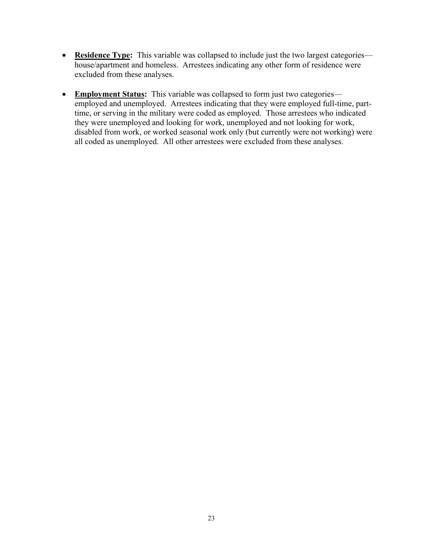- **Residence Type:** This variable was collapsed to include just the two largest categories house/apartment and homeless. Arrestees indicating any other form of residence were excluded from these analyses.
- **Employment Status:** This variable was collapsed to form just two categories employed and unemployed. Arrestees indicating that they were employed full-time, parttime, or serving in the military were coded as employed. Those arrestees who indicated they were unemployed and looking for work, unemployed and not looking for work, disabled from work, or worked seasonal work only (but currently were not working) were all coded as unemployed. All other arrestees were excluded from these analyses.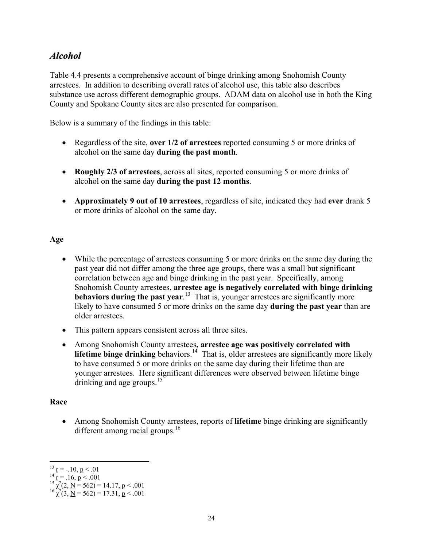## *Alcohol*

Table 4.4 presents a comprehensive account of binge drinking among Snohomish County arrestees. In addition to describing overall rates of alcohol use, this table also describes substance use across different demographic groups. ADAM data on alcohol use in both the King County and Spokane County sites are also presented for comparison.

Below is a summary of the findings in this table:

- Regardless of the site, **over 1/2 of arrestees** reported consuming 5 or more drinks of alcohol on the same day **during the past month**.
- **Roughly 2/3 of arrestees**, across all sites, reported consuming 5 or more drinks of alcohol on the same day **during the past 12 months**.
- **Approximately 9 out of 10 arrestees**, regardless of site, indicated they had **ever** drank 5 or more drinks of alcohol on the same day.

#### **Age**

- While the percentage of arrestees consuming 5 or more drinks on the same day during the past year did not differ among the three age groups, there was a small but significant correlation between age and binge drinking in the past year. Specifically, among Snohomish County arrestees, **arrestee age is negatively correlated with binge drinking behaviors during the past year.**<sup>13</sup> That is, younger arrestees are significantly more likely to have consumed 5 or more drinks on the same day **during the past year** than are older arrestees.
- This pattern appears consistent across all three sites.
- Among Snohomish County arrestees**, arrestee age was positively correlated with lifetime binge drinking** behaviors.<sup>14</sup> That is, older arrestees are significantly more likely to have consumed 5 or more drinks on the same day during their lifetime than are younger arrestees. Here significant differences were observed between lifetime binge drinking and age groups.<sup>15</sup>

#### **Race**

<u>.</u>

• Among Snohomish County arrestees, reports of **lifetime** binge drinking are significantly different among racial groups.<sup>16</sup>

<sup>&</sup>lt;sup>13</sup> r = -.10, p < .01<br>
<sup>14</sup> r = .16, p < .001<br>
<sup>15</sup>  $\chi^2(2, \underline{N} = 562) = 14.17$ , p < .001<br>
<sup>16</sup>  $\chi^2(3, \underline{N} = 562) = 17.31$ , p < .001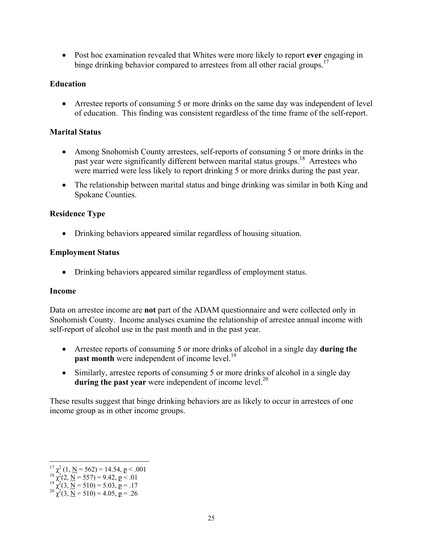• Post hoc examination revealed that Whites were more likely to report **ever** engaging in binge drinking behavior compared to arrestees from all other racial groups.<sup>17</sup>

## **Education**

• Arrestee reports of consuming 5 or more drinks on the same day was independent of level of education. This finding was consistent regardless of the time frame of the self-report.

### **Marital Status**

- Among Snohomish County arrestees, self-reports of consuming 5 or more drinks in the past year were significantly different between marital status groups.<sup>18</sup> Arrestees who were married were less likely to report drinking 5 or more drinks during the past year.
- The relationship between marital status and binge drinking was similar in both King and Spokane Counties.

### **Residence Type**

• Drinking behaviors appeared similar regardless of housing situation.

### **Employment Status**

• Drinking behaviors appeared similar regardless of employment status.

#### **Income**

Data on arrestee income are **not** part of the ADAM questionnaire and were collected only in Snohomish County. Income analyses examine the relationship of arrestee annual income with self-report of alcohol use in the past month and in the past year.

- Arrestee reports of consuming 5 or more drinks of alcohol in a single day **during the past month** were independent of income level.<sup>19</sup>
- Similarly, arrestee reports of consuming 5 or more drinks of alcohol in a single day **during the past year** were independent of income level.<sup>20</sup>

These results suggest that binge drinking behaviors are as likely to occur in arrestees of one income group as in other income groups.

 $\overline{a}$  $^{17}_{18}$   $\chi^2$  (1, <u>N</u> = 562) = 14.54, **p** < .001<br>  $^{18}$   $\chi^2$  (2, <u>N</u> = 557) = 9.42, **p** < .01

<sup>&</sup>lt;sup>18</sup>  $\chi^2$ (2, <u>N</u> = 557) = 9.42, <u>p</u> < .01<br><sup>19</sup>  $\chi^2$ (3, <u>N</u> = 510) = 5.03, <u>p</u> = .17<br><sup>20</sup>  $\chi^2$ (3, <u>N</u> = 510) = 4.05, <u>p</u> = .26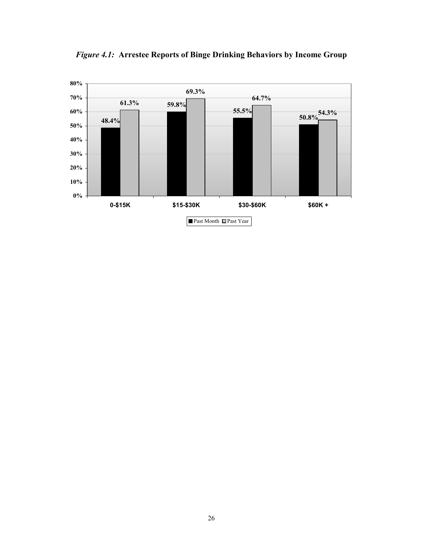

*Figure 4.1:* **Arrestee Reports of Binge Drinking Behaviors by Income Group**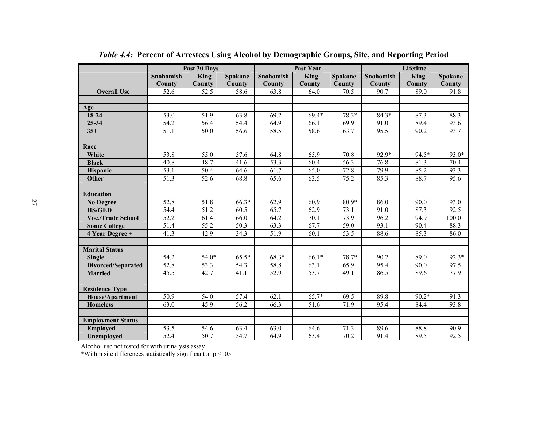|                          |                   | Past 30 Days |         |           | <b>Past Year</b> |         | Lifetime  |         |         |  |
|--------------------------|-------------------|--------------|---------|-----------|------------------|---------|-----------|---------|---------|--|
|                          | Snohomish         | King         | Spokane | Snohomish | King             | Spokane | Snohomish | King    | Spokane |  |
|                          | County            | County       | County  | County    | County           | County  | County    | County  | County  |  |
| <b>Overall Use</b>       | 52.6              | 52.5         | 58.6    | 63.8      | 64.0             | 70.5    | 90.7      | 89.0    | 91.8    |  |
|                          |                   |              |         |           |                  |         |           |         |         |  |
| Age                      |                   |              |         |           |                  |         |           |         |         |  |
| 18-24                    | 53.0              | 51.9         | 63.8    | 69.2      | $69.4*$          | 78.3*   | $84.3*$   | 87.3    | 88.3    |  |
| 25-34                    | 54.2              | 56.4         | 54.4    | 64.9      | 66.1             | 69.9    | 91.0      | 89.4    | 93.6    |  |
| $35+$                    | 51.1              | 50.0         | 56.6    | 58.5      | 58.6             | 63.7    | 95.5      | 90.2    | 93.7    |  |
|                          |                   |              |         |           |                  |         |           |         |         |  |
| Race                     |                   |              |         |           |                  |         |           |         |         |  |
| White                    | 53.8              | 55.0         | 57.6    | 64.8      | 65.9             | 70.8    | 92.9*     | 94.5*   | 93.0*   |  |
| <b>Black</b>             | 40.8              | 48.7         | 41.6    | 53.3      | 60.4             | 56.3    | 76.8      | 81.3    | 70.4    |  |
| <b>Hispanic</b>          | $\overline{53.1}$ | 50.4         | 64.6    | 61.7      | 65.0             | 72.8    | 79.9      | 85.2    | 93.3    |  |
| Other                    | $\overline{51.3}$ | 52.6         | 68.8    | 65.6      | 63.5             | 75.2    | 85.3      | 88.7    | 95.6    |  |
|                          |                   |              |         |           |                  |         |           |         |         |  |
| <b>Education</b>         |                   |              |         |           |                  |         |           |         |         |  |
| <b>No Degree</b>         | 52.8              | 51.8         | 66.3*   | 62.9      | 60.9             | 80.9*   | 86.0      | 90.0    | 93.0    |  |
| <b>HS/GED</b>            | 54.4              | 51.2         | 60.5    | 65.7      | 62.9             | 73.1    | 91.0      | 87.3    | 92.5    |  |
| <b>Voc./Trade School</b> | $\overline{52.2}$ | 61.4         | 66.0    | 64.2      | 70.1             | 73.9    | 96.2      | 94.9    | 100.0   |  |
| <b>Some College</b>      | 51.4              | 55.2         | 50.3    | 63.3      | 67.7             | 59.0    | 93.1      | 90.4    | 88.3    |  |
| 4 Year Degree +          | 41.3              | 42.9         | 34.3    | 51.9      | 60.1             | 53.5    | 88.6      | 85.3    | 86.0    |  |
|                          |                   |              |         |           |                  |         |           |         |         |  |
| <b>Marital Status</b>    |                   |              |         |           |                  |         |           |         |         |  |
| <b>Single</b>            | 54.2              | $54.0*$      | 65.5*   | 68.3*     | $66.1*$          | 78.7*   | 90.2      | 89.0    | $92.3*$ |  |
| Divorced/Separated       | 52.8              | 53.3         | 54.3    | 58.8      | 63.1             | 65.9    | 95.4      | 90.0    | 97.5    |  |
| <b>Married</b>           | 45.5              | 42.7         | 41.1    | 52.9      | 53.7             | 49.1    | 86.5      | 89.6    | 77.9    |  |
|                          |                   |              |         |           |                  |         |           |         |         |  |
| <b>Residence Type</b>    |                   |              |         |           |                  |         |           |         |         |  |
| House/Apartment          | 50.9              | 54.0         | 57.4    | 62.1      | $65.7*$          | 69.5    | 89.8      | $90.2*$ | 91.3    |  |
| <b>Homeless</b>          | 63.0              | 45.9         | 56.2    | 66.3      | 51.6             | 71.9    | 95.4      | 84.4    | 93.8    |  |
|                          |                   |              |         |           |                  |         |           |         |         |  |
| <b>Employment Status</b> |                   |              |         |           |                  |         |           |         |         |  |
| <b>Employed</b>          | 53.5              | 54.6         | 63.4    | 63.0      | 64.6             | 71.3    | 89.6      | 88.8    | 90.9    |  |
| Unemployed               | $\overline{52.4}$ | 50.7         | 54.7    | 64.9      | 63.4             | 70.2    | 91.4      | 89.5    | 92.5    |  |

*Table 4.4:* **Percent of Arrestees Using Alcohol by Demographic Groups, Site, and Reporting Period** 

Alcohol use not tested for with urinalysis assay.

\*Within site differences statistically significant at  $p < .05$ .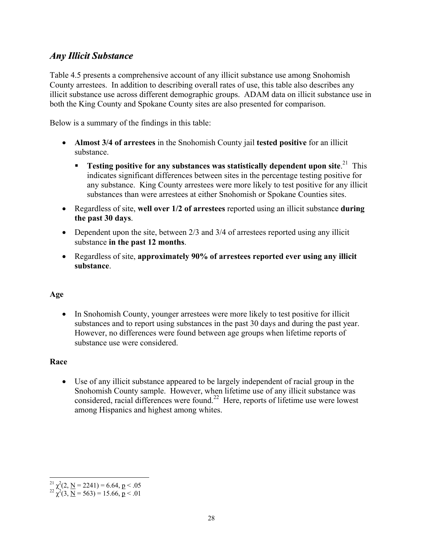# *Any Illicit Substance*

Table 4.5 presents a comprehensive account of any illicit substance use among Snohomish County arrestees. In addition to describing overall rates of use, this table also describes any illicit substance use across different demographic groups. ADAM data on illicit substance use in both the King County and Spokane County sites are also presented for comparison.

Below is a summary of the findings in this table:

- **Almost 3/4 of arrestees** in the Snohomish County jail **tested positive** for an illicit substance.
	- **Testing positive for any substances was statistically dependent upon site.**<sup>21</sup> This indicates significant differences between sites in the percentage testing positive for any substance. King County arrestees were more likely to test positive for any illicit substances than were arrestees at either Snohomish or Spokane Counties sites.
- Regardless of site, **well over 1/2 of arrestees** reported using an illicit substance **during the past 30 days**.
- Dependent upon the site, between 2/3 and 3/4 of arrestees reported using any illicit substance **in the past 12 months**.
- Regardless of site, **approximately 90% of arrestees reported ever using any illicit substance**.

## **Age**

• In Snohomish County, younger arrestees were more likely to test positive for illicit substances and to report using substances in the past 30 days and during the past year. However, no differences were found between age groups when lifetime reports of substance use were considered.

#### **Race**

• Use of any illicit substance appeared to be largely independent of racial group in the Snohomish County sample. However, when lifetime use of any illicit substance was considered, racial differences were found.22 Here, reports of lifetime use were lowest among Hispanics and highest among whites.

 $\overline{a}$ <sup>21</sup>  $\chi^2$ (2, <u>N</u> = 2241) = 6.64, <u>p</u> < .05<br><sup>22</sup>  $\chi^2$ (3, <u>N</u> = 563) = 15.66, p < .01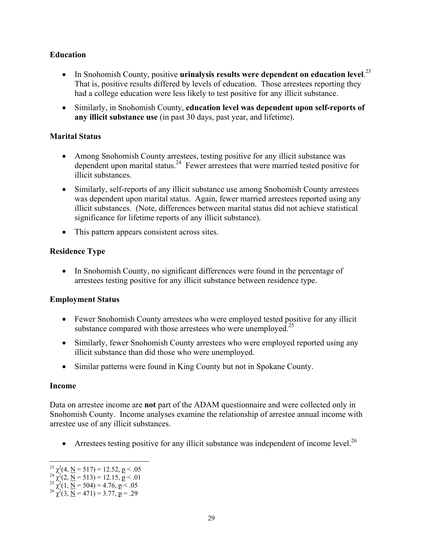## **Education**

- In Snohomish County, positive **urinalysis results were dependent on education level.**<sup>23</sup> That is, positive results differed by levels of education. Those arrestees reporting they had a college education were less likely to test positive for any illicit substance.
- Similarly, in Snohomish County, **education level was dependent upon self-reports of any illicit substance use** (in past 30 days, past year, and lifetime).

### **Marital Status**

- Among Snohomish County arrestees, testing positive for any illicit substance was dependent upon marital status.<sup>24</sup> Fewer arrestees that were married tested positive for illicit substances.
- Similarly, self-reports of any illicit substance use among Snohomish County arrestees was dependent upon marital status. Again, fewer married arrestees reported using any illicit substances. (Note, differences between marital status did not achieve statistical significance for lifetime reports of any illicit substance).
- This pattern appears consistent across sites.

## **Residence Type**

• In Snohomish County, no significant differences were found in the percentage of arrestees testing positive for any illicit substance between residence type.

## **Employment Status**

- Fewer Snohomish County arrestees who were employed tested positive for any illicit substance compared with those arrestees who were unemployed.<sup>25</sup>
- Similarly, fewer Snohomish County arrestees who were employed reported using any illicit substance than did those who were unemployed.
- Similar patterns were found in King County but not in Spokane County.

#### **Income**

<u>.</u>

Data on arrestee income are **not** part of the ADAM questionnaire and were collected only in Snohomish County. Income analyses examine the relationship of arrestee annual income with arrestee use of any illicit substances.

• Arrestees testing positive for any illicit substance was independent of income level.<sup>26</sup>

 $^{23}$   $\chi^2$ (4, <u>N</u> = 517) = 12.52, p < .05<br>  $^{24}$   $\chi^2$ (2, <u>N</u> = 513) = 12.15, p < .01

<sup>&</sup>lt;sup>24</sup>  $\chi^2(2, \underline{N} = 513) = 12.15, \underline{p} < .01$ <br>
<sup>25</sup>  $\chi^2(1, \underline{N} = 504) = 4.76, \underline{p} < .05$ <br>
<sup>26</sup>  $\chi^2(3, \underline{N} = 471) = 3.77, \underline{p} = .29$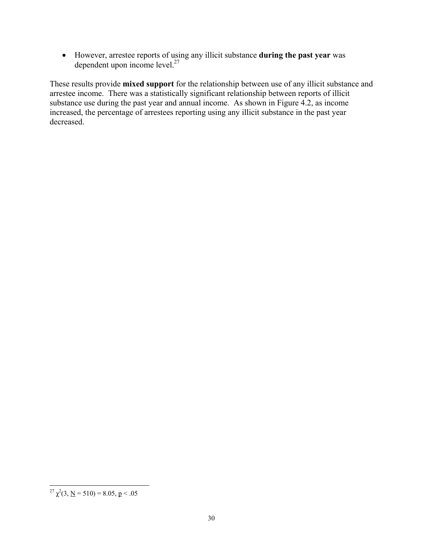• However, arrestee reports of using any illicit substance **during the past year** was dependent upon income  $level.^{27}$ 

These results provide **mixed support** for the relationship between use of any illicit substance and arrestee income. There was a statistically significant relationship between reports of illicit substance use during the past year and annual income. As shown in Figure 4.2, as income increased, the percentage of arrestees reporting using any illicit substance in the past year decreased.

 $\overline{a}$ <sup>27</sup>  $\chi^2$ (3, <u>N</u> = 510) = 8.05, <u>p</u> < .05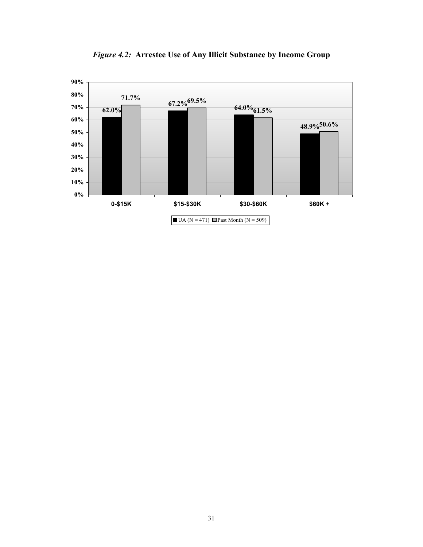

*Figure 4.2:* **Arrestee Use of Any Illicit Substance by Income Group**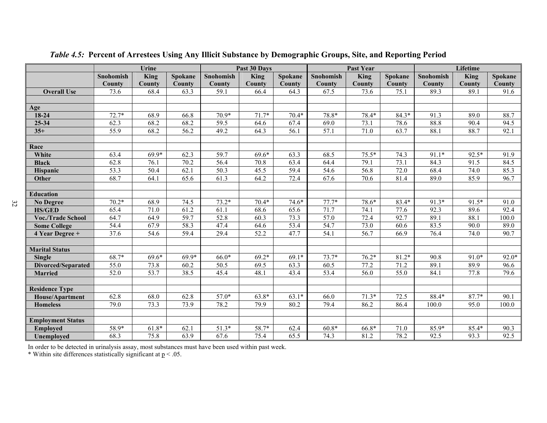|                          | Urine             |         |         |                   | Past 30 Days      |         |                   | Past Year   |         | Lifetime  |        |                |
|--------------------------|-------------------|---------|---------|-------------------|-------------------|---------|-------------------|-------------|---------|-----------|--------|----------------|
|                          | <b>Snohomish</b>  | King    | Spokane | Snohomish         | <b>King</b>       | Spokane | Snohomish         | <b>King</b> | Spokane | Snohomish | King   | <b>Spokane</b> |
|                          | County            | County  | County  | <b>County</b>     | County            | County  | <b>County</b>     | County      | County  | County    | County | County         |
| <b>Overall Use</b>       | 73.6              | 68.4    | 63.3    | $\overline{59.1}$ | 66.4              | 64.3    | 67.5              | 73.6        | 75.1    | 89.3      | 89.1   | 91.6           |
|                          |                   |         |         |                   |                   |         |                   |             |         |           |        |                |
| Age                      |                   |         |         |                   |                   |         |                   |             |         |           |        |                |
| 18-24                    | $72.7*$           | 68.9    | 66.8    | $70.9*$           | $71.7*$           | $70.4*$ | 78.8*             | 78.4*       | $84.3*$ | 91.3      | 89.0   | 88.7           |
| $25 - 34$                | 62.3              | 68.2    | 68.2    | 59.5              | 64.6              | 67.4    | 69.0              | 73.1        | 78.6    | 88.8      | 90.4   | 94.5           |
| $35+$                    | 55.9              | 68.2    | 56.2    | 49.2              | 64.3              | 56.1    | 57.1              | 71.0        | 63.7    | 88.1      | 88.7   | 92.1           |
|                          |                   |         |         |                   |                   |         |                   |             |         |           |        |                |
| Race                     |                   |         |         |                   |                   |         |                   |             |         |           |        |                |
| White                    | 63.4              | $69.9*$ | 62.3    | 59.7              | $69.6*$           | 63.3    | 68.5              | $75.5*$     | 74.3    | $91.1*$   | 92.5*  | 91.9           |
| <b>Black</b>             | 62.8              | 76.1    | 70.2    | 56.4              | 70.8              | 63.4    | 64.4              | 79.1        | 73.1    | 84.3      | 91.5   | 84.5           |
| Hispanic                 | $\overline{53.3}$ | 50.4    | 62.1    | 50.3              | 45.5              | 59.4    | 54.6              | 56.8        | 72.0    | 68.4      | 74.0   | 85.3           |
| Other                    | 68.7              | 64.1    | 65.6    | 61.3              | 64.2              | 72.4    | 67.6              | 70.6        | 81.4    | 89.0      | 85.9   | 96.7           |
|                          |                   |         |         |                   |                   |         |                   |             |         |           |        |                |
| <b>Education</b>         |                   |         |         |                   |                   |         |                   |             |         |           |        |                |
| <b>No Degree</b>         | $70.2*$           | 68.9    | 74.5    | $73.2*$           | $70.4*$           | $74.6*$ | $77.7*$           | 78.6*       | 83.4*   | $91.3*$   | 91.5*  | 91.0           |
| <b>HS/GED</b>            | 65.4              | 71.0    | 61.2    | 61.1              | 68.6              | 65.6    | 71.7              | 74.1        | 77.6    | 92.3      | 89.6   | 92.4           |
| <b>Voc./Trade School</b> | 64.7              | 64.9    | 59.7    | 52.8              | 60.3              | 73.3    | 57.0              | 72.4        | 92.7    | 89.1      | 88.1   | 100.0          |
| <b>Some College</b>      | 54.4              | 67.9    | 58.3    | 47.4              | 64.6              | 53.4    | $\overline{54.7}$ | 73.0        | 60.6    | 83.5      | 90.0   | 89.0           |
| 4 Year Degree +          | 37.6              | 54.6    | 59.4    | $\overline{29.4}$ | $\overline{52.2}$ | 47.7    | 54.1              | 56.7        | 66.9    | 76.4      | 74.0   | 90.7           |
|                          |                   |         |         |                   |                   |         |                   |             |         |           |        |                |
| <b>Marital Status</b>    |                   |         |         |                   |                   |         |                   |             |         |           |        |                |
| <b>Single</b>            | 68.7*             | $69.6*$ | 69.9*   | $66.0*$           | $69.2*$           | $69.1*$ | $73.7*$           | $76.2*$     | 81.2*   | 90.8      | 91.0*  | $92.0*$        |
| Divorced/Separated       | 55.0              | 73.8    | 60.2    | 50.5              | 69.5              | 63.3    | 60.5              | 77.2        | 71.2    | 89.1      | 89.9   | 96.6           |
| <b>Married</b>           | 52.0              | 53.7    | 38.5    | 45.4              | 48.1              | 43.4    | 53.4              | 56.0        | 55.0    | 84.1      | 77.8   | 79.6           |
|                          |                   |         |         |                   |                   |         |                   |             |         |           |        |                |
| <b>Residence Type</b>    |                   |         |         |                   |                   |         |                   |             |         |           |        |                |
| <b>House/Apartment</b>   | 62.8              | 68.0    | 62.8    | $57.0*$           | $63.8*$           | $63.1*$ | 66.0              | $71.3*$     | 72.5    | 88.4*     | 87.7*  | 90.1           |
| <b>Homeless</b>          | 79.0              | 73.3    | 73.9    | 78.2              | 79.9              | 80.2    | 79.4              | 86.2        | 86.4    | 100.0     | 95.0   | 100.0          |
|                          |                   |         |         |                   |                   |         |                   |             |         |           |        |                |
| <b>Employment Status</b> |                   |         |         |                   |                   |         |                   |             |         |           |        |                |
| <b>Employed</b>          | 58.9*             | $61.8*$ | 62.1    | $51.3*$           | 58.7*             | 62.4    | $60.8*$           | 66.8*       | 71.0    | 85.9*     | 85.4*  | 90.3           |
| <b>Unemployed</b>        | 68.3              | 75.8    | 63.9    | $\overline{67.6}$ | 75.4              | 65.5    | 74.3              | 81.2        | 78.2    | 92.5      | 93.3   | 92.5           |

*Table 4.5:* **Percent of Arrestees Using Any Illicit Substance by Demographic Groups, Site, and Reporting Period** 

In order to be detected in urinalysis assay, most substances must have been used within past week.

\* Within site differences statistically significant at  $p < .05$ .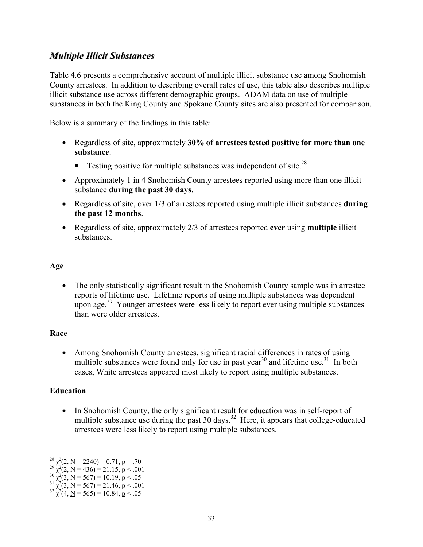# *Multiple Illicit Substances*

Table 4.6 presents a comprehensive account of multiple illicit substance use among Snohomish County arrestees. In addition to describing overall rates of use, this table also describes multiple illicit substance use across different demographic groups. ADAM data on use of multiple substances in both the King County and Spokane County sites are also presented for comparison.

Below is a summary of the findings in this table:

- Regardless of site, approximately **30% of arrestees tested positive for more than one substance**.
	- **Testing positive for multiple substances was independent of site.**<sup>28</sup>
- Approximately 1 in 4 Snohomish County arrestees reported using more than one illicit substance **during the past 30 days**.
- Regardless of site, over 1/3 of arrestees reported using multiple illicit substances **during the past 12 months**.
- Regardless of site, approximately 2/3 of arrestees reported **ever** using **multiple** illicit substances.

## **Age**

• The only statistically significant result in the Snohomish County sample was in arrestee reports of lifetime use. Lifetime reports of using multiple substances was dependent upon age.<sup>29</sup> Younger arrestees were less likely to report ever using multiple substances than were older arrestees.

## **Race**

• Among Snohomish County arrestees, significant racial differences in rates of using multiple substances were found only for use in past year<sup>30</sup> and lifetime use.<sup>31</sup> In both cases, White arrestees appeared most likely to report using multiple substances.

## **Education**

 $\overline{a}$ 

• In Snohomish County, the only significant result for education was in self-report of multiple substance use during the past 30 days.<sup>32</sup> Here, it appears that college-educated arrestees were less likely to report using multiple substances.

<sup>&</sup>lt;sup>28</sup>  $\chi^2$ (2, <u>N</u> = 2240) = 0.71, **p** = .70<br>
<sup>29</sup>  $\chi^2$ (2, <u>N</u> = 436) = 21.15, **p** < .001<br>
<sup>30</sup>  $\chi^2$ (3, <u>N</u> = 567) = 10.19, **p** < .05

<sup>&</sup>lt;sup>30</sup>  $\chi^2$ (3, <u>N</u> = 567) = 10.19, **p** < .05<br>
<sup>31</sup>  $\chi^2$ (3, <u>N</u> = 567) = 21.46, **p** < .001<br>
<sup>32</sup>  $\chi^2$ (4, <u>N</u> = 565) = 10.84, **p** < .05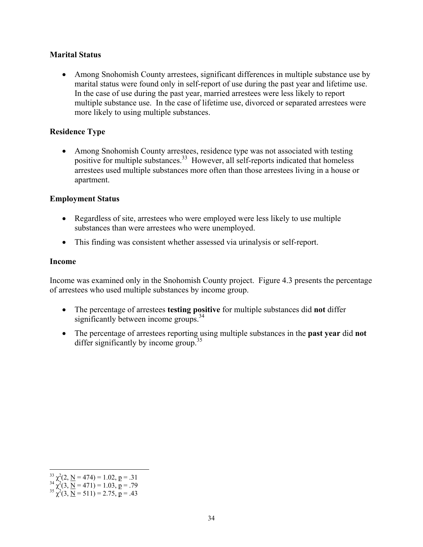### **Marital Status**

• Among Snohomish County arrestees, significant differences in multiple substance use by marital status were found only in self-report of use during the past year and lifetime use. In the case of use during the past year, married arrestees were less likely to report multiple substance use. In the case of lifetime use, divorced or separated arrestees were more likely to using multiple substances.

### **Residence Type**

• Among Snohomish County arrestees, residence type was not associated with testing positive for multiple substances.<sup>33</sup> However, all self-reports indicated that homeless arrestees used multiple substances more often than those arrestees living in a house or apartment.

#### **Employment Status**

- Regardless of site, arrestees who were employed were less likely to use multiple substances than were arrestees who were unemployed.
- This finding was consistent whether assessed via urinalysis or self-report.

#### **Income**

Income was examined only in the Snohomish County project. Figure 4.3 presents the percentage of arrestees who used multiple substances by income group.

- The percentage of arrestees **testing positive** for multiple substances did **not** differ significantly between income groups.<sup>34</sup>
- The percentage of arrestees reporting using multiple substances in the **past year** did **not** differ significantly by income group.<sup>35</sup>

 $\overline{a}$ 

<sup>&</sup>lt;sup>33</sup>  $\chi^2$  (2, <u>N</u> = 474) = 1.02, <u>p</u> = .31<br><sup>34</sup>  $\chi^2$  (3, <u>N</u> = 471) = 1.03, <u>p</u> = .79<br><sup>35</sup>  $\chi^2$  (3, <u>N</u> = 511) = 2.75, <u>p</u> = .43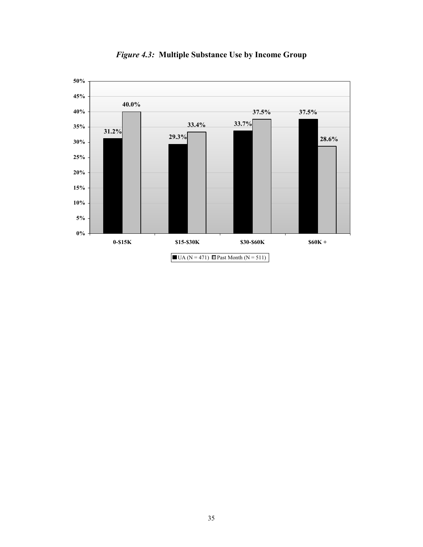

*Figure 4.3:* **Multiple Substance Use by Income Group**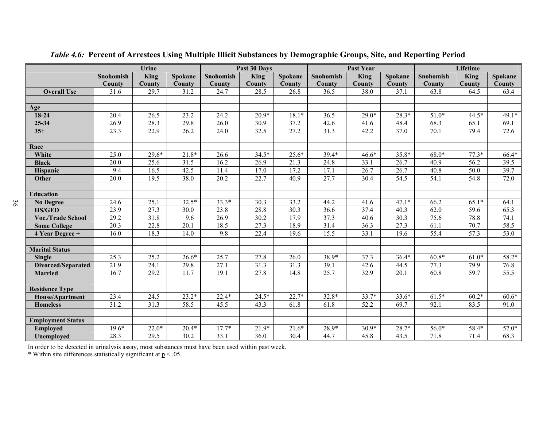|                          |                   | <b>Urine</b> |         |                   | Past 30 Days |         |                  | Past Year         |         | Lifetime  |                   |         |
|--------------------------|-------------------|--------------|---------|-------------------|--------------|---------|------------------|-------------------|---------|-----------|-------------------|---------|
|                          | <b>Snohomish</b>  | King         | Spokane | Snohomish         | King         | Spokane | <b>Snohomish</b> | <b>King</b>       | Spokane | Snohomish | King              | Spokane |
|                          | County            | County       | County  | County            | County       | County  | <b>County</b>    | County            | County  | County    | County            | County  |
| <b>Overall Use</b>       | 31.6              | 29.7         | 31.2    | 24.7              | 28.5         | 26.8    | 36.5             | 38.0              | 37.1    | 63.8      | 64.5              | 63.4    |
|                          |                   |              |         |                   |              |         |                  |                   |         |           |                   |         |
| Age                      |                   |              |         |                   |              |         |                  |                   |         |           |                   |         |
| 18-24                    | 20.4              | 26.5         | 23.2    | 24.2              | $20.9*$      | $18.1*$ | 36.5             | $29.0*$           | $28.3*$ | $51.0*$   | 44.5*             | $49.1*$ |
| 25-34                    | 26.9              | 28.3         | 29.8    | $\overline{26.0}$ | 30.9         | 37.2    | 42.6             | 41.6              | 48.4    | 68.3      | 65.1              | 69.1    |
| $35+$                    | 23.3              | 22.9         | 26.2    | 24.0              | 32.5         | 27.2    | 31.3             | 42.2              | 37.0    | 70.1      | 79.4              | 72.6    |
|                          |                   |              |         |                   |              |         |                  |                   |         |           |                   |         |
| Race                     |                   |              |         |                   |              |         |                  |                   |         |           |                   |         |
| White                    | 25.0              | $29.6*$      | $21.8*$ | 26.6              | $34.5*$      | $25.6*$ | 39.4*            | $46.6*$           | 35.8*   | $68.0*$   | $77.3*$           | 66.4*   |
| <b>Black</b>             | $\overline{20.0}$ | 25.6         | 31.5    | 16.2              | 26.9         | 21.3    | 24.8             | 33.1              | 26.7    | 40.9      | $\overline{56.2}$ | 39.5    |
| Hispanic                 | 9.4               | 16.5         | 42.5    | 11.4              | 17.0         | 17.2    | 17.1             | 26.7              | 26.7    | 40.8      | 50.0              | 39.7    |
| Other                    | $\overline{20.0}$ | 19.5         | 38.0    | 20.2              | 22.7         | 40.9    | 27.7             | $\overline{30.4}$ | 54.5    | 54.1      | 54.8              | 72.0    |
|                          |                   |              |         |                   |              |         |                  |                   |         |           |                   |         |
| <b>Education</b>         |                   |              |         |                   |              |         |                  |                   |         |           |                   |         |
| <b>No Degree</b>         | 24.6              | 25.1         | $32.5*$ | $33.3*$           | 30.3         | 33.2    | 44.2             | 41.6              | $47.1*$ | 66.2      | $65.1*$           | 64.1    |
| <b>HS/GED</b>            | 23.9              | 27.3         | 30.0    | 23.8              | 28.8         | 30.3    | 36.6             | 37.4              | 40.3    | 62.0      | 59.6              | 65.3    |
| <b>Voc./Trade School</b> | 29.2              | 31.8         | 9.6     | 26.9              | 30.2         | 17.9    | 37.3             | 40.6              | 30.3    | 75.6      | 78.8              | 74.1    |
| <b>Some College</b>      | 20.3              | 22.8         | 20.1    | 18.5              | 27.3         | 18.9    | 31.4             | 36.3              | 27.3    | 61.1      | 70.7              | 58.5    |
| 4 Year Degree +          | 16.0              | 18.3         | 14.0    | 9.8               | 22.4         | 19.6    | 15.5             | 33.1              | 19.6    | 55.4      | 57.3              | 53.0    |
|                          |                   |              |         |                   |              |         |                  |                   |         |           |                   |         |
| <b>Marital Status</b>    |                   |              |         |                   |              |         |                  |                   |         |           |                   |         |
| <b>Single</b>            | 25.3              | 25.2         | $26.6*$ | 25.7              | 27.8         | 26.0    | 38.9*            | 37.3              | $36.4*$ | $60.8*$   | $61.0*$           | 58.2*   |
| Divorced/Separated       | 21.9              | 24.1         | 29.8    | 27.1              | 31.3         | 31.3    | 39.1             | 42.6              | 44.5    | 77.3      | 79.9              | 76.8    |
| <b>Married</b>           | 16.7              | 29.2         | 11.7    | 19.1              | 27.8         | 14.8    | 25.7             | 32.9              | 20.1    | 60.8      | 59.7              | 55.5    |
|                          |                   |              |         |                   |              |         |                  |                   |         |           |                   |         |
| <b>Residence Type</b>    |                   |              |         |                   |              |         |                  |                   |         |           |                   |         |
| House/Apartment          | 23.4              | 24.5         | $23.2*$ | $22.4*$           | $24.5*$      | $22.7*$ | $32.8*$          | $33.7*$           | 33.6*   | $61.5*$   | $60.2*$           | $60.6*$ |
| <b>Homeless</b>          | $\overline{31.2}$ | 31.3         | 58.5    | 45.5              | 43.3         | 61.8    | 61.8             | 52.2              | 69.7    | 92.1      | 83.5              | 91.0    |
|                          |                   |              |         |                   |              |         |                  |                   |         |           |                   |         |
| <b>Employment Status</b> |                   |              |         |                   |              |         |                  |                   |         |           |                   |         |
| <b>Employed</b>          | $19.6*$           | $22.0*$      | $20.4*$ | $17.7*$           | $21.9*$      | $21.6*$ | 28.9*            | $30.9*$           | 28.7*   | 56.0*     | 58.4*             | $57.0*$ |
| <b>Unemployed</b>        | 28.3              | 29.5         | 30.2    | 33.1              | 36.0         | 30.4    | 44.7             | 45.8              | 43.5    | 71.8      | 71.4              | 68.3    |

*Table 4.6:* **Percent of Arrestees Using Multiple Illicit Substances by Demographic Groups, Site, and Reporting Period** 

In order to be detected in urinalysis assay, most substances must have been used within past week.

\* Within site differences statistically significant at  $p < 0.05$ .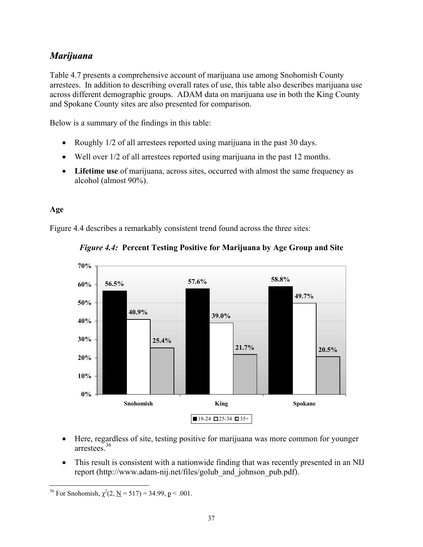# *Marijuana*

Table 4.7 presents a comprehensive account of marijuana use among Snohomish County arrestees. In addition to describing overall rates of use, this table also describes marijuana use across different demographic groups. ADAM data on marijuana use in both the King County and Spokane County sites are also presented for comparison.

Below is a summary of the findings in this table:

- Roughly 1/2 of all arrestees reported using marijuana in the past 30 days.
- Well over 1/2 of all arrestees reported using marijuana in the past 12 months.
- **Lifetime use** of marijuana, across sites, occurred with almost the same frequency as alcohol (almost 90%).

## **Age**

Figure 4.4 describes a remarkably consistent trend found across the three sites:



## *Figure 4.4:* **Percent Testing Positive for Marijuana by Age Group and Site**

- Here, regardless of site, testing positive for marijuana was more common for younger arrestees<sup>36</sup>
- This result is consistent with a nationwide finding that was recently presented in an NIJ report (http://www.adam-nij.net/files/golub\_and\_johnson\_pub.pdf).

<sup>&</sup>lt;u>.</u> <sup>36</sup> For Snohomish,  $\chi^2(2, \underline{N} = 517) = 34.99$ ,  $\underline{p} < .001$ .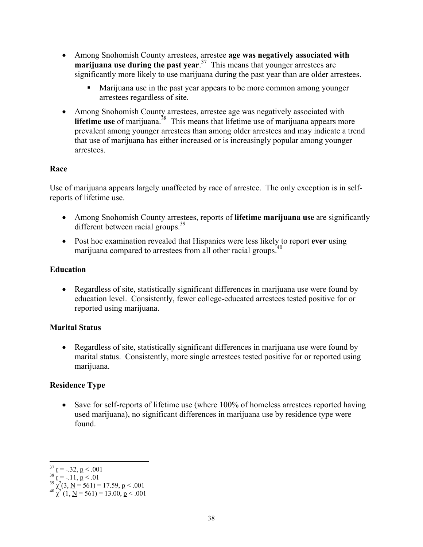- Among Snohomish County arrestees, arrestee **age was negatively associated with marijuana use during the past year**. 37 This means that younger arrestees are significantly more likely to use marijuana during the past year than are older arrestees.
	- Marijuana use in the past year appears to be more common among younger arrestees regardless of site.
- Among Snohomish County arrestees, arrestee age was negatively associated with **lifetime use** of marijuana.<sup>38</sup> This means that lifetime use of marijuana appears more prevalent among younger arrestees than among older arrestees and may indicate a trend that use of marijuana has either increased or is increasingly popular among younger arrestees.

## **Race**

Use of marijuana appears largely unaffected by race of arrestee. The only exception is in selfreports of lifetime use.

- Among Snohomish County arrestees, reports of **lifetime marijuana use** are significantly different between racial groups.<sup>39</sup>
- Post hoc examination revealed that Hispanics were less likely to report **ever** using marijuana compared to arrestees from all other racial groups.<sup>40</sup>

## **Education**

• Regardless of site, statistically significant differences in marijuana use were found by education level. Consistently, fewer college-educated arrestees tested positive for or reported using marijuana.

## **Marital Status**

• Regardless of site, statistically significant differences in marijuana use were found by marital status. Consistently, more single arrestees tested positive for or reported using marijuana.

## **Residence Type**

• Save for self-reports of lifetime use (where 100% of homeless arrestees reported having used marijuana), no significant differences in marijuana use by residence type were found.

 $\overline{a}$ 

<sup>&</sup>lt;sup>37</sup> <u>r</u> = -.32, **p** < .001<br>
<sup>38</sup> r<sup>=</sup> -.11, **p** < .01<br>
<sup>39</sup>  $\chi^2$ (3, <u>N</u> = 561) = 17.59, **p** < .001<br>
<sup>40</sup>  $\chi^2$  (1, <u>N</u> = 561) = 13.00, **p** < .001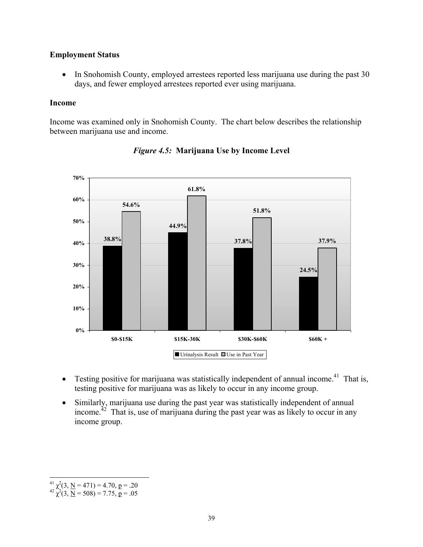### **Employment Status**

• In Snohomish County, employed arrestees reported less marijuana use during the past 30 days, and fewer employed arrestees reported ever using marijuana.

#### **Income**

Income was examined only in Snohomish County. The chart below describes the relationship between marijuana use and income.



*Figure 4.5:* **Marijuana Use by Income Level** 

- Testing positive for marijuana was statistically independent of annual income.<sup>41</sup> That is, testing positive for marijuana was as likely to occur in any income group.
- Similarly, marijuana use during the past year was statistically independent of annual income.<sup> $42$ </sup> That is, use of marijuana during the past year was as likely to occur in any income group.

 $\overline{a}$ <sup>41</sup>  $\chi^2$ (3, <u>N</u> = 471) = 4.70, p = .20<br><sup>42</sup>  $\chi^2$ (3, <u>N</u> = 508) = 7.75, p = .05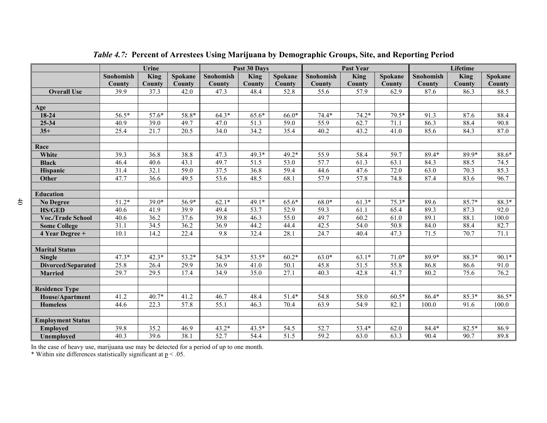|                           | Urine     |         |         | Past 30 Days     |         |         | <b>Past Year</b> |         | Lifetime |           |         |         |
|---------------------------|-----------|---------|---------|------------------|---------|---------|------------------|---------|----------|-----------|---------|---------|
|                           | Snohomish | King    | Spokane | <b>Snohomish</b> | King    | Spokane | <b>Snohomish</b> | King    | Spokane  | Snohomish | King    | Spokane |
|                           | County    | County  | County  | County           | County  | County  | <b>County</b>    | County  | County   | County    | County  | County  |
| <b>Overall Use</b>        | 39.9      | 37.3    | 42.0    | 47.3             | 48.4    | 52.8    | 55.6             | 57.9    | 62.9     | 87.6      | 86.3    | 88.5    |
|                           |           |         |         |                  |         |         |                  |         |          |           |         |         |
| Age                       |           |         |         |                  |         |         |                  |         |          |           |         |         |
| $18 - 24$                 | 56.5*     | $57.6*$ | 58.8*   | $64.3*$          | 65.6*   | $66.0*$ | $74.4*$          | $74.2*$ | 79.5*    | 91.3      | 87.6    | 88.4    |
| $25 - 34$                 | 40.9      | 39.0    | 49.7    | 47.0             | 51.3    | 59.0    | 55.9             | 62.7    | 71.1     | 86.3      | 88.4    | 90.8    |
| $35+$                     | 25.4      | 21.7    | 20.5    | 34.0             | 34.2    | 35.4    | 40.2             | 43.2    | 41.0     | 85.6      | 84.3    | 87.0    |
|                           |           |         |         |                  |         |         |                  |         |          |           |         |         |
| Race                      |           |         |         |                  |         |         |                  |         |          |           |         |         |
| White                     | 39.3      | 36.8    | 38.8    | 47.3             | 49.3*   | $49.2*$ | 55.9             | 58.4    | 59.7     | 89.4*     | 89.9*   | 88.6*   |
| <b>Black</b>              | 46.4      | 40.6    | 43.1    | 49.7             | 51.5    | 53.0    | 57.7             | 61.3    | 63.1     | 84.3      | 88.5    | 74.5    |
| Hispanic                  | 31.4      | 32.1    | 59.0    | 37.5             | 36.8    | 59.4    | 44.6             | 47.6    | 72.0     | 63.0      | 70.3    | 85.3    |
| Other                     | 47.7      | 36.6    | 49.5    | 53.6             | 48.5    | 68.1    | 57.9             | 57.8    | 74.8     | 87.4      | 83.6    | 96.7    |
|                           |           |         |         |                  |         |         |                  |         |          |           |         |         |
| <b>Education</b>          |           |         |         |                  |         |         |                  |         |          |           |         |         |
| <b>No Degree</b>          | $51.2*$   | $39.0*$ | $56.9*$ | $62.1*$          | 49.1*   | 65.6*   | $68.0*$          | $61.3*$ | $75.3*$  | 89.6      | $85.7*$ | 88.3*   |
| <b>HS/GED</b>             | 40.6      | 41.9    | 39.9    | 49.4             | 53.7    | 52.9    | 59.3             | 61.1    | 65.4     | 89.3      | 87.3    | 92.0    |
| <b>Voc./Trade School</b>  | 40.6      | 36.2    | 37.6    | 39.8             | 46.3    | 55.0    | 49.7             | 60.2    | 61.0     | 89.1      | 88.1    | 100.0   |
| <b>Some College</b>       | 31.1      | 34.5    | 36.2    | 36.9             | 44.2    | 44.4    | 42.5             | 54.0    | 50.8     | 84.0      | 88.4    | 82.7    |
| 4 Year Degree +           | 10.1      | 14.2    | 22.4    | 9.8              | 32.4    | 28.1    | 24.7             | 40.4    | 47.3     | 71.5      | 70.7    | 71.1    |
|                           |           |         |         |                  |         |         |                  |         |          |           |         |         |
| <b>Marital Status</b>     |           |         |         |                  |         |         |                  |         |          |           |         |         |
| <b>Single</b>             | $47.3*$   | $42.3*$ | $53.2*$ | $54.3*$          | 53.5*   | $60.2*$ | $63.0*$          | $63.1*$ | $71.0*$  | 89.9*     | 88.3*   | 90.1*   |
| <b>Divorced/Separated</b> | 25.8      | 26.4    | 29.9    | 36.9             | 41.0    | 50.1    | 45.8             | 51.5    | 55.8     | 86.8      | 86.6    | 91.0    |
| <b>Married</b>            | 29.7      | 29.5    | 17.4    | 34.9             | 35.0    | 27.1    | 40.3             | 42.8    | 41.7     | 80.2      | 75.6    | 76.2    |
|                           |           |         |         |                  |         |         |                  |         |          |           |         |         |
| <b>Residence Type</b>     |           |         |         |                  |         |         |                  |         |          |           |         |         |
| House/Apartment           | 41.2      | $40.7*$ | 41.2    | 46.7             | 48.4    | $51.4*$ | 54.8             | 58.0    | $60.5*$  | $86.4*$   | $85.3*$ | $86.5*$ |
| <b>Homeless</b>           | 44.6      | 22.3    | 57.8    | 55.1             | 46.3    | 70.4    | 63.9             | 54.9    | 82.1     | 100.0     | 91.6    | 100.0   |
|                           |           |         |         |                  |         |         |                  |         |          |           |         |         |
| <b>Employment Status</b>  |           |         |         |                  |         |         |                  |         |          |           |         |         |
| <b>Employed</b>           | 39.8      | 35.2    | 46.9    | $43.2*$          | $43.5*$ | 54.5    | 52.7             | 53.4*   | 62.0     | $84.4*$   | 82.5*   | 86.9    |
| Unemployed                | 40.3      | 39.6    | 38.1    | 52.7             | 54.4    | 51.5    | 59.2             | 63.0    | 63.3     | 90.4      | 90.7    | 89.8    |

*Table 4.7:* **Percent of Arrestees Using Marijuana by Demographic Groups, Site, and Reporting Period**

In the case of heavy use, marijuana use may be detected for a period of up to one month.

\* Within site differences statistically significant at  $p < 0.05$ .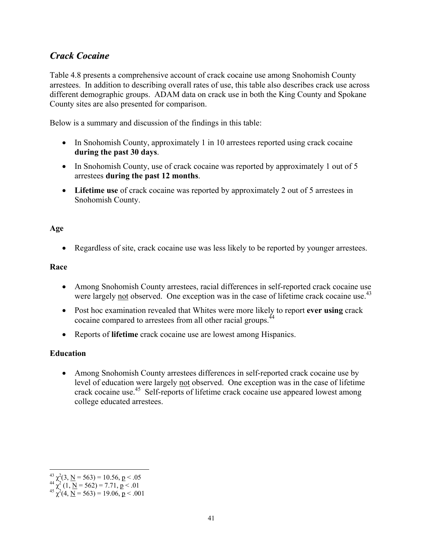# *Crack Cocaine*

Table 4.8 presents a comprehensive account of crack cocaine use among Snohomish County arrestees. In addition to describing overall rates of use, this table also describes crack use across different demographic groups. ADAM data on crack use in both the King County and Spokane County sites are also presented for comparison.

Below is a summary and discussion of the findings in this table:

- In Snohomish County, approximately 1 in 10 arrestees reported using crack cocaine **during the past 30 days**.
- In Snohomish County, use of crack cocaine was reported by approximately 1 out of 5 arrestees **during the past 12 months**.
- **Lifetime use** of crack cocaine was reported by approximately 2 out of 5 arrestees in Snohomish County.

### **Age**

• Regardless of site, crack cocaine use was less likely to be reported by younger arrestees.

## **Race**

- Among Snohomish County arrestees, racial differences in self-reported crack cocaine use were largely not observed. One exception was in the case of lifetime crack cocaine use.<sup>43</sup>
- Post hoc examination revealed that Whites were more likely to report **ever using** crack cocaine compared to arrestees from all other racial groups.<sup>44</sup>
- Reports of **lifetime** crack cocaine use are lowest among Hispanics.

## **Education**

• Among Snohomish County arrestees differences in self-reported crack cocaine use by level of education were largely not observed. One exception was in the case of lifetime crack cocaine use.45 Self-reports of lifetime crack cocaine use appeared lowest among college educated arrestees.

 $\overline{a}$ 

<sup>&</sup>lt;sup>43</sup>  $\chi^2$ (3, <u>N</u> = 563) = 10.56, **p** < .05<br><sup>44</sup>  $\chi^2$  (1, <u>N</u> = 562) = 7.71, **p** < .01<br><sup>45</sup>  $\chi^2$ (4, <u>N</u> = 563) = 19.06, **p** < .001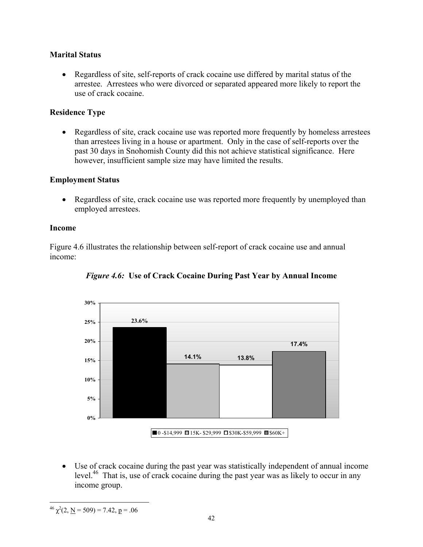## **Marital Status**

• Regardless of site, self-reports of crack cocaine use differed by marital status of the arrestee. Arrestees who were divorced or separated appeared more likely to report the use of crack cocaine.

## **Residence Type**

• Regardless of site, crack cocaine use was reported more frequently by homeless arrestees than arrestees living in a house or apartment. Only in the case of self-reports over the past 30 days in Snohomish County did this not achieve statistical significance. Here however, insufficient sample size may have limited the results.

## **Employment Status**

• Regardless of site, crack cocaine use was reported more frequently by unemployed than employed arrestees.

### **Income**

Figure 4.6 illustrates the relationship between self-report of crack cocaine use and annual income:



*Figure 4.6:* **Use of Crack Cocaine During Past Year by Annual Income** 

• Use of crack cocaine during the past year was statistically independent of annual income level.<sup>46</sup> That is, use of crack cocaine during the past year was as likely to occur in any income group.

<sup>1</sup> <sup>46</sup>  $\chi^2$ (2, <u>N</u> = 509) = 7.42, <u>p</u> = .06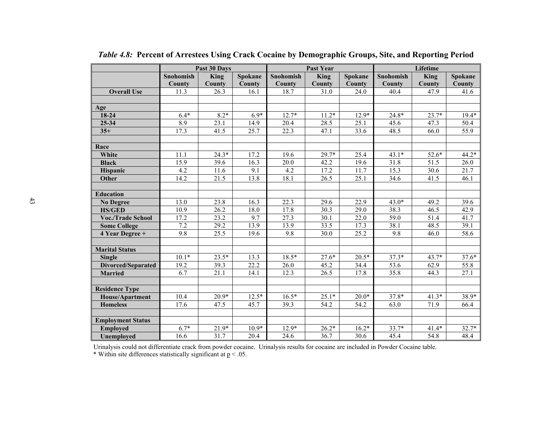|                          |           | Past 30 Days      |         |           | <b>Past Year</b> |         |           | Lifetime    |         |  |  |
|--------------------------|-----------|-------------------|---------|-----------|------------------|---------|-----------|-------------|---------|--|--|
|                          | Snohomish | King              | Spokane | Snohomish | <b>King</b>      | Spokane | Snohomish | <b>King</b> | Spokane |  |  |
|                          | County    | County            | County  | County    | County           | County  | County    | County      | County  |  |  |
| <b>Overall Use</b>       | 11.3      | 26.3              | 16.1    | 18.7      | 31.0             | 24.0    | 40.4      | 47.9        | 41.6    |  |  |
|                          |           |                   |         |           |                  |         |           |             |         |  |  |
| Age                      |           |                   |         |           |                  |         |           |             |         |  |  |
| 18-24                    | $6.4*$    | $8.2*$            | $6.9*$  | $12.7*$   | $11.2*$          | $12.9*$ | 24.8*     | $23.7*$     | $19.4*$ |  |  |
| $25 - 34$                | 8.9       | 23.1              | 14.9    | 20.4      | 28.5             | 25.1    | 45.6      | 47.3        | 50.4    |  |  |
| $35+$                    | 17.3      | 41.5              | 25.7    | 22.3      | 47.1             | 33.6    | 48.5      | 66.0        | 55.9    |  |  |
|                          |           |                   |         |           |                  |         |           |             |         |  |  |
| Race                     |           |                   |         |           |                  |         |           |             |         |  |  |
| White                    | 11.1      | $24.3*$           | 17.2    | 19.6      | 29.7*            | 25.4    | $43.1*$   | 52.6*       | $44.2*$ |  |  |
| <b>Black</b>             | 15.9      | 39.6              | 16.3    | 20.0      | 42.2             | 19.6    | 31.8      | 51.5        | 26.0    |  |  |
| Hispanic                 | 4.2       | 11.6              | 9.1     | 4.2       | 17.2             | 11.7    | 15.3      | 30.6        | 21.7    |  |  |
| Other                    | 14.2      | 21.5              | 13.8    | 18.1      | 26.5             | 25.1    | 34.6      | 41.5        | 46.1    |  |  |
|                          |           |                   |         |           |                  |         |           |             |         |  |  |
| <b>Education</b>         |           |                   |         |           |                  |         |           |             |         |  |  |
| <b>No Degree</b>         | 13.0      | 23.8              | 16.3    | 22.3      | 29.6             | 22.9    | $43.0*$   | 49.2        | 39.6    |  |  |
| <b>HS/GED</b>            | 10.9      | 26.2              | 18.0    | 17.8      | 30.3             | 29.0    | 38.3      | 46.5        | 42.9    |  |  |
| <b>Voc./Trade School</b> | 17.2      | 23.2              | 9.7     | 27.3      | 30.1             | 22.0    | 59.0      | 51.4        | 41.7    |  |  |
| <b>Some College</b>      | 7.2       | 29.2              | 13.9    | 13.9      | 33.5             | 17.3    | 38.1      | 48.5        | 39.1    |  |  |
| 4 Year Degree +          | 9.8       | 25.5              | 19.6    | 9.8       | 30.0             | 25.2    | 9.8       | 46.0        | 58.6    |  |  |
|                          |           |                   |         |           |                  |         |           |             |         |  |  |
| <b>Marital Status</b>    |           |                   |         |           |                  |         |           |             |         |  |  |
| <b>Single</b>            | $10.1*$   | $23.5*$           | 13.3    | $18.5*$   | $27.6*$          | $20.5*$ | $37.3*$   | $43.7*$     | $37.6*$ |  |  |
| Divorced/Separated       | 19.2      | 39.3              | 22.2    | 26.0      | 45.2             | 34.4    | 53.6      | 62.9        | 55.8    |  |  |
| <b>Married</b>           | 6.7       | $\overline{21.1}$ | 14.1    | 12.3      | 26.5             | 17.8    | 35.8      | 44.3        | 27.1    |  |  |
|                          |           |                   |         |           |                  |         |           |             |         |  |  |
| <b>Residence Type</b>    |           |                   |         |           |                  |         |           |             |         |  |  |
| <b>House/Apartment</b>   | 10.4      | $20.9*$           | $12.5*$ | $16.5*$   | $25.1*$          | $20.0*$ | $37.8*$   | $41.3*$     | 38.9*   |  |  |
| <b>Homeless</b>          | 17.6      | 47.5              | 45.7    | 39.3      | 54.2             | 54.2    | 63.0      | 71.9        | 66.4    |  |  |
|                          |           |                   |         |           |                  |         |           |             |         |  |  |
| <b>Employment Status</b> |           |                   |         |           |                  |         |           |             |         |  |  |
| <b>Employed</b>          | $6.7*$    | $21.9*$           | $10.9*$ | $12.9*$   | $26.2*$          | $16.2*$ | 33.7*     | $41.4*$     | $32.7*$ |  |  |
| Unemployed               | 16.6      | 31.7              | 20.4    | 24.6      | 36.7             | 30.6    | 45.4      | 54.8        | 48.4    |  |  |

*Table 4.8:* **Percent of Arrestees Using Crack Cocaine by Demographic Groups, Site, and Reporting Period** 

Urinalysis could not differentiate crack from powder cocaine. Urinalysis results for cocaine are included in Powder Cocaine table.

\* Within site differences statistically significant at  $p < 0.05$ .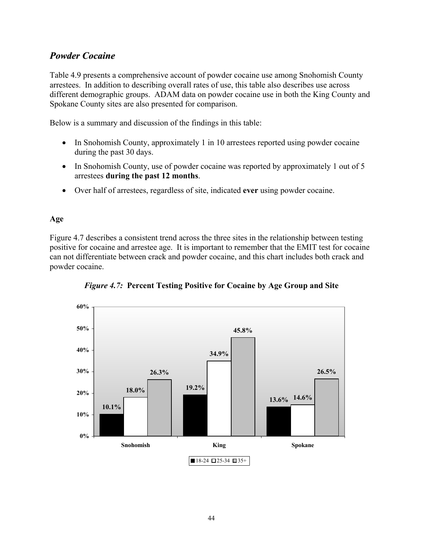# *Powder Cocaine*

Table 4.9 presents a comprehensive account of powder cocaine use among Snohomish County arrestees. In addition to describing overall rates of use, this table also describes use across different demographic groups. ADAM data on powder cocaine use in both the King County and Spokane County sites are also presented for comparison.

Below is a summary and discussion of the findings in this table:

- In Snohomish County, approximately 1 in 10 arrestees reported using powder cocaine during the past 30 days.
- In Snohomish County, use of powder cocaine was reported by approximately 1 out of 5 arrestees **during the past 12 months**.
- Over half of arrestees, regardless of site, indicated **ever** using powder cocaine.

## **Age**

Figure 4.7 describes a consistent trend across the three sites in the relationship between testing positive for cocaine and arrestee age. It is important to remember that the EMIT test for cocaine can not differentiate between crack and powder cocaine, and this chart includes both crack and powder cocaine.



*Figure 4.7:* **Percent Testing Positive for Cocaine by Age Group and Site**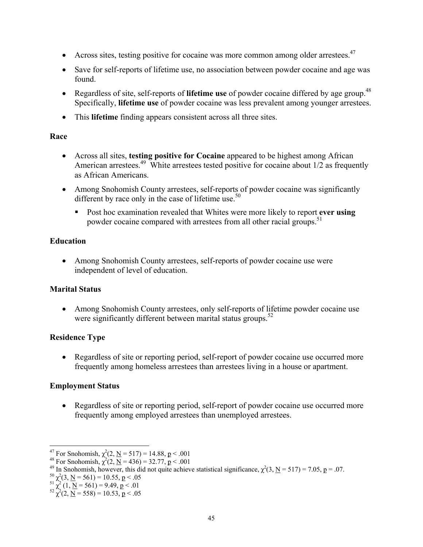- Across sites, testing positive for cocaine was more common among older arrestees.<sup>47</sup>
- Save for self-reports of lifetime use, no association between powder cocaine and age was found.
- Regardless of site, self-reports of **lifetime use** of powder cocaine differed by age group.<sup>48</sup> Specifically, **lifetime use** of powder cocaine was less prevalent among younger arrestees.
- This **lifetime** finding appears consistent across all three sites.

## **Race**

- Across all sites, **testing positive for Cocaine** appeared to be highest among African American arrestees.<sup>49</sup> White arrestees tested positive for cocaine about  $1/2$  as frequently as African Americans.
- Among Snohomish County arrestees, self-reports of powder cocaine was significantly different by race only in the case of lifetime use. $50$ 
	- Post hoc examination revealed that Whites were more likely to report **ever using** powder cocaine compared with arrestees from all other racial groups.<sup>51</sup>

# **Education**

• Among Snohomish County arrestees, self-reports of powder cocaine use were independent of level of education.

# **Marital Status**

• Among Snohomish County arrestees, only self-reports of lifetime powder cocaine use were significantly different between marital status groups. $52$ 

# **Residence Type**

• Regardless of site or reporting period, self-report of powder cocaine use occurred more frequently among homeless arrestees than arrestees living in a house or apartment.

# **Employment Status**

• Regardless of site or reporting period, self-report of powder cocaine use occurred more frequently among employed arrestees than unemployed arrestees.

 $\overline{a}$ <sup>47</sup> For Snohomish,  $\chi^2$ 

<sup>&</sup>lt;sup>4/</sup> For Snohomish,  $\chi^2(2, \underline{N} = 517) = 14.88$ ,  $\underline{p} < .001$ <br><sup>48</sup> For Snohomish,  $\chi^2(2, \underline{N} = 436) = 32.77$ ,  $\underline{p} < .001$ 

<sup>&</sup>lt;sup>48</sup> For Snohomish,  $\chi^2(2, \underline{N} = 436) = 32.77$ ,  $\underline{p} < .001$ <br><sup>49</sup> In Snohomish, however, this did not quite achieve statistical significance,  $\chi^2(3, \underline{N} = 517) = 7.05$ ,  $\underline{p} = .07$ .<br><sup>50</sup>  $\chi^2(3, \underline{N} = 561) = 10.55$ ,

<sup>&</sup>lt;sup>50</sup>  $\chi^2$ (3, <u>N</u> = 561) = 10.55, p < .05<br>
<sup>51</sup>  $\chi^2$  (1, <u>N</u> = 561) = 9.49, p < .01<br>
<sup>52</sup>  $\chi^2$ (2, <u>N</u> = 558) = 10.53, p < .05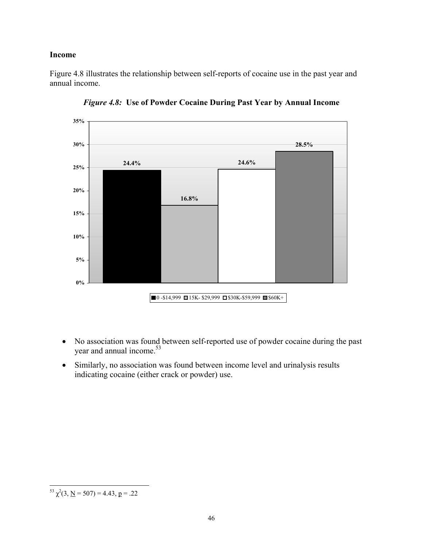#### **Income**

Figure 4.8 illustrates the relationship between self-reports of cocaine use in the past year and annual income.



*Figure 4.8:* **Use of Powder Cocaine During Past Year by Annual Income** 

- No association was found between self-reported use of powder cocaine during the past year and annual income.<sup>53</sup>
- Similarly, no association was found between income level and urinalysis results indicating cocaine (either crack or powder) use.

 $\overline{a}$ <sup>53</sup>  $\chi^2$ (3, <u>N</u> = 507) = 4.43, <u>p</u> = .22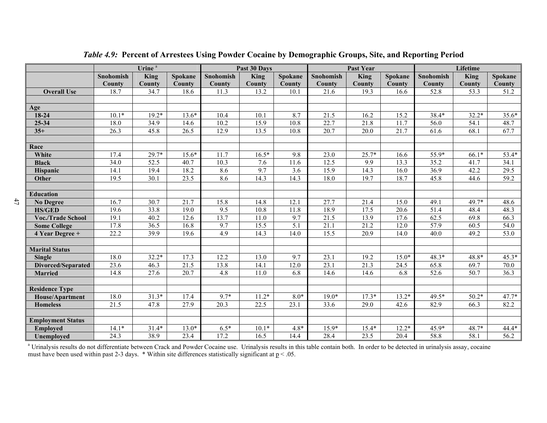|                           | Urine <sup>a</sup> |             |                   |                   | Past 30 Days |                  |                   | <b>Past Year</b>  |         | Lifetime  |         |                   |
|---------------------------|--------------------|-------------|-------------------|-------------------|--------------|------------------|-------------------|-------------------|---------|-----------|---------|-------------------|
|                           | <b>Snohomish</b>   | <b>King</b> | Spokane           | Snohomish         | <b>King</b>  | Spokane          | Snohomish         | King              | Spokane | Snohomish | King    | Spokane           |
|                           | County             | County      | County            | County            | County       | <b>County</b>    | County            | County            | County  | County    | County  | County            |
| <b>Overall Use</b>        | 18.7               | 34.7        | 18.6              | 11.3              | 13.2         | 10.1             | 21.6              | 19.3              | 16.6    | 52.8      | 53.3    | 51.2              |
|                           |                    |             |                   |                   |              |                  |                   |                   |         |           |         |                   |
| Age                       |                    |             |                   |                   |              |                  |                   |                   |         |           |         |                   |
| 18-24                     | $10.1*$            | $19.2*$     | $13.6*$           | 10.4              | 10.1         | 8.7              | 21.5              | 16.2              | 15.2    | 38.4*     | $32.2*$ | $35.6*$           |
| 25-34                     | 18.0               | 34.9        | 14.6              | 10.2              | 15.9         | 10.8             | 22.7              | 21.8              | 11.7    | 56.0      | 54.1    | 48.7              |
| $35+$                     | 26.3               | 45.8        | 26.5              | 12.9              | 13.5         | 10.8             | 20.7              | 20.0              | 21.7    | 61.6      | 68.1    | 67.7              |
|                           |                    |             |                   |                   |              |                  |                   |                   |         |           |         |                   |
| Race                      |                    |             |                   |                   |              |                  |                   |                   |         |           |         |                   |
| White                     | 17.4               | $29.7*$     | $15.6*$           | 11.7              | $16.5*$      | 9.8              | 23.0              | $25.7*$           | 16.6    | 55.9*     | 66.1*   | 53.4*             |
| <b>Black</b>              | 34.0               | 52.5        | 40.7              | 10.3              | 7.6          | 11.6             | 12.5              | $\overline{9.9}$  | 13.3    | 35.2      | 41.7    | 34.1              |
| Hispanic                  | 14.1               | 19.4        | 18.2              | 8.6               | 9.7          | 3.6              | 15.9              | 14.3              | 16.0    | 36.9      | 42.2    | 29.5              |
| Other                     | 19.5               | 30.1        | 23.5              | 8.6               | 14.3         | 14.3             | 18.0              | 19.7              | 18.7    | 45.8      | 44.6    | $\overline{59.2}$ |
|                           |                    |             |                   |                   |              |                  |                   |                   |         |           |         |                   |
| <b>Education</b>          |                    |             |                   |                   |              |                  |                   |                   |         |           |         |                   |
| <b>No Degree</b>          | 16.7               | 30.7        | 21.7              | 15.8              | 14.8         | 12.1             | 27.7              | 21.4              | 15.0    | 49.1      | 49.7*   | 48.6              |
| <b>HS/GED</b>             | 19.6               | 33.8        | 19.0              | $\overline{9.5}$  | 10.8         | 11.8             | 18.9              | 17.5              | 20.6    | 51.4      | 48.4    | 48.3              |
| <b>Voc./Trade School</b>  | 19.1               | 40.2        | 12.6              | 13.7              | 11.0         | 9.7              | $\overline{21.5}$ | 13.9              | 17.6    | 62.5      | 69.8    | 66.3              |
| <b>Some College</b>       | 17.8               | 36.5        | $16.\overline{8}$ | 9.7               | 15.5         | $\overline{5.1}$ | $\overline{21.1}$ | 21.2              | 12.0    | 57.9      | 60.5    | 54.0              |
| 4 Year Degree +           | 22.2               | 39.9        | 19.6              | 4.9               | 14.3         | 14.0             | 15.5              | 20.9              | 14.0    | 40.0      | 49.2    | 53.0              |
|                           |                    |             |                   |                   |              |                  |                   |                   |         |           |         |                   |
| <b>Marital Status</b>     |                    |             |                   |                   |              |                  |                   |                   |         |           |         |                   |
| <b>Single</b>             | 18.0               | $32.2*$     | 17.3              | 12.2              | 13.0         | 9.7              | 23.1              | 19.2              | $15.0*$ | $48.3*$   | 48.8*   | $45.3*$           |
| <b>Divorced/Separated</b> | 23.6               | 46.3        | $21.\overline{5}$ | 13.8              | 14.1         | 12.0             | 23.1              | $21.\overline{3}$ | 24.5    | 65.8      | 69.7    | 70.0              |
| <b>Married</b>            | 14.8               | 27.6        | 20.7              | 4.8               | 11.0         | 6.8              | 14.6              | 14.6              | 6.8     | 52.6      | 50.7    | 36.3              |
|                           |                    |             |                   |                   |              |                  |                   |                   |         |           |         |                   |
| <b>Residence Type</b>     |                    |             |                   |                   |              |                  |                   |                   |         |           |         |                   |
| House/Apartment           | 18.0               | $31.3*$     | 17.4              | 9.7*              | $11.2*$      | $8.0*$           | $19.0*$           | $17.3*$           | $13.2*$ | 49.5*     | $50.2*$ | $47.7*$           |
| <b>Homeless</b>           | $\overline{21.5}$  | 47.8        | 27.9              | $\overline{20.3}$ | 22.5         | 23.1             | 33.6              | 29.0              | 42.6    | 82.9      | 66.3    | 82.2              |
|                           |                    |             |                   |                   |              |                  |                   |                   |         |           |         |                   |
| <b>Employment Status</b>  |                    |             |                   |                   |              |                  |                   |                   |         |           |         |                   |
| <b>Employed</b>           | $14.1*$            | $31.4*$     | $13.0*$           | $6.5*$            | $10.1*$      | $4.8*$           | 15.9*             | $15.4*$           | $12.2*$ | $45.9*$   | 48.7*   | $44.4*$           |
| <b>Unemployed</b>         | $\overline{24.3}$  | 38.9        | 23.4              | 17.2              | 16.5         | 14.4             | 28.4              | 23.5              | 20.4    | 58.8      | 58.1    | 56.2              |

*Table 4.9:* **Percent of Arrestees Using Powder Cocaine by Demographic Groups, Site, and Reporting Period** 

<sup>a</sup> Urinalysis results do not differentiate between Crack and Powder Cocaine use. Urinalysis results in this table contain both. In order to be detected in urinalysis assay, cocaine must have been used within past 2-3 days.  $*$  Within site differences statistically significant at  $p < .05$ .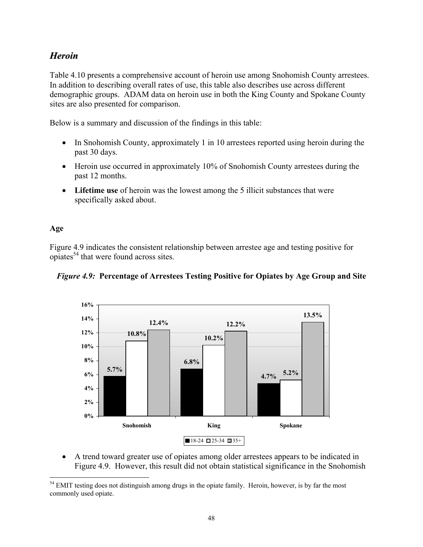# *Heroin*

Table 4.10 presents a comprehensive account of heroin use among Snohomish County arrestees. In addition to describing overall rates of use, this table also describes use across different demographic groups. ADAM data on heroin use in both the King County and Spokane County sites are also presented for comparison.

Below is a summary and discussion of the findings in this table:

- In Snohomish County, approximately 1 in 10 arrestees reported using heroin during the past 30 days.
- Heroin use occurred in approximately 10% of Snohomish County arrestees during the past 12 months.
- **Lifetime use** of heroin was the lowest among the 5 illicit substances that were specifically asked about.

## **Age**

Figure 4.9 indicates the consistent relationship between arrestee age and testing positive for opiates54 that were found across sites.





• A trend toward greater use of opiates among older arrestees appears to be indicated in Figure 4.9. However, this result did not obtain statistical significance in the Snohomish

 $\overline{a}$ <sup>54</sup> EMIT testing does not distinguish among drugs in the opiate family. Heroin, however, is by far the most commonly used opiate.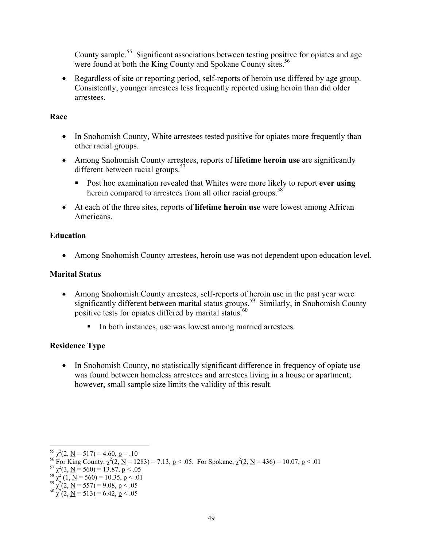County sample.<sup>55</sup> Significant associations between testing positive for opiates and age were found at both the King County and Spokane County sites.<sup>56</sup>

• Regardless of site or reporting period, self-reports of heroin use differed by age group. Consistently, younger arrestees less frequently reported using heroin than did older arrestees.

### **Race**

- In Snohomish County, White arrestees tested positive for opiates more frequently than other racial groups.
- Among Snohomish County arrestees, reports of **lifetime heroin use** are significantly different between racial groups.<sup>57</sup>
	- Post hoc examination revealed that Whites were more likely to report **ever using** heroin compared to arrestees from all other racial groups.<sup>58</sup>
- At each of the three sites, reports of **lifetime heroin use** were lowest among African Americans.

## **Education**

• Among Snohomish County arrestees, heroin use was not dependent upon education level.

### **Marital Status**

- Among Snohomish County arrestees, self-reports of heroin use in the past year were significantly different between marital status groups.<sup>59</sup> Similarly, in Snohomish County positive tests for opiates differed by marital status.<sup>60</sup>
	- In both instances, use was lowest among married arrestees.

## **Residence Type**

• In Snohomish County, no statistically significant difference in frequency of opiate use was found between homeless arrestees and arrestees living in a house or apartment; however, small sample size limits the validity of this result.

 $\overline{a}$ 

<sup>&</sup>lt;sup>55</sup>  $\chi^2(2, \underline{N} = 517) = 4.60$ ,  $\underline{p} = .10$ <br>
<sup>56</sup> For King County,  $\chi^2(2, \underline{N} = 1283) = 7.13$ ,  $\underline{p} < .05$ . For Spokane,  $\chi^2(2, \underline{N} = 436) = 10.07$ ,  $\underline{p} < .01$ <br>
<sup>57</sup>  $\chi^2(3, \underline{N} = 560) = 13.87$ ,  $\underline{p} < .05$ <br>
<sup>58</sup>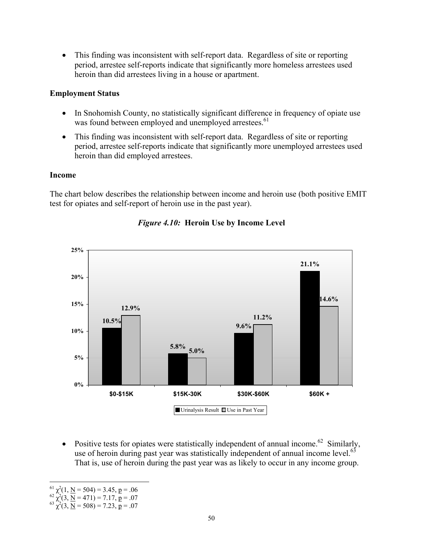• This finding was inconsistent with self-report data. Regardless of site or reporting period, arrestee self-reports indicate that significantly more homeless arrestees used heroin than did arrestees living in a house or apartment.

### **Employment Status**

- In Snohomish County, no statistically significant difference in frequency of opiate use was found between employed and unemployed arrestees.<sup>61</sup>
- This finding was inconsistent with self-report data. Regardless of site or reporting period, arrestee self-reports indicate that significantly more unemployed arrestees used heroin than did employed arrestees.

#### **Income**

The chart below describes the relationship between income and heroin use (both positive EMIT test for opiates and self-report of heroin use in the past year).



# *Figure 4.10:* **Heroin Use by Income Level**

• Positive tests for opiates were statistically independent of annual income.<sup>62</sup> Similarly, use of heroin during past year was statistically independent of annual income level. $^{63}$ That is, use of heroin during the past year was as likely to occur in any income group.

<sup>1</sup>  $^{61}$   $\chi^2$ 

<sup>&</sup>lt;sup>61</sup>  $\chi^2(1, \underline{N} = 504) = 3.45, \underline{p} = .06$ <br>
<sup>62</sup>  $\chi^2(3, \underline{N} = 471) = 7.17, \underline{p} = .07$ <br>
<sup>63</sup>  $\chi^2(3, \underline{N} = 508) = 7.23, \underline{p} = .07$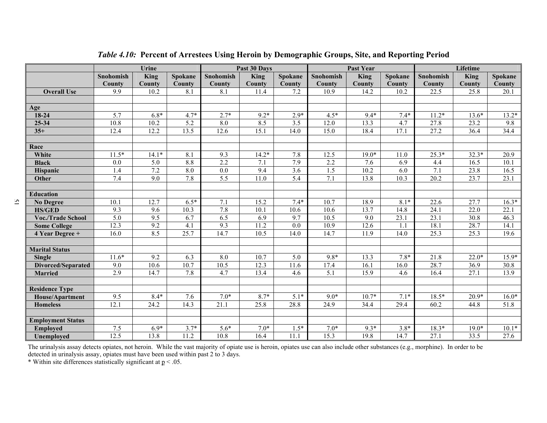|                           | Urine            |         |                  | Past 30 Days     |             |         |                  | <b>Past Year</b> |         | Lifetime         |         |         |
|---------------------------|------------------|---------|------------------|------------------|-------------|---------|------------------|------------------|---------|------------------|---------|---------|
|                           | <b>Snohomish</b> | King    | Spokane          | <b>Snohomish</b> | <b>King</b> | Spokane | <b>Snohomish</b> | <b>King</b>      | Spokane | Snohomish        | King    | Spokane |
|                           | County           | County  | County           | <b>County</b>    | County      | County  | County           | County           | County  | <b>County</b>    | County  | County  |
| <b>Overall Use</b>        | 9.9              | 10.2    | 8.1              | 8.1              | 11.4        | 7.2     | 10.9             | 14.2             | 10.2    | 22.5             | 25.8    | 20.1    |
|                           |                  |         |                  |                  |             |         |                  |                  |         |                  |         |         |
| Age                       |                  |         |                  |                  |             |         |                  |                  |         |                  |         |         |
| 18-24                     | 5.7              | $6.8*$  | $4.7*$           | $2.7*$           | $9.2*$      | $2.9*$  | $4.5*$           | $9.4*$           | $7.4*$  | $11.2*$          | $13.6*$ | $13.2*$ |
| $25 - 34$                 | 10.8             | 10.2    | $\overline{5.2}$ | 8.0              | 8.5         | 3.5     | 12.0             | 13.3             | 4.7     | 27.8             | 23.2    | 9.8     |
| $35+$                     | 12.4             | 12.2    | 13.5             | 12.6             | 15.1        | 14.0    | 15.0             | 18.4             | 17.1    | 27.2             | 36.4    | 34.4    |
|                           |                  |         |                  |                  |             |         |                  |                  |         |                  |         |         |
| Race                      |                  |         |                  |                  |             |         |                  |                  |         |                  |         |         |
| White                     | $11.5*$          | $14.1*$ | 8.1              | 9.3              | $14.2*$     | 7.8     | 12.5             | $19.0*$          | 11.0    | $25.3*$          | $32.3*$ | 20.9    |
| <b>Black</b>              | 0.0              | 5.0     | 8.8              | 2.2              | 7.1         | 7.9     | 2.2              | 7.6              | 6.9     | 4.4              | 16.5    | 10.1    |
| Hispanic                  | 1.4              | 7.2     | 8.0              | 0.0              | 9.4         | 3.6     | 1.5              | 10.2             | 6.0     | $\overline{7.1}$ | 23.8    | 16.5    |
| Other                     | 7.4              | 9.0     | 7.8              | $\overline{5.5}$ | 11.0        | 5.4     | 7.1              | 13.8             | 10.3    | 20.2             | 23.7    | 23.1    |
|                           |                  |         |                  |                  |             |         |                  |                  |         |                  |         |         |
| <b>Education</b>          |                  |         |                  |                  |             |         |                  |                  |         |                  |         |         |
| <b>No Degree</b>          | 10.1             | 12.7    | $6.5*$           | 7.1              | 15.2        | $7.4*$  | 10.7             | 18.9             | $8.1*$  | 22.6             | 27.7    | $16.3*$ |
| <b>HS/GED</b>             | 9.3              | 9.6     | 10.3             | 7.8              | 10.1        | 10.6    | 10.6             | 13.7             | 14.8    | 24.1             | 22.0    | 22.1    |
| <b>Voc./Trade School</b>  | 5.0              | 9.5     | 6.7              | 6.5              | 6.9         | 9.7     | 10.5             | 9.0              | 23.1    | 23.1             | 30.8    | 46.3    |
| <b>Some College</b>       | 12.3             | 9.2     | 4.1              | 9.3              | 11.2        | 0.0     | 10.9             | 12.6             | 1.1     | 18.1             | 28.7    | 14.1    |
| 4 Year Degree +           | 16.0             | 8.5     | 25.7             | 14.7             | 10.5        | 14.0    | 14.7             | 11.9             | 14.0    | 25.3             | 25.3    | 19.6    |
|                           |                  |         |                  |                  |             |         |                  |                  |         |                  |         |         |
| <b>Marital Status</b>     |                  |         |                  |                  |             |         |                  |                  |         |                  |         |         |
| <b>Single</b>             | $11.6*$          | 9.2     | 6.3              | 8.0              | 10.7        | 5.0     | 9.8*             | 13.3             | $7.8*$  | 21.8             | $22.0*$ | $15.9*$ |
| <b>Divorced/Separated</b> | 9.0              | 10.6    | 10.7             | 10.5             | 12.3        | 11.6    | 17.4             | 16.1             | 16.0    | 28.7             | 36.9    | 30.8    |
| <b>Married</b>            | 2.9              | 14.7    | 7.8              | 4.7              | 13.4        | 4.6     | 5.1              | 15.9             | 4.6     | 16.4             | 27.1    | 13.9    |
|                           |                  |         |                  |                  |             |         |                  |                  |         |                  |         |         |
| <b>Residence Type</b>     |                  |         |                  |                  |             |         |                  |                  |         |                  |         |         |
| House/Apartment           | 9.5              | $8.4*$  | 7.6              | $7.0*$           | $8.7*$      | $5.1*$  | $9.0*$           | $10.7*$          | $7.1*$  | $18.5*$          | $20.9*$ | $16.0*$ |
| <b>Homeless</b>           | 12.1             | 24.2    | 14.3             | 21.1             | 25.8        | 28.8    | 24.9             | 34.4             | 29.4    | 60.2             | 44.8    | 51.8    |
|                           |                  |         |                  |                  |             |         |                  |                  |         |                  |         |         |
| <b>Employment Status</b>  |                  |         |                  |                  |             |         |                  |                  |         |                  |         |         |
| <b>Employed</b>           | 7.5              | $6.9*$  | $3.7*$           | $5.6*$           | $7.0*$      | $1.5*$  | $7.0*$           | $9.3*$           | $3.8*$  | $18.3*$          | $19.0*$ | $10.1*$ |
| Unemployed                | 12.5             | 13.8    | 11.2             | 10.8             | 16.4        | 11.1    | 15.3             | 19.8             | 14.7    | 27.1             | 33.5    | 27.6    |

*Table 4.10:* **Percent of Arrestees Using Heroin by Demographic Groups, Site, and Reporting Period** 

The urinalysis assay detects opiates, not heroin. While the vast majority of opiate use is heroin, opiates use can also include other substances (e.g., morphine). In order to be detected in urinalysis assay, opiates must have been used within past 2 to 3 days.

\* Within site differences statistically significant at  $p < 0.05$ .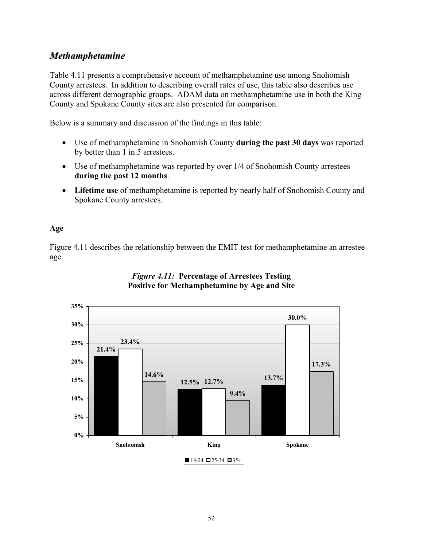# *Methamphetamine*

Table 4.11 presents a comprehensive account of methamphetamine use among Snohomish County arrestees. In addition to describing overall rates of use, this table also describes use across different demographic groups. ADAM data on methamphetamine use in both the King County and Spokane County sites are also presented for comparison.

Below is a summary and discussion of the findings in this table:

- Use of methamphetamine in Snohomish County **during the past 30 days** was reported by better than 1 in 5 arrestees.
- Use of methamphetamine was reported by over 1/4 of Snohomish County arrestees **during the past 12 months**.
- **Lifetime use** of methamphetamine is reported by nearly half of Snohomish County and Spokane County arrestees.

### **Age**

Figure 4.11 describes the relationship between the EMIT test for methamphetamine an arrestee age.



## *Figure 4.11:* **Percentage of Arrestees Testing Positive for Methamphetamine by Age and Site**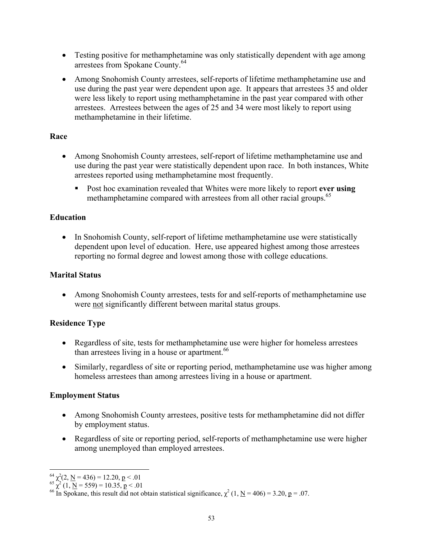- Testing positive for methamphetamine was only statistically dependent with age among arrestees from Spokane County.<sup>64</sup>
- Among Snohomish County arrestees, self-reports of lifetime methamphetamine use and use during the past year were dependent upon age. It appears that arrestees 35 and older were less likely to report using methamphetamine in the past year compared with other arrestees. Arrestees between the ages of 25 and 34 were most likely to report using methamphetamine in their lifetime.

### **Race**

- Among Snohomish County arrestees, self-report of lifetime methamphetamine use and use during the past year were statistically dependent upon race. In both instances, White arrestees reported using methamphetamine most frequently.
	- Post hoc examination revealed that Whites were more likely to report **ever using** methamphetamine compared with arrestees from all other racial groups.<sup>65</sup>

## **Education**

• In Snohomish County, self-report of lifetime methamphetamine use were statistically dependent upon level of education. Here, use appeared highest among those arrestees reporting no formal degree and lowest among those with college educations.

### **Marital Status**

• Among Snohomish County arrestees, tests for and self-reports of methamphetamine use were not significantly different between marital status groups.

## **Residence Type**

- Regardless of site, tests for methamphetamine use were higher for homeless arrestees than arrestees living in a house or apartment.<sup>66</sup>
- Similarly, regardless of site or reporting period, methamphetamine use was higher among homeless arrestees than among arrestees living in a house or apartment.

## **Employment Status**

- Among Snohomish County arrestees, positive tests for methamphetamine did not differ by employment status.
- Regardless of site or reporting period, self-reports of methamphetamine use were higher among unemployed than employed arrestees.

 $\overline{a}$ 

<sup>&</sup>lt;sup>64</sup>  $\chi^2(2, \underline{N} = 436) = 12.20, \underline{p} < .01$ <br>
<sup>65</sup>  $\chi^2(1, \underline{N} = 559) = 10.35, \underline{p} < .01$ <br>
<sup>66</sup> In Spokane, this result did not obtain statistical significance,  $\chi^2(1, \underline{N} = 406) = 3.20, \underline{p} = .07$ .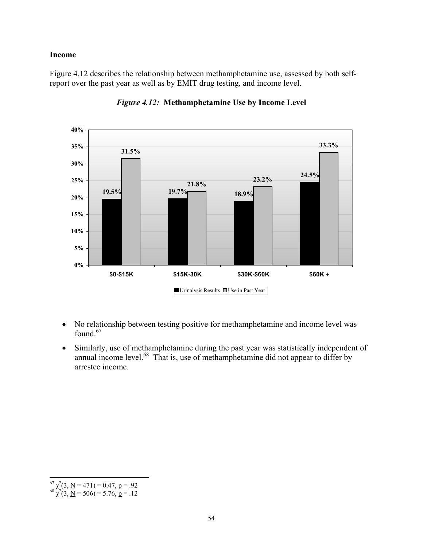#### **Income**

Figure 4.12 describes the relationship between methamphetamine use, assessed by both selfreport over the past year as well as by EMIT drug testing, and income level.



*Figure 4.12:* **Methamphetamine Use by Income Level** 

- No relationship between testing positive for methamphetamine and income level was found. $67$
- Similarly, use of methamphetamine during the past year was statistically independent of annual income level. $^{68}$  That is, use of methamphetamine did not appear to differ by arrestee income.

 $\overline{a}$ 

<sup>&</sup>lt;sup>67</sup>  $\chi^2$ (3, <u>N</u> = 471) = 0.47, p = .92<br><sup>68</sup>  $\chi^2$ (3, <u>N</u> = 506) = 5.76, p = .12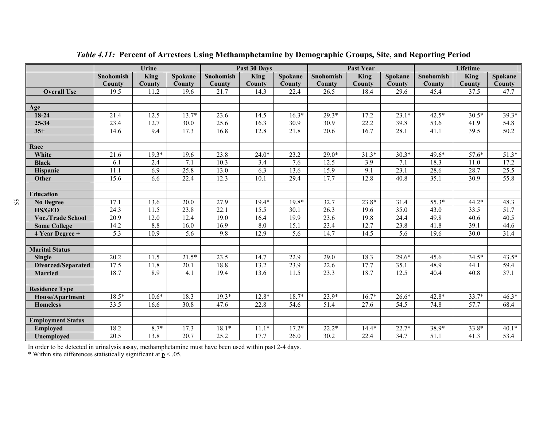|                           | Urine            |             |         |           | Past 30 Days |         |           | <b>Past Year</b> |         | Lifetime  |                   |               |
|---------------------------|------------------|-------------|---------|-----------|--------------|---------|-----------|------------------|---------|-----------|-------------------|---------------|
|                           | <b>Snohomish</b> | <b>King</b> | Spokane | Snohomish | <b>King</b>  | Spokane | Snohomish | King             | Spokane | Snohomish | King              | Spokane       |
|                           | County           | County      | County  | County    | County       | County  | County    | County           | County  | County    | County            | <b>County</b> |
| <b>Overall Use</b>        | 19.5             | 11.2        | 19.6    | 21.7      | 14.3         | 22.4    | 26.5      | 18.4             | 29.6    | 45.4      | 37.5              | 47.7          |
|                           |                  |             |         |           |              |         |           |                  |         |           |                   |               |
| Age                       |                  |             |         |           |              |         |           |                  |         |           |                   |               |
| 18-24                     | 21.4             | 12.5        | $13.7*$ | 23.6      | 14.5         | $16.3*$ | $29.3*$   | 17.2             | $23.1*$ | $42.5*$   | $30.5*$           | 39.3*         |
| 25-34                     | 23.4             | 12.7        | 30.0    | 25.6      | 16.3         | 30.9    | 30.9      | 22.2             | 39.8    | 53.6      | 41.9              | 54.8          |
| $35+$                     | 14.6             | 9.4         | 17.3    | 16.8      | 12.8         | 21.8    | 20.6      | 16.7             | 28.1    | 41.1      | 39.5              | 50.2          |
|                           |                  |             |         |           |              |         |           |                  |         |           |                   |               |
| Race                      |                  |             |         |           |              |         |           |                  |         |           |                   |               |
| White                     | 21.6             | $19.3*$     | 19.6    | 23.8      | $24.0*$      | 23.2    | $29.0*$   | $31.3*$          | $30.3*$ | 49.6*     | $57.6*$           | $51.3*$       |
| <b>Black</b>              | 6.1              | 2.4         | 7.1     | 10.3      | 3.4          | 7.6     | 12.5      | 3.9              | 7.1     | 18.3      | 11.0              | 17.2          |
| Hispanic                  | 11.1             | 6.9         | 25.8    | 13.0      | 6.3          | 13.6    | 15.9      | 9.1              | 23.1    | 28.6      | 28.7              | 25.5          |
| Other                     | 15.6             | 6.6         | 22.4    | 12.3      | 10.1         | 29.4    | 17.7      | 12.8             | 40.8    | 35.1      | 30.9              | 55.8          |
|                           |                  |             |         |           |              |         |           |                  |         |           |                   |               |
| <b>Education</b>          |                  |             |         |           |              |         |           |                  |         |           |                   |               |
| <b>No Degree</b>          | 17.1             | 13.6        | 20.0    | 27.9      | $19.4*$      | $19.8*$ | 32.7      | $23.8*$          | 31.4    | 55.3*     | 44.2*             | 48.3          |
| <b>HS/GED</b>             | 24.3             | 11.5        | 23.8    | 22.1      | 15.5         | 30.1    | 26.3      | 19.6             | 35.0    | 43.0      | 33.5              | 51.7          |
| <b>Voc./Trade School</b>  | 20.9             | 12.0        | 12.4    | 19.0      | 16.4         | 19.9    | 23.6      | 19.8             | 24.4    | 49.8      | 40.6              | 40.5          |
| <b>Some College</b>       | 14.2             | 8.8         | 16.0    | 16.9      | 8.0          | 15.1    | 23.4      | 12.7             | 23.8    | 41.8      | 39.1              | 44.6          |
| 4 Year Degree +           | 5.3              | 10.9        | 5.6     | 9.8       | 12.9         | 5.6     | 14.7      | 14.5             | 5.6     | 19.6      | 30.0              | 31.4          |
|                           |                  |             |         |           |              |         |           |                  |         |           |                   |               |
| <b>Marital Status</b>     |                  |             |         |           |              |         |           |                  |         |           |                   |               |
| <b>Single</b>             | 20.2             | 11.5        | $21.5*$ | 23.5      | 14.7         | 22.9    | 29.0      | 18.3             | $29.6*$ | 45.6      | $34.5*$           | $43.5*$       |
| <b>Divorced/Separated</b> | 17.5             | 11.8        | 20.1    | 18.8      | 13.2         | 23.9    | 22.6      | 17.7             | 35.1    | 48.9      | 44.1              | 59.4          |
| <b>Married</b>            | 18.7             | 8.9         | 4.1     | 19.4      | 13.6         | 11.5    | 23.3      | 18.7             | 12.5    | 40.4      | 40.8              | 37.1          |
|                           |                  |             |         |           |              |         |           |                  |         |           |                   |               |
| <b>Residence Type</b>     |                  |             |         |           |              |         |           |                  |         |           |                   |               |
| House/Apartment           | 18.5*            | $10.6*$     | 18.3    | $19.3*$   | $12.8*$      | $18.7*$ | $23.9*$   | $16.7*$          | $26.6*$ | 42.8*     | $33.7*$           | $46.3*$       |
| <b>Homeless</b>           | 33.5             | 16.6        | 30.8    | 47.6      | 22.8         | 54.6    | 51.4      | 27.6             | 54.5    | 74.8      | $\overline{57.7}$ | 68.4          |
|                           |                  |             |         |           |              |         |           |                  |         |           |                   |               |
| <b>Employment Status</b>  |                  |             |         |           |              |         |           |                  |         |           |                   |               |
| <b>Employed</b>           | 18.2             | $8.7*$      | 17.3    | $18.1*$   | $11.1*$      | $17.2*$ | $22.2*$   | $14.4*$          | $22.7*$ | 38.9*     | 33.8*             | $40.1*$       |
| <b>Unemployed</b>         | 20.5             | 13.8        | 20.7    | 25.2      | 17.7         | 26.0    | 30.2      | 22.4             | 34.7    | 51.1      | 41.3              | 53.4          |

*Table 4.11:* **Percent of Arrestees Using Methamphetamine by Demographic Groups, Site, and Reporting Period** 

In order to be detected in urinalysis assay, methamphetamine must have been used within past 2-4 days.

\* Within site differences statistically significant at  $p < 0.05$ .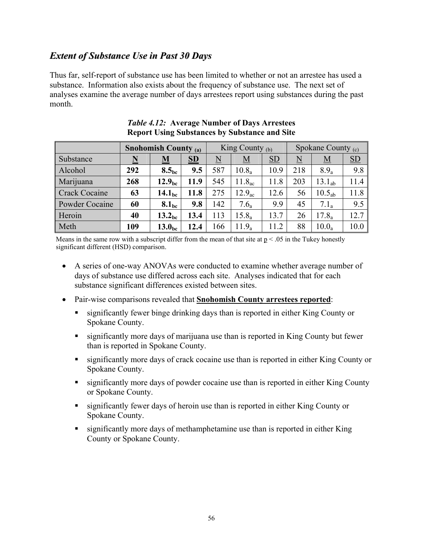# *Extent of Substance Use in Past 30 Days*

Thus far, self-report of substance use has been limited to whether or not an arrestee has used a substance. Information also exists about the frequency of substance use. The next set of analyses examine the average number of days arrestees report using substances during the past month.

|                      |                          | <b>Snohomish County (a)</b> |                |                     | King County $(b)$  |                           | Spokane County $(c)$     |                    |      |  |
|----------------------|--------------------------|-----------------------------|----------------|---------------------|--------------------|---------------------------|--------------------------|--------------------|------|--|
| Substance            | $\underline{\mathbf{N}}$ | $\underline{\mathbf{M}}$    | S <sub>D</sub> | $\underline{\rm N}$ | $\underline{M}$    | $\underline{\mathrm{SD}}$ | $\underline{\mathbf{N}}$ | $\underline{M}$    | SD   |  |
| Alcohol              | 292                      | 8.5 <sub>bc</sub>           | 9.5            | 587                 | $10.8_a$           | 10.9                      | 218                      | $8.9_a$            | 9.8  |  |
| Marijuana            | 268                      | 12.9 <sub>bc</sub>          | 11.9           | 545                 | 11.8 <sub>ac</sub> | 11.8                      | 203                      | 13.1 <sub>ab</sub> | 11.4 |  |
| <b>Crack Cocaine</b> | 63                       | 14.1 <sub>bc</sub>          | 11.8           | 275                 | 12.9 <sub>ac</sub> | 12.6                      | 56                       | 10.5 <sub>ab</sub> | 11.8 |  |
| Powder Cocaine       | 60                       | 8.1 <sub>bc</sub>           | 9.8            | 142                 | 7.6 <sub>a</sub>   | 9.9                       | 45                       | $7.1_a$            | 9.5  |  |
| Heroin               | 40                       | 13.2 <sub>bc</sub>          | 13.4           | 113                 | $15.8_a$           | 13.7                      | 26                       | $17.8_a$           | 12.7 |  |
| Meth                 | 109                      | 13.0 <sub>bc</sub>          | 12.4           | 166                 | $11.9_a$           | 11.2                      | 88                       | $10.0_a$           | 10.0 |  |

| <i>Table 4.12:</i> Average Number of Days Arrestees  |
|------------------------------------------------------|
| <b>Report Using Substances by Substance and Site</b> |

Means in the same row with a subscript differ from the mean of that site at  $p < .05$  in the Tukey honestly significant different (HSD) comparison.

- A series of one-way ANOVAs were conducted to examine whether average number of days of substance use differed across each site. Analyses indicated that for each substance significant differences existed between sites.
- Pair-wise comparisons revealed that **Snohomish County arrestees reported**:
	- significantly fewer binge drinking days than is reported in either King County or Spokane County.
	- significantly more days of marijuana use than is reported in King County but fewer than is reported in Spokane County.
	- significantly more days of crack cocaine use than is reported in either King County or Spokane County.
	- **Example 1** significantly more days of powder cocaine use than is reported in either King County or Spokane County.
	- significantly fewer days of heroin use than is reported in either King County or Spokane County.
	- significantly more days of methamphetamine use than is reported in either King County or Spokane County.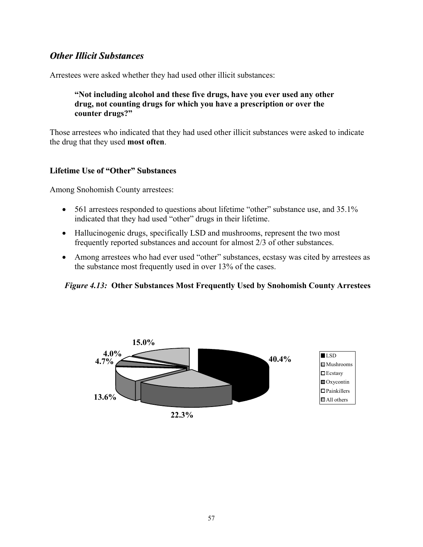# *Other Illicit Substances*

Arrestees were asked whether they had used other illicit substances:

### **"Not including alcohol and these five drugs, have you ever used any other drug, not counting drugs for which you have a prescription or over the counter drugs?"**

Those arrestees who indicated that they had used other illicit substances were asked to indicate the drug that they used **most often**.

### **Lifetime Use of "Other" Substances**

Among Snohomish County arrestees:

- 561 arrestees responded to questions about lifetime "other" substance use, and 35.1% indicated that they had used "other" drugs in their lifetime.
- Hallucinogenic drugs, specifically LSD and mushrooms, represent the two most frequently reported substances and account for almost 2/3 of other substances.
- Among arrestees who had ever used "other" substances, ecstasy was cited by arrestees as the substance most frequently used in over 13% of the cases.

#### *Figure 4.13:* **Other Substances Most Frequently Used by Snohomish County Arrestees**

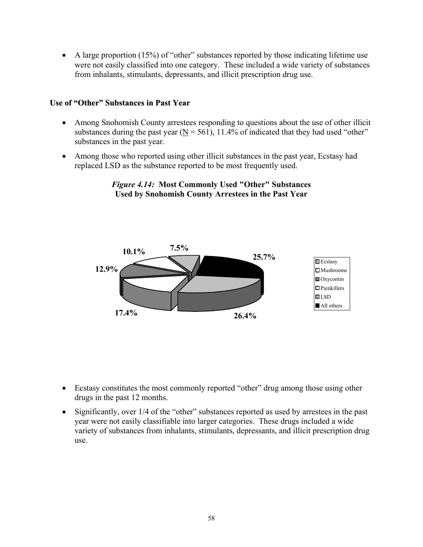• A large proportion (15%) of "other" substances reported by those indicating lifetime use were not easily classified into one category. These included a wide variety of substances from inhalants, stimulants, depressants, and illicit prescription drug use.

### **Use of "Other" Substances in Past Year**

- Among Snohomish County arrestees responding to questions about the use of other illicit substances during the past year ( $N = 561$ ), 11.4% of indicated that they had used "other" substances in the past year.
- Among those who reported using other illicit substances in the past year, Ecstasy had replaced LSD as the substance reported to be most frequently used.

### *Figure 4.14:* **Most Commonly Used "Other" Substances Used by Snohomish County Arrestees in the Past Year**



- Ecstasy constitutes the most commonly reported "other" drug among those using other drugs in the past 12 months.
- Significantly, over 1/4 of the "other" substances reported as used by arrestees in the past year were not easily classifiable into larger categories. These drugs included a wide variety of substances from inhalants, stimulants, depressants, and illicit prescription drug use.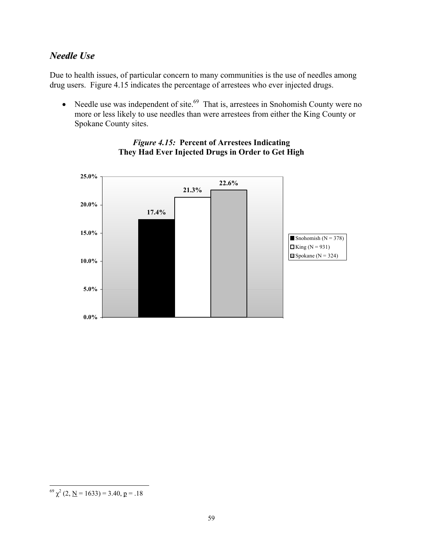# *Needle Use*

Due to health issues, of particular concern to many communities is the use of needles among drug users. Figure 4.15 indicates the percentage of arrestees who ever injected drugs.

• Needle use was independent of site. $69$  That is, arrestees in Snohomish County were no more or less likely to use needles than were arrestees from either the King County or Spokane County sites.



## *Figure 4.15:* **Percent of Arrestees Indicating They Had Ever Injected Drugs in Order to Get High**

 $\overline{a}$ 

 $^{69}$   $\chi^2$  (2, <u>N</u> = 1633) = 3.40, <u>p</u> = .18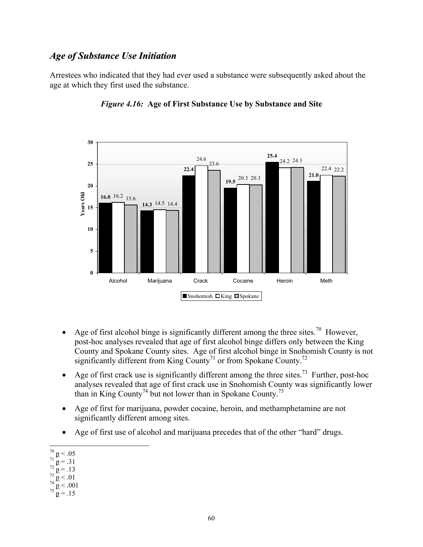# *Age of Substance Use Initiation*

Arrestees who indicated that they had ever used a substance were subsequently asked about the age at which they first used the substance.



### *Figure 4.16:* **Age of First Substance Use by Substance and Site**

- Age of first alcohol binge is significantly different among the three sites.<sup>70</sup> However, post-hoc analyses revealed that age of first alcohol binge differs only between the King County and Spokane County sites. Age of first alcohol binge in Snohomish County is not significantly different from King County<sup>71</sup> or from Spokane County.<sup>72</sup>
- Age of first crack use is significantly different among the three sites.<sup>73</sup> Further, post-hoc analyses revealed that age of first crack use in Snohomish County was significantly lower than in King County<sup>74</sup> but not lower than in Spokane County.<sup>75</sup>
- Age of first for marijuana, powder cocaine, heroin, and methamphetamine are not significantly different among sites.
- Age of first use of alcohol and marijuana precedes that of the other "hard" drugs.

- 
- 
- 
- $71 \text{ p} = .31$ <br>  $72 \text{ p} = .13$ <br>  $73 \text{ p} < .01$ <br>  $74 \text{ p} < .001$ <br>  $75 \text{ p} = .15$
- 

 $\frac{70}{2}$  p < .05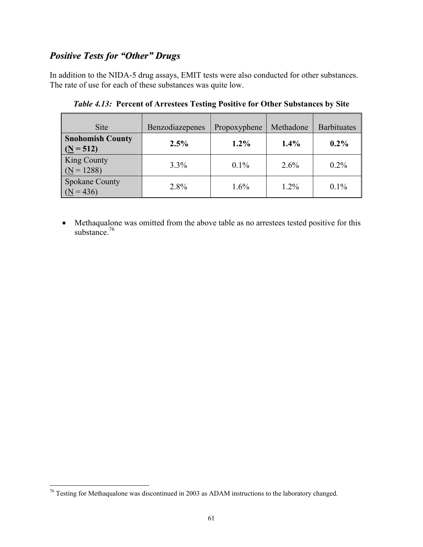## *Positive Tests for "Other" Drugs*

In addition to the NIDA-5 drug assays, EMIT tests were also conducted for other substances. The rate of use for each of these substances was quite low.

| <b>Site</b>                            | Benzodiazepenes | Propoxyphene | Methadone | <b>Barbituates</b> |
|----------------------------------------|-----------------|--------------|-----------|--------------------|
| <b>Snohomish County</b><br>$(N = 512)$ | 2.5%            | $1.2\%$      | 1.4%      | $0.2\%$            |
| <b>King County</b><br>$(N = 1288)$     | $3.3\%$         | $0.1\%$      | $2.6\%$   | $0.2\%$            |
| <b>Spokane County</b><br>$(N = 436)$   | 2.8%            | $1.6\%$      | $1.2\%$   | $0.1\%$            |

*Table 4.13:* **Percent of Arrestees Testing Positive for Other Substances by Site** 

• Methaqualone was omitted from the above table as no arrestees tested positive for this substance.<sup>76</sup>

 $\overline{a}$ 

 $76$  Testing for Methaqualone was discontinued in 2003 as ADAM instructions to the laboratory changed.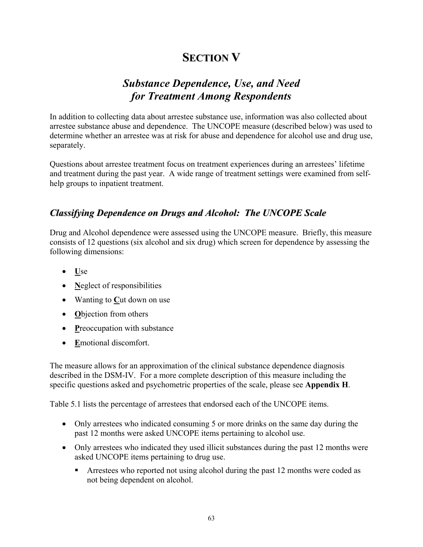# **SECTION V**

## *Substance Dependence, Use, and Need for Treatment Among Respondents*

In addition to collecting data about arrestee substance use, information was also collected about arrestee substance abuse and dependence. The UNCOPE measure (described below) was used to determine whether an arrestee was at risk for abuse and dependence for alcohol use and drug use, separately.

Questions about arrestee treatment focus on treatment experiences during an arrestees' lifetime and treatment during the past year. A wide range of treatment settings were examined from selfhelp groups to inpatient treatment.

## *Classifying Dependence on Drugs and Alcohol: The UNCOPE Scale*

Drug and Alcohol dependence were assessed using the UNCOPE measure. Briefly, this measure consists of 12 questions (six alcohol and six drug) which screen for dependence by assessing the following dimensions:

- **U**se
- **Neglect of responsibilities**
- Wanting to **C**ut down on use
- **O**bjection from others
- **P**reoccupation with substance
- **E**motional discomfort.

The measure allows for an approximation of the clinical substance dependence diagnosis described in the DSM-IV. For a more complete description of this measure including the specific questions asked and psychometric properties of the scale, please see **Appendix H**.

Table 5.1 lists the percentage of arrestees that endorsed each of the UNCOPE items.

- Only arrestees who indicated consuming 5 or more drinks on the same day during the past 12 months were asked UNCOPE items pertaining to alcohol use.
- Only arrestees who indicated they used illicit substances during the past 12 months were asked UNCOPE items pertaining to drug use.
	- **Arrestees who reported not using alcohol during the past 12 months were coded as** not being dependent on alcohol.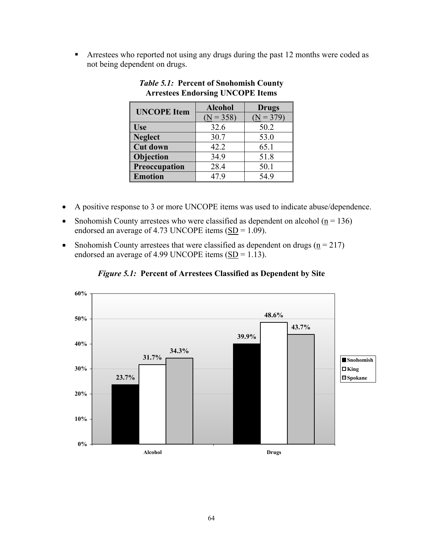**Arrestees who reported not using any drugs during the past 12 months were coded as** not being dependent on drugs.

| <b>UNCOPE</b> Item | <b>Alcohol</b> | <b>Drugs</b> |  |
|--------------------|----------------|--------------|--|
|                    | $(N = 358)$    | $(N = 379)$  |  |
| <b>Use</b>         | 32.6           | 50.2         |  |
| <b>Neglect</b>     | 30.7           | 53.0         |  |
| <b>Cut down</b>    | 42.2           | 65.1         |  |
| Objection          | 34.9           | 51.8         |  |
| Preoccupation      | 28.4           | 50.1         |  |
| <b>Emotion</b>     | 47.9           | 54.9         |  |

#### *Table 5.1:* **Percent of Snohomish County Arrestees Endorsing UNCOPE Items**

- A positive response to 3 or more UNCOPE items was used to indicate abuse/dependence.
- Snohomish County arrestees who were classified as dependent on alcohol ( $n = 136$ ) endorsed an average of 4.73 UNCOPE items  $(SD = 1.09)$ .
- Snohomish County arrestees that were classified as dependent on drugs ( $n = 217$ ) endorsed an average of 4.99 UNCOPE items  $(SD = 1.13)$ .



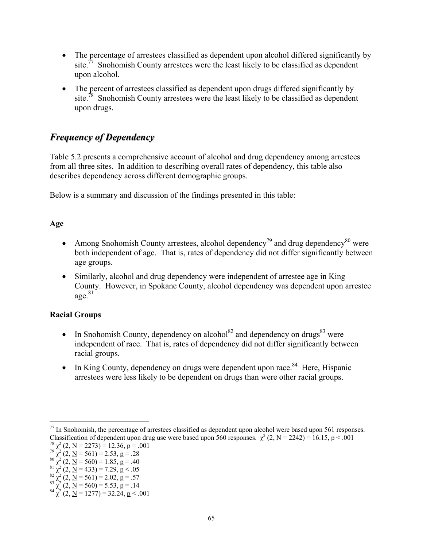- The percentage of arrestees classified as dependent upon alcohol differed significantly by site.<sup> $77$ </sup> Snohomish County arrestees were the least likely to be classified as dependent upon alcohol.
- The percent of arrestees classified as dependent upon drugs differed significantly by site.<sup>78</sup> Snohomish County arrestees were the least likely to be classified as dependent upon drugs.

## *Frequency of Dependency*

Table 5.2 presents a comprehensive account of alcohol and drug dependency among arrestees from all three sites. In addition to describing overall rates of dependency, this table also describes dependency across different demographic groups.

Below is a summary and discussion of the findings presented in this table:

#### **Age**

- Among Snohomish County arrestees, alcohol dependency<sup>79</sup> and drug dependency<sup>80</sup> were both independent of age. That is, rates of dependency did not differ significantly between age groups.
- Similarly, alcohol and drug dependency were independent of arrestee age in King County. However, in Spokane County, alcohol dependency was dependent upon arrestee  $a\varrho e^{81}$

#### **Racial Groups**

- In Snohomish County, dependency on alcohol<sup>82</sup> and dependency on drugs<sup>83</sup> were independent of race. That is, rates of dependency did not differ significantly between racial groups.
- In King County, dependency on drugs were dependent upon race.<sup>84</sup> Here, Hispanic arrestees were less likely to be dependent on drugs than were other racial groups.

 $\overline{a}$  $77$  In Snohomish, the percentage of arrestees classified as dependent upon alcohol were based upon 561 responses. Classification of dependent upon drug use were based upon 560 responses.  $\chi^2$  (2, <u>N</u> = 2242) = 16.15, p < .001 <sup>78</sup>  $\chi^2$  (2, <u>N</u> = 2273) = 12.36, p = .001

 $\chi^2$  (2, <u>N</u> = 2273) = 12.36, <u>p</u> = .001 <sup>78</sup>  $\chi^2$  (2, <u>N</u> = 2273) = 12.36, **p** = .001<br><sup>79</sup>  $\chi^2$  (2, <u>N</u> = 561) = 2.53, **p** = .28

<sup>&</sup>lt;sup>79</sup>  $\chi^2$  (2, <u>N</u> = 561) = 2.53, <u>p</u> = .28<br><sup>80</sup>  $\chi^2$  (2, <u>N</u> = 560) = 1.85, <u>p</u> = .40

<sup>&</sup>lt;sup>80</sup>  $\chi^2$  (2, <u>N</u> = 560) = 1.85, <u>p</u> = .40<br><sup>81</sup>  $\chi^2$  (2, <u>N</u> = 433) = 7.29, <u>p</u> < .05

<sup>&</sup>lt;sup>81</sup>  $\chi^2$  (2, <u>N</u> = 433) = 7.29, **p** < .05<br>
<sup>82</sup>  $\chi^2$  (2, <u>N</u> = 561) = 2.02, **p** = .57<br>
<sup>83</sup>  $\chi^2$  (2, <u>N</u> = 560) = 5.53, **p** = .14<br>
<sup>84</sup>  $\chi^2$  (2, <u>N</u> = 1277) = 32.24, **p** < .001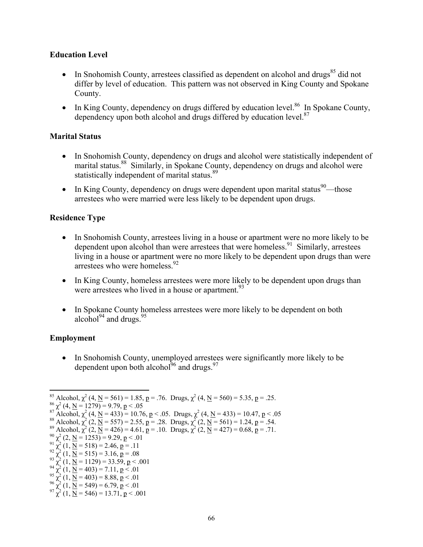#### **Education Level**

- In Snohomish County, arrestees classified as dependent on alcohol and drugs<sup>85</sup> did not differ by level of education. This pattern was not observed in King County and Spokane County.
- In King County, dependency on drugs differed by education level.<sup>86</sup> In Spokane County, dependency upon both alcohol and drugs differed by education level.<sup>87</sup>

#### **Marital Status**

- In Snohomish County, dependency on drugs and alcohol were statistically independent of marital status.<sup>88</sup> Similarly, in Spokane County, dependency on drugs and alcohol were statistically independent of marital status.<sup>89</sup>
- In King County, dependency on drugs were dependent upon marital status<sup>90</sup>—those arrestees who were married were less likely to be dependent upon drugs.

#### **Residence Type**

- In Snohomish County, arrestees living in a house or apartment were no more likely to be dependent upon alcohol than were arrestees that were homeless.<sup>91</sup> Similarly, arrestees living in a house or apartment were no more likely to be dependent upon drugs than were arrestees who were homeless  $92$
- In King County, homeless arrestees were more likely to be dependent upon drugs than were arrestees who lived in a house or apartment.  $93$
- In Spokane County homeless arrestees were more likely to be dependent on both alcohol $94$  and drugs.  $95$

#### **Employment**

• In Snohomish County, unemployed arrestees were significantly more likely to be dependent upon both alcohol $^{96}$  and drugs.  $^{97}$ 

```
<sup>86</sup> \chi^2 (4, <u>N</u> = 1279) = 9.79, <u>p</u> < .05<br><sup>87</sup> Alcohol, \chi^2 (4, <u>N</u> = 433) = 10.76, <u>p</u> < .05. Drugs, \chi^2<sup>8/</sup> Alcohol, \chi^2 (4, <u>N</u> = 433) = 10.76, p < .05. Drugs, \chi^2 (4, <u>N</u> = 433) = 10.47, p < .05<br>
<sup>88</sup> Alcohol, \chi^2 (2, <u>N</u> = 557) = 2.55, p = .28. Drugs, \chi^2 (2, <u>N</u> = 561) = 1.24, p = .54.<br>
<sup>89</sup> Alcohol, \chi^2
```
 $^{92}$   $\chi^2$  (1, <u>N</u> = 515) = 3.16, <u>p</u> = .08<br> $^{93}$   $\chi^2$  (1, <u>N</u> = 1129) = 33.59, <u>p</u> < .0

```
<sup>93</sup> \chi^2 (1, <u>N</u> = 1129) = 33.59, <u>p</u> < .001<br><sup>94</sup> \chi^2 (1, <u>N</u> = 403) = 7.11, <u>p</u> < .01
```
- <sup>94</sup>  $\chi^2$  (1, <u>N</u> = 403) = 7.11, **p** < .01<br><sup>95</sup>  $\chi^2$  (1, <u>N</u> = 403) = 8.88, **p** < .01
- <sup>95</sup>  $\chi^2$  (1, <u>N</u> = 403) = 8.88, <u>p</u> < .01<br>
<sup>96</sup>  $\chi^2$  (1, <u>N</u> = 549) = 6.79, p < .01<br>
<sup>97</sup>  $\chi^2$  (1, <u>N</u> = 546) = 13.71, p < .001

<sup>1</sup> <sup>85</sup> Alcohol,  $\chi^2$  (4, <u>N</u> = 561) = 1.85, **p** = .76. Drugs,  $\chi^2$  (4, <u>N</u> = 560) = 5.35, **p** = .25. <br><sup>86</sup>  $\chi^2$  (4, <u>N</u> = 1279) = 9.79, **p** < .05

 $^{86}$   $\chi^2$  (4, N = 1279) = 9.79, p < .05

<sup>2</sup>  $^{90}$   $\chi^2$  (2, <u>N</u> = 1253) = 9.29, <u>p</u> < .01<br><sup>91</sup>  $\chi^2$  (1, <u>N</u> = 518) = 2.46, <u>p</u> = .11

<sup>2</sup> <sup>91</sup>  $\chi^2$  (1, <u>N</u> = 518) = 2.46, **p** = .11<br><sup>92</sup>  $\chi^2$  (1, <u>N</u> = 515) = 3.16, **p** = .08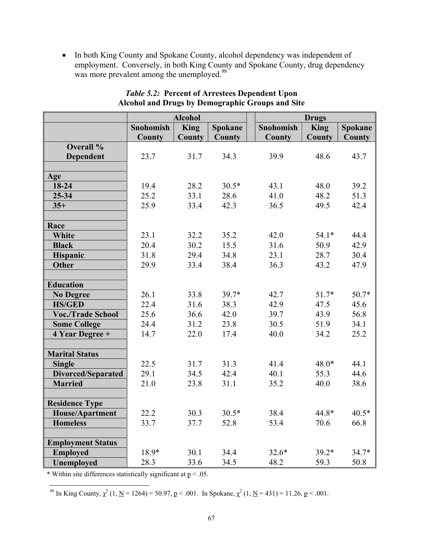• In both King County and Spokane County, alcohol dependency was independent of employment. Conversely, in both King County and Spokane County, drug dependency was more prevalent among the unemployed.<sup>98</sup>

|                           | <b>Alcohol</b> |               |                |                  | <b>Drugs</b> |         |
|---------------------------|----------------|---------------|----------------|------------------|--------------|---------|
|                           | Snohomish      | <b>King</b>   | <b>Spokane</b> | <b>Snohomish</b> | <b>King</b>  | Spokane |
|                           | <b>County</b>  | <b>County</b> | County         | <b>County</b>    | County       | County  |
| Overall %                 |                |               |                |                  |              |         |
| Dependent                 | 23.7           | 31.7          | 34.3           | 39.9             | 48.6         | 43.7    |
|                           |                |               |                |                  |              |         |
| Age                       |                |               |                |                  |              |         |
| 18-24                     | 19.4           | 28.2          | $30.5*$        | 43.1             | 48.0         | 39.2    |
| 25-34                     | 25.2           | 33.1          | 28.6           | 41.0             | 48.2         | 51.3    |
| $35+$                     | 25.9           | 33.4          | 42.3           | 36.5             | 49.5         | 42.4    |
|                           |                |               |                |                  |              |         |
| Race                      |                |               |                |                  |              |         |
| <b>White</b>              | 23.1           | 32.2          | 35.2           | 42.0             | $54.1*$      | 44.4    |
| <b>Black</b>              | 20.4           | 30.2          | 15.5           | 31.6             | 50.9         | 42.9    |
| Hispanic                  | 31.8           | 29.4          | 34.8           | 23.1             | 28.7         | 30.4    |
| <b>Other</b>              | 29.9           | 33.4          | 38.4           | 36.3             | 43.2         | 47.9    |
|                           |                |               |                |                  |              |         |
| <b>Education</b>          |                |               |                |                  |              |         |
| <b>No Degree</b>          | 26.1           | 33.8          | $39.7*$        | 42.7             | $51.7*$      | $50.7*$ |
| <b>HS/GED</b>             | 22.4           | 31.6          | 38.3           | 42.9             | 47.5         | 45.6    |
| <b>Voc./Trade School</b>  | 25.6           | 36.6          | 42.0           | 39.7             | 43.9         | 56.8    |
| <b>Some College</b>       | 24.4           | 31.2          | 23.8           | 30.5             | 51.9         | 34.1    |
| 4 Year Degree +           | 14.7           | 22.0          | 17.4           | 40.0             | 34.2         | 25.2    |
|                           |                |               |                |                  |              |         |
| <b>Marital Status</b>     |                |               |                |                  |              |         |
| <b>Single</b>             | 22.5           | 31.7          | 31.3           | 41.4             | $48.0*$      | 44.1    |
| <b>Divorced/Separated</b> | 29.1           | 34.5          | 42.4           | 40.1             | 55.3         | 44.6    |
| <b>Married</b>            | 21.0           | 23.8          | 31.1           | 35.2             | 40.0         | 38.6    |
|                           |                |               |                |                  |              |         |
| <b>Residence Type</b>     |                |               |                |                  |              |         |
| <b>House/Apartment</b>    | 22.2           | 30.3          | $30.5*$        | 38.4             | 44.8*        | $40.5*$ |
| <b>Homeless</b>           | 33.7           | 37.7          | 52.8           | 53.4             | 70.6         | 66.8    |
|                           |                |               |                |                  |              |         |
| <b>Employment Status</b>  |                |               |                |                  |              |         |
| <b>Employed</b>           | 18.9*          | 30.1          | 34.4           | $32.6*$          | $39.2*$      | $34.7*$ |
| Unemployed                | 28.3           | 33.6          | 34.5           | 48.2             | 59.3         | 50.8    |

#### *Table 5.2:* **Percent of Arrestees Dependent Upon Alcohol and Drugs by Demographic Groups and Site**

\* Within site differences statistically significant at  $p < .05$ .

<u>.</u> <sup>98</sup> In King County,  $\chi^2$  (1, <u>N</u> = 1264) = 50.97, p < .001. In Spokane,  $\chi^2$  (1, <u>N</u> = 431) = 11.26, p < .001.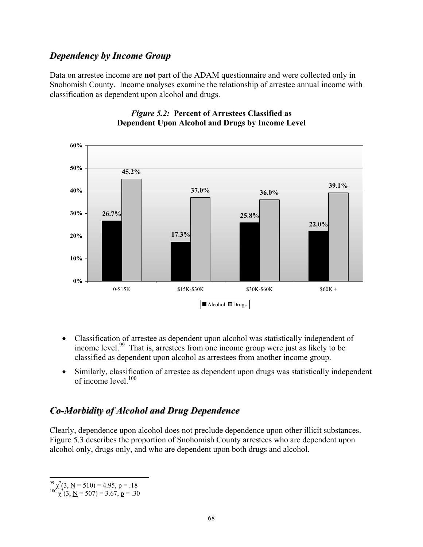### *Dependency by Income Group*

Data on arrestee income are **not** part of the ADAM questionnaire and were collected only in Snohomish County. Income analyses examine the relationship of arrestee annual income with classification as dependent upon alcohol and drugs.



#### *Figure 5.2:* **Percent of Arrestees Classified as Dependent Upon Alcohol and Drugs by Income Level**

- Classification of arrestee as dependent upon alcohol was statistically independent of income level.99 That is, arrestees from one income group were just as likely to be classified as dependent upon alcohol as arrestees from another income group.
- Similarly, classification of arrestee as dependent upon drugs was statistically independent of income level  $100$

### *Co-Morbidity of Alcohol and Drug Dependence*

Clearly, dependence upon alcohol does not preclude dependence upon other illicit substances. Figure 5.3 describes the proportion of Snohomish County arrestees who are dependent upon alcohol only, drugs only, and who are dependent upon both drugs and alcohol.

 $\overline{a}$  $^{99}$   $\chi^2$ (3, <u>N</u> = 510) = 4.95, <u>p</u> = .18<br><sup>100</sup>  $\chi^2$ (3, <u>N</u> = 507) = 3.67, <u>p</u> = .30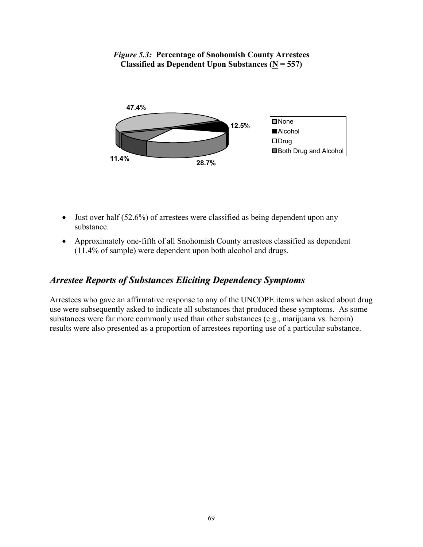

#### *Figure 5.3:* **Percentage of Snohomish County Arrestees Classified as Dependent Upon Substances (** $N = 557$ **)**

- Just over half (52.6%) of arrestees were classified as being dependent upon any substance.
- Approximately one-fifth of all Snohomish County arrestees classified as dependent (11.4% of sample) were dependent upon both alcohol and drugs.

## *Arrestee Reports of Substances Eliciting Dependency Symptoms*

Arrestees who gave an affirmative response to any of the UNCOPE items when asked about drug use were subsequently asked to indicate all substances that produced these symptoms. As some substances were far more commonly used than other substances (e.g., marijuana vs. heroin) results were also presented as a proportion of arrestees reporting use of a particular substance.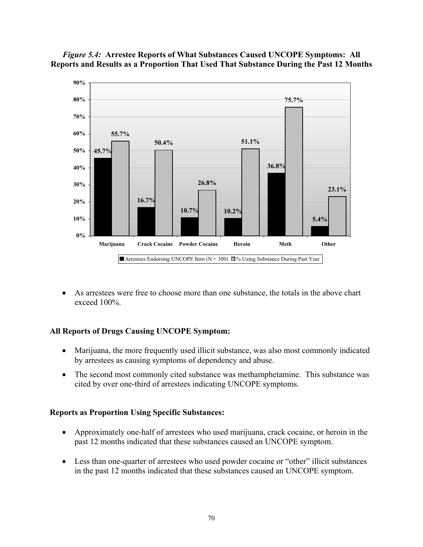



• As arrestees were free to choose more than one substance, the totals in the above chart exceed 100%.

#### **All Reports of Drugs Causing UNCOPE Symptom:**

- Marijuana, the more frequently used illicit substance, was also most commonly indicated by arrestees as causing symptoms of dependency and abuse.
- The second most commonly cited substance was methamphetamine. This substance was cited by over one-third of arrestees indicating UNCOPE symptoms.

#### **Reports as Proportion Using Specific Substances:**

- Approximately one-half of arrestees who used marijuana, crack cocaine, or heroin in the past 12 months indicated that these substances caused an UNCOPE symptom.
- Less than one-quarter of arrestees who used powder cocaine or "other" illicit substances in the past 12 months indicated that these substances caused an UNCOPE symptom.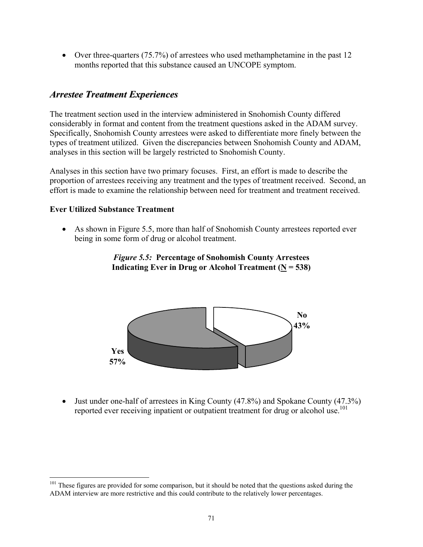• Over three-quarters (75.7%) of arrestees who used methamphetamine in the past 12 months reported that this substance caused an UNCOPE symptom.

### *Arrestee Treatment Experiences*

The treatment section used in the interview administered in Snohomish County differed considerably in format and content from the treatment questions asked in the ADAM survey. Specifically, Snohomish County arrestees were asked to differentiate more finely between the types of treatment utilized. Given the discrepancies between Snohomish County and ADAM, analyses in this section will be largely restricted to Snohomish County.

Analyses in this section have two primary focuses. First, an effort is made to describe the proportion of arrestees receiving any treatment and the types of treatment received. Second, an effort is made to examine the relationship between need for treatment and treatment received.

#### **Ever Utilized Substance Treatment**

 $\overline{a}$ 

• As shown in Figure 5.5, more than half of Snohomish County arrestees reported ever being in some form of drug or alcohol treatment.





• Just under one-half of arrestees in King County (47.8%) and Spokane County (47.3%) reported ever receiving inpatient or outpatient treatment for drug or alcohol use.<sup>101</sup>

<sup>&</sup>lt;sup>101</sup> These figures are provided for some comparison, but it should be noted that the questions asked during the ADAM interview are more restrictive and this could contribute to the relatively lower percentages.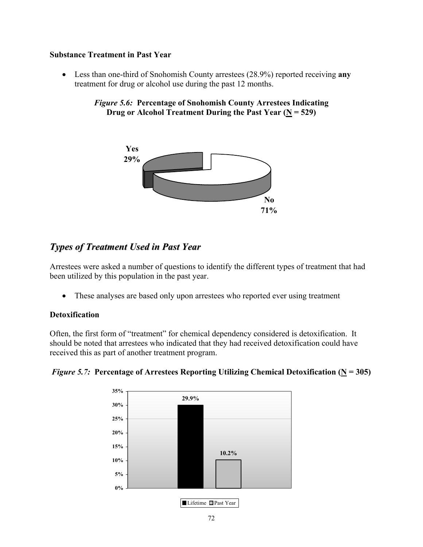#### **Substance Treatment in Past Year**

• Less than one-third of Snohomish County arrestees (28.9%) reported receiving **any** treatment for drug or alcohol use during the past 12 months.

*Figure 5.6:* **Percentage of Snohomish County Arrestees Indicating Drug or Alcohol Treatment During the Past Year (N = 529)**



### *Types of Treatment Used in Past Year*

Arrestees were asked a number of questions to identify the different types of treatment that had been utilized by this population in the past year.

• These analyses are based only upon arrestees who reported ever using treatment

#### **Detoxification**

Often, the first form of "treatment" for chemical dependency considered is detoxification. It should be noted that arrestees who indicated that they had received detoxification could have received this as part of another treatment program.



*Figure 5.7:* Percentage of Arrestees Reporting Utilizing Chemical Detoxification ( $\underline{N} = 305$ )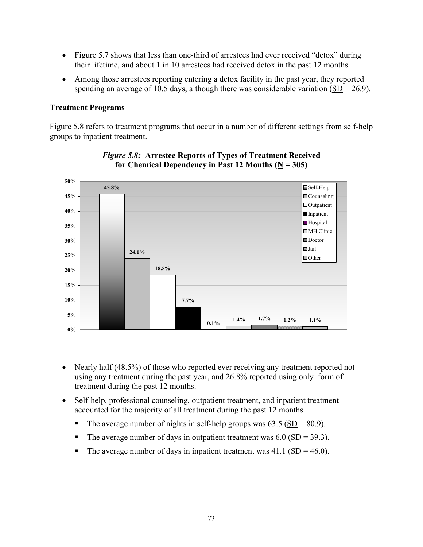- Figure 5.7 shows that less than one-third of arrestees had ever received "detox" during their lifetime, and about 1 in 10 arrestees had received detox in the past 12 months.
- Among those arrestees reporting entering a detox facility in the past year, they reported spending an average of 10.5 days, although there was considerable variation  $(SD = 26.9)$ .

#### **Treatment Programs**

Figure 5.8 refers to treatment programs that occur in a number of different settings from self-help groups to inpatient treatment.



#### *Figure 5.8:* **Arrestee Reports of Types of Treatment Received**  for Chemical Dependency in Past 12 Months  $(N = 305)$

- Nearly half (48.5%) of those who reported ever receiving any treatment reported not using any treatment during the past year, and 26.8% reported using only form of treatment during the past 12 months.
- Self-help, professional counseling, outpatient treatment, and inpatient treatment accounted for the majority of all treatment during the past 12 months.
	- The average number of nights in self-help groups was  $63.5$  ( $SD = 80.9$ ).
	- The average number of days in outpatient treatment was  $6.0$  (SD = 39.3).
	- The average number of days in inpatient treatment was  $41.1$  (SD = 46.0).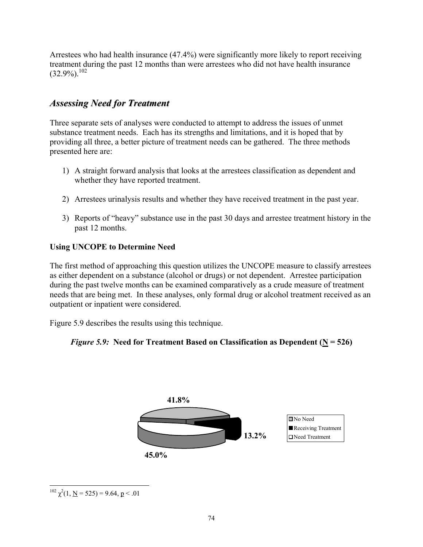Arrestees who had health insurance (47.4%) were significantly more likely to report receiving treatment during the past 12 months than were arrestees who did not have health insurance  $(32.9\%)$ <sup>102</sup>

### *Assessing Need for Treatment*

Three separate sets of analyses were conducted to attempt to address the issues of unmet substance treatment needs. Each has its strengths and limitations, and it is hoped that by providing all three, a better picture of treatment needs can be gathered. The three methods presented here are:

- 1) A straight forward analysis that looks at the arrestees classification as dependent and whether they have reported treatment.
- 2) Arrestees urinalysis results and whether they have received treatment in the past year.
- 3) Reports of "heavy" substance use in the past 30 days and arrestee treatment history in the past 12 months.

#### **Using UNCOPE to Determine Need**

The first method of approaching this question utilizes the UNCOPE measure to classify arrestees as either dependent on a substance (alcohol or drugs) or not dependent. Arrestee participation during the past twelve months can be examined comparatively as a crude measure of treatment needs that are being met. In these analyses, only formal drug or alcohol treatment received as an outpatient or inpatient were considered.

Figure 5.9 describes the results using this technique.





 $\overline{a}$ <sup>102</sup>  $\chi^2(1, \underline{N} = 525) = 9.64, \underline{p} < .01$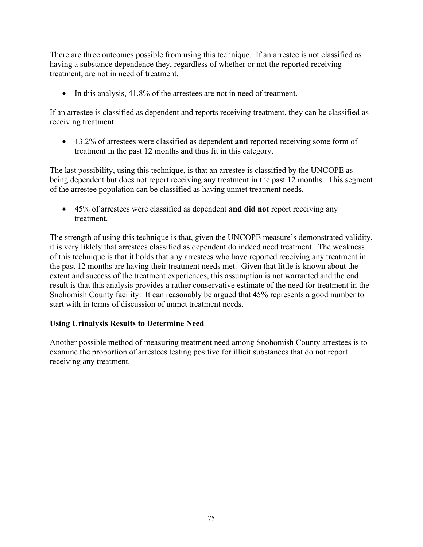There are three outcomes possible from using this technique. If an arrestee is not classified as having a substance dependence they, regardless of whether or not the reported receiving treatment, are not in need of treatment.

• In this analysis, 41.8% of the arrestees are not in need of treatment.

If an arrestee is classified as dependent and reports receiving treatment, they can be classified as receiving treatment.

• 13.2% of arrestees were classified as dependent **and** reported receiving some form of treatment in the past 12 months and thus fit in this category.

The last possibility, using this technique, is that an arrestee is classified by the UNCOPE as being dependent but does not report receiving any treatment in the past 12 months. This segment of the arrestee population can be classified as having unmet treatment needs.

• 45% of arrestees were classified as dependent **and did not** report receiving any treatment.

The strength of using this technique is that, given the UNCOPE measure's demonstrated validity, it is very liklely that arrestees classified as dependent do indeed need treatment. The weakness of this technique is that it holds that any arrestees who have reported receiving any treatment in the past 12 months are having their treatment needs met. Given that little is known about the extent and success of the treatment experiences, this assumption is not warranted and the end result is that this analysis provides a rather conservative estimate of the need for treatment in the Snohomish County facility. It can reasonably be argued that 45% represents a good number to start with in terms of discussion of unmet treatment needs.

#### **Using Urinalysis Results to Determine Need**

Another possible method of measuring treatment need among Snohomish County arrestees is to examine the proportion of arrestees testing positive for illicit substances that do not report receiving any treatment.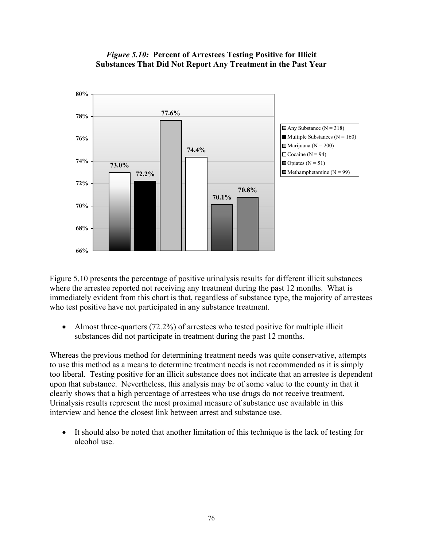

#### *Figure 5.10:* **Percent of Arrestees Testing Positive for Illicit Substances That Did Not Report Any Treatment in the Past Year**

Figure 5.10 presents the percentage of positive urinalysis results for different illicit substances where the arrestee reported not receiving any treatment during the past 12 months. What is immediately evident from this chart is that, regardless of substance type, the majority of arrestees who test positive have not participated in any substance treatment.

• Almost three-quarters (72.2%) of arrestees who tested positive for multiple illicit substances did not participate in treatment during the past 12 months.

Whereas the previous method for determining treatment needs was quite conservative, attempts to use this method as a means to determine treatment needs is not recommended as it is simply too liberal. Testing positive for an illicit substance does not indicate that an arrestee is dependent upon that substance. Nevertheless, this analysis may be of some value to the county in that it clearly shows that a high percentage of arrestees who use drugs do not receive treatment. Urinalysis results represent the most proximal measure of substance use available in this interview and hence the closest link between arrest and substance use.

It should also be noted that another limitation of this technique is the lack of testing for alcohol use.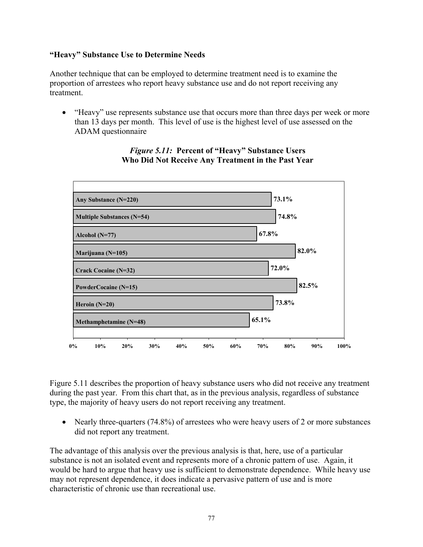#### **"Heavy" Substance Use to Determine Needs**

Another technique that can be employed to determine treatment need is to examine the proportion of arrestees who report heavy substance use and do not report receiving any treatment.

• "Heavy" use represents substance use that occurs more than three days per week or more than 13 days per month. This level of use is the highest level of use assessed on the ADAM questionnaire



#### *Figure 5.11:* **Percent of "Heavy" Substance Users Who Did Not Receive Any Treatment in the Past Year**

Figure 5.11 describes the proportion of heavy substance users who did not receive any treatment during the past year. From this chart that, as in the previous analysis, regardless of substance type, the majority of heavy users do not report receiving any treatment.

• Nearly three-quarters (74.8%) of arrestees who were heavy users of 2 or more substances did not report any treatment.

The advantage of this analysis over the previous analysis is that, here, use of a particular substance is not an isolated event and represents more of a chronic pattern of use. Again, it would be hard to argue that heavy use is sufficient to demonstrate dependence. While heavy use may not represent dependence, it does indicate a pervasive pattern of use and is more characteristic of chronic use than recreational use.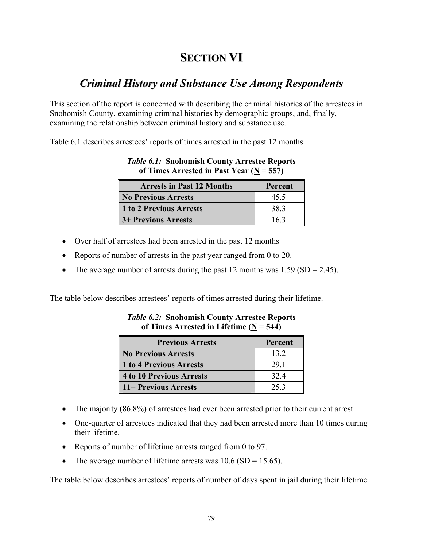# **SECTION VI**

## *Criminal History and Substance Use Among Respondents y*

This section of the report is concerned with describing the criminal histories of the arrestees in Snohomish County, examining criminal histories by demographic groups, and, finally, examining the relationship between criminal history and substance use.

Table 6.1 describes arrestees' reports of times arrested in the past 12 months.

| $\ldots$                         |         |
|----------------------------------|---------|
| <b>Arrests in Past 12 Months</b> | Percent |
| No Previous Arrests              | 45.5    |
| 1 to 2 Previous Arrests          | 38.3    |
| <b>3+ Previous Arrests</b>       | 163     |

### *Table 6.1:* **Snohomish County Arrestee Reports of Times Arrested in Past Year (N = 557)**

- Over half of arrestees had been arrested in the past 12 months
- Reports of number of arrests in the past year ranged from 0 to 20.
- The average number of arrests during the past 12 months was  $1.59 \, (\underline{SD} = 2.45)$ .

The table below describes arrestees' reports of times arrested during their lifetime.

| <b>Previous Arrests</b>         | Percent |
|---------------------------------|---------|
| <b>No Previous Arrests</b>      | 13 2    |
| 1 to 4 Previous Arrests         | 29.1    |
| <b>4 to 10 Previous Arrests</b> | 32.4    |
| 11+ Previous Arrests            | 25.3    |

*Table 6.2:* **Snohomish County Arrestee Reports of Times Arrested in Lifetime (N = 544)** 

- The majority (86.8%) of arrestees had ever been arrested prior to their current arrest.
- One-quarter of arrestees indicated that they had been arrested more than 10 times during their lifetime.
- Reports of number of lifetime arrests ranged from 0 to 97.
- The average number of lifetime arrests was  $10.6$  (SD = 15.65).

The table below describes arrestees' reports of number of days spent in jail during their lifetime.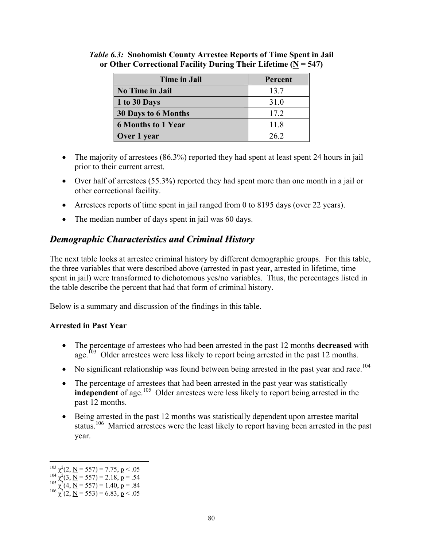| <b>Time in Jail</b>        | Percent |
|----------------------------|---------|
| <b>No Time in Jail</b>     | 13.7    |
| 1 to 30 Days               | 31.0    |
| <b>30 Days to 6 Months</b> | 17.2    |
| <b>6 Months to 1 Year</b>  | 11.8    |
| Over 1 year                | 26.2    |

*Table 6.3:* **Snohomish County Arrestee Reports of Time Spent in Jail or Other Correctional Facility During Their Lifetime (N = 547)** 

- The majority of arrestees (86.3%) reported they had spent at least spent 24 hours in jail prior to their current arrest.
- Over half of arrestees (55.3%) reported they had spent more than one month in a jail or other correctional facility.
- Arrestees reports of time spent in jail ranged from 0 to 8195 days (over 22 years).
- The median number of days spent in jail was 60 days.

### *Demographic Characteristics and Criminal History*

The next table looks at arrestee criminal history by different demographic groups. For this table, the three variables that were described above (arrested in past year, arrested in lifetime, time spent in jail) were transformed to dichotomous yes/no variables. Thus, the percentages listed in the table describe the percent that had that form of criminal history.

Below is a summary and discussion of the findings in this table.

#### **Arrested in Past Year**

- The percentage of arrestees who had been arrested in the past 12 months **decreased** with age.<sup>103</sup> Older arrestees were less likely to report being arrested in the past 12 months.
- No significant relationship was found between being arrested in the past year and race.<sup>104</sup>
- The percentage of arrestees that had been arrested in the past year was statistically **independent** of age.<sup>105</sup> Older arrestees were less likely to report being arrested in the past 12 months.
- Being arrested in the past 12 months was statistically dependent upon arrestee marital status.<sup>106</sup> Married arrestees were the least likely to report having been arrested in the past year.

 $\overline{a}$ 

<sup>&</sup>lt;sup>103</sup> χ<sup>2</sup>(2, <u>N</u> = 557) = 7.75, p < .05<br>
<sup>104</sup> χ<sup>2</sup>(3, <u>N</u> = 557) = 2.18, p = .54<br>
<sup>105</sup> χ<sup>2</sup>(4, <u>N</u> = 557) = 1.40, p = .84<br>
<sup>106</sup> χ<sup>2</sup>(2, <u>N</u> = 553) = 6.83, p < .05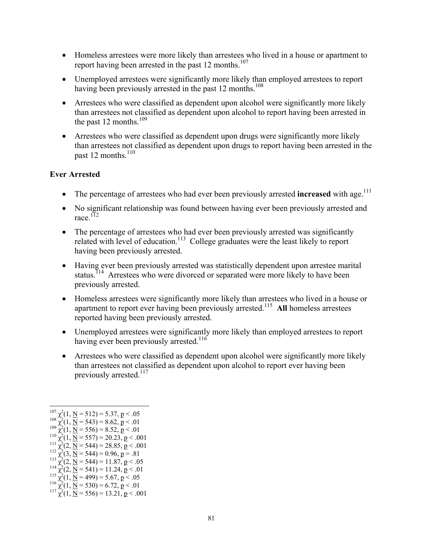- Homeless arrestees were more likely than arrestees who lived in a house or apartment to report having been arrested in the past 12 months.<sup>107</sup>
- Unemployed arrestees were significantly more likely than employed arrestees to report having been previously arrested in the past 12 months.<sup>108</sup>
- Arrestees who were classified as dependent upon alcohol were significantly more likely than arrestees not classified as dependent upon alcohol to report having been arrested in the past 12 months. $109$
- Arrestees who were classified as dependent upon drugs were significantly more likely than arrestees not classified as dependent upon drugs to report having been arrested in the past 12 months. $110$

#### **Ever Arrested**

- The percentage of arrestees who had ever been previously arrested **increased** with age.<sup>111</sup>
- No significant relationship was found between having ever been previously arrested and race.<sup>172</sup>
- The percentage of arrestees who had ever been previously arrested was significantly related with level of education.<sup>113</sup> College graduates were the least likely to report having been previously arrested.
- Having ever been previously arrested was statistically dependent upon arrestee marital status.<sup>114</sup> Arrestees who were divorced or separated were more likely to have been previously arrested.
- Homeless arrestees were significantly more likely than arrestees who lived in a house or apartment to report ever having been previously arrested.115 **All** homeless arrestees reported having been previously arrested.
- Unemployed arrestees were significantly more likely than employed arrestees to report having ever been previously arrested.<sup>116</sup>
- Arrestees who were classified as dependent upon alcohol were significantly more likely than arrestees not classified as dependent upon alcohol to report ever having been previously arrested. $117$

 $\overline{a}$ 

- 
- <sup>112</sup>  $\chi^2$ (3, <u>N</u> = 544) = 0.96, <u>p</u> = .81<br><sup>113</sup>  $\chi^2$ (2, <u>N</u> = 544) = 11.87, <u>p</u> < .0:
- <sup>113</sup>  $\chi^2$ (2, <u>N</u> = 544) = 11.87, <u>p</u> < .05<br><sup>114</sup>  $\chi^2$ (2, <u>N</u> = 541) = 11.24, <u>p</u> < .01
- 
- <sup>114</sup>  $\chi^2$ (2, <u>N</u> = 541) = 11.24, **p** < .01<br>
<sup>115</sup>  $\chi^2$ (1, <u>N</u> = 499) = 5.67, **p** < .05<br>
<sup>116</sup>  $\chi^2$ (1, <u>N</u> = 530) = 6.72, **p** < .01<br>
<sup>117</sup>  $\chi^2$ (1, <u>N</u> = 556) = 13.21, **p** < .001
- 

 $107$   $\chi^2$ <sup>107</sup>  $\chi^2(1, \underline{N} = 512) = 5.37, \underline{p} < .05$ <br><sup>108</sup>  $\chi^2(1, \underline{N} = 543) = 8.62, \underline{p} < .01$ 

<sup>&</sup>lt;sup>108</sup>  $\chi^2(1, \underline{N} = 543) = 8.62, \underline{p} < .01$ <br><sup>109</sup>  $\chi^2(1, \underline{N} = 556) = 8.52, \underline{p} < .01$ 

<sup>&</sup>lt;sup>109</sup>  $\chi^2$ (1, <u>N</u> = 556) = 8.52, p < .01<br><sup>110</sup>  $\chi^2$ (1, <u>N</u> = 557) = 20.23, p < .00

<sup>&</sup>lt;sup>110</sup>  $\chi^2(1, \text{ N} = 557) = 20.23, \text{ p} < .001$ <br>
<sup>111</sup>  $\chi^2(2, \text{ N} = 544) = 28.85, \text{ p} < .001$ <br>
<sup>112</sup>  $\chi^2(3, \text{ N} = 544) = 0.96, \text{ p} = .81$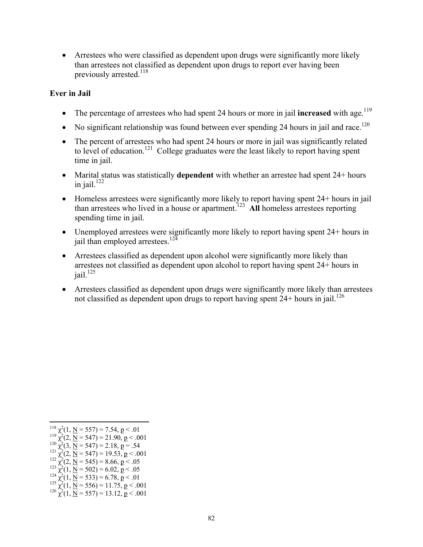• Arrestees who were classified as dependent upon drugs were significantly more likely than arrestees not classified as dependent upon drugs to report ever having been previously arrested.<sup>118</sup>

#### **Ever in Jail**

- The percentage of arrestees who had spent 24 hours or more in jail **increased** with age.<sup>119</sup>
- No significant relationship was found between ever spending 24 hours in jail and race.<sup>120</sup>
- The percent of arrestees who had spent 24 hours or more in jail was significantly related to level of education.<sup>121</sup> College graduates were the least likely to report having spent time in jail.
- Marital status was statistically **dependent** with whether an arrestee had spent 24+ hours in iail. $122$
- Homeless arrestees were significantly more likely to report having spent 24+ hours in jail than arrestees who lived in a house or apartment.<sup>123</sup> All homeless arrestees reporting spending time in jail.
- Unemployed arrestees were significantly more likely to report having spent 24+ hours in jail than employed arrestees.<sup>124</sup>
- Arrestees classified as dependent upon alcohol were significantly more likely than arrestees not classified as dependent upon alcohol to report having spent 24+ hours in  $j$ ail.<sup>125</sup>
- Arrestees classified as dependent upon drugs were significantly more likely than arrestees not classified as dependent upon drugs to report having spent  $24+$  hours in jail.<sup>126</sup>

<sup>1</sup>  $118$   $\chi^2$ 

<sup>&</sup>lt;sup>118</sup>  $\chi^2$ (1, <u>N</u> = 557) = 7.54, p < .01<br><sup>119</sup>  $\chi^2$ (2, <u>N</u> = 547) = 21.90, p < .00

<sup>&</sup>lt;sup>119</sup>  $\chi^2$ (2, <u>N</u> = 547) = 21.90, **p** < .001<br><sup>120</sup>  $\chi^2$ (3, <u>N</u> = 547) = 2.18, **p** = .54<br><sup>121</sup>  $\chi^2$ (2, <u>N</u> = 547) = 19.53, **p** < .001

<sup>&</sup>lt;sup>121</sup>  $\chi^2$ (2, <u>N</u> = 547) = 19.53, <u>p</u> < .001<br><sup>122</sup>  $\chi^2$ (2, <u>N</u> = 545) = 8.66, p < .05

<sup>&</sup>lt;sup>122</sup>  $\chi^2$ (2, <u>N</u> = 545) = 8.66, p < .05<br><sup>123</sup>  $\chi^2$ (1, <u>N</u> = 502) = 6.02, p < .05

<sup>&</sup>lt;sup>123</sup>  $\chi^2(1, \text{ N} = 502) = 6.02, \text{ p} < .05$ <br>
<sup>124</sup>  $\chi^2(1, \text{ N} = 533) = 6.78, \text{ p} < .01$ <br>
<sup>125</sup>  $\chi^2(1, \text{ N} = 556) = 11.75, \text{ p} < .001$ <br>
<sup>126</sup>  $\chi^2(1, \text{ N} = 557) = 13.12, \text{ p} < .001$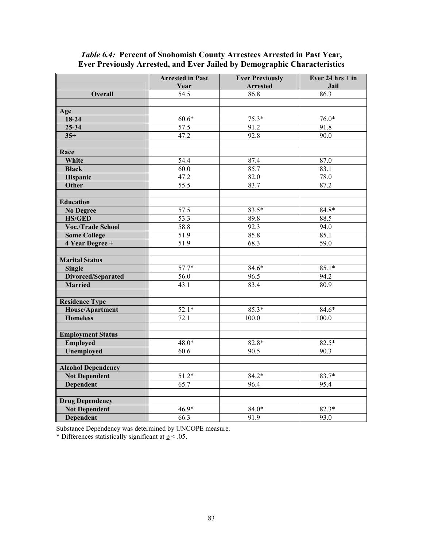|                           | <b>Arrested in Past</b> | <b>Ever Previously</b> | Ever 24 hrs + in |
|---------------------------|-------------------------|------------------------|------------------|
|                           | Year                    | <b>Arrested</b>        | Jail             |
| <b>Overall</b>            | 54.5                    | 86.8                   | 86.3             |
|                           |                         |                        |                  |
| Age                       |                         |                        |                  |
| $18-24$                   | $60.6*$                 | $75.3*$                | $76.0*$          |
| $25 - 34$                 | 57.5                    | 91.2                   | 91.8             |
| $35+$                     | 47.2                    | 92.8                   | 90.0             |
|                           |                         |                        |                  |
| Race                      |                         |                        |                  |
| White                     | 54.4                    | 87.4                   | 87.0             |
| <b>Black</b>              | 60.0                    | 85.7                   | 83.1             |
| Hispanic                  | 47.2                    | 82.0                   | 78.0             |
| Other                     | $\overline{55.5}$       | 83.7                   | 87.2             |
|                           |                         |                        |                  |
| <b>Education</b>          |                         |                        |                  |
| <b>No Degree</b>          | 57.5                    | $83.5*$                | 84.8*            |
| <b>HS/GED</b>             | 53.3                    | $\overline{89}$ .8     | 88.5             |
| Voc./Trade School         | 58.8                    | 92.3                   | 94.0             |
| <b>Some College</b>       | 51.9                    | 85.8                   | 85.1             |
| 4 Year Degree +           | 51.9                    | 68.3                   | 59.0             |
|                           |                         |                        |                  |
| <b>Marital Status</b>     |                         |                        |                  |
| <b>Single</b>             | $57.7*$                 | $84.6*$                | $85.1*$          |
| <b>Divorced/Separated</b> | 56.0                    | 96.5                   | 94.2             |
| <b>Married</b>            | 43.1                    | 83.4                   | 80.9             |
|                           |                         |                        |                  |
| <b>Residence Type</b>     |                         |                        |                  |
| <b>House/Apartment</b>    | $52.1*$                 | $85.3*$                | $84.6*$          |
| <b>Homeless</b>           | 72.1                    | 100.0                  | 100.0            |
|                           |                         |                        |                  |
| <b>Employment Status</b>  |                         |                        |                  |
| Employed                  | $48.0*$                 | $82.8*$                | $82.5*$          |
| Unemployed                | 60.6                    | 90.5                   | 90.3             |
|                           |                         |                        |                  |
| <b>Alcohol Dependency</b> |                         |                        |                  |
| <b>Not Dependent</b>      | $51.2*$                 | $84.2*$                | 83.7*            |
| Dependent                 | 65.7                    | 96.4                   | 95.4             |
|                           |                         |                        |                  |
| <b>Drug Dependency</b>    |                         |                        |                  |
| <b>Not Dependent</b>      | $46.9*$                 | $84.0*$                | $82.3*$          |
| Dependent                 | 66.3                    | 91.9                   | 93.0             |

#### *Table 6.4:* **Percent of Snohomish County Arrestees Arrested in Past Year, Ever Previously Arrested, and Ever Jailed by Demographic Characteristics**

Substance Dependency was determined by UNCOPE measure.

\* Differences statistically significant at  $p < .05$ .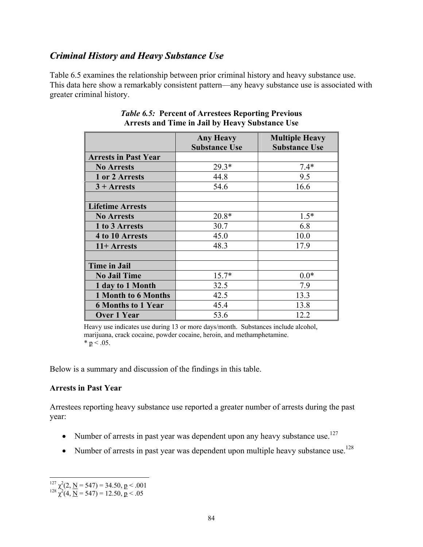## *Criminal History and Heavy Substance Use*

Table 6.5 examines the relationship between prior criminal history and heavy substance use. This data here show a remarkably consistent pattern—any heavy substance use is associated with greater criminal history.

|                             | <b>Any Heavy</b><br><b>Substance Use</b> | <b>Multiple Heavy</b><br><b>Substance Use</b> |
|-----------------------------|------------------------------------------|-----------------------------------------------|
| <b>Arrests in Past Year</b> |                                          |                                               |
| <b>No Arrests</b>           | $29.3*$                                  | $7.4*$                                        |
| 1 or 2 Arrests              | 44.8                                     | 9.5                                           |
| $3 +$ Arrests               | 54.6                                     | 16.6                                          |
|                             |                                          |                                               |
| <b>Lifetime Arrests</b>     |                                          |                                               |
| <b>No Arrests</b>           | $20.8*$                                  | $1.5*$                                        |
| 1 to 3 Arrests              | 30.7                                     | 6.8                                           |
| 4 to 10 Arrests             | 45.0                                     | 10.0                                          |
| 11+ Arrests                 | 48.3                                     | 17.9                                          |
|                             |                                          |                                               |
| <b>Time in Jail</b>         |                                          |                                               |
| <b>No Jail Time</b>         | $15.7*$                                  | $0.0*$                                        |
| 1 day to 1 Month            | 32.5                                     | 7.9                                           |
| <b>1 Month to 6 Months</b>  | 42.5                                     | 13.3                                          |
| <b>6 Months to 1 Year</b>   | 45.4                                     | 13.8                                          |
| <b>Over 1 Year</b>          | 53.6                                     | 12 2                                          |

#### *Table 6.5:* **Percent of Arrestees Reporting Previous Arrests and Time in Jail by Heavy Substance Use**

Heavy use indicates use during 13 or more days/month. Substances include alcohol, marijuana, crack cocaine, powder cocaine, heroin, and methamphetamine.  $* p < .05.$ 

Below is a summary and discussion of the findings in this table.

#### **Arrests in Past Year**

Arrestees reporting heavy substance use reported a greater number of arrests during the past year:

- Number of arrests in past year was dependent upon any heavy substance use.<sup>127</sup>
- Number of arrests in past year was dependent upon multiple heavy substance use.<sup>128</sup>

1

<sup>&</sup>lt;sup>127</sup>  $\chi^2$ (2, <u>N</u> = 547) = 34.50, <u>p</u> < .001<br><sup>128</sup>  $\chi^2$ (4, <u>N</u> = 547) = 12.50, <u>p</u> < .05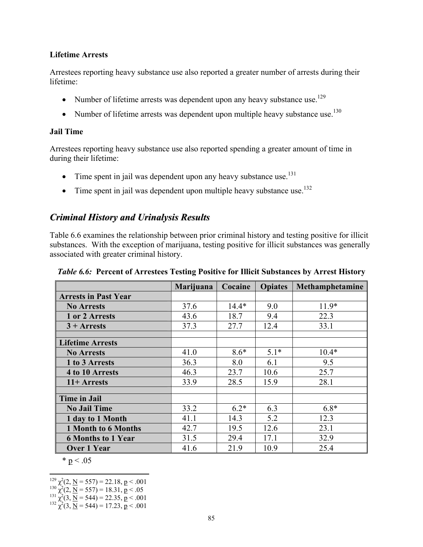#### **Lifetime Arrests**

Arrestees reporting heavy substance use also reported a greater number of arrests during their lifetime:

- Number of lifetime arrests was dependent upon any heavy substance use.<sup>129</sup>
- Number of lifetime arrests was dependent upon multiple heavy substance use.<sup>130</sup>

#### **Jail Time**

Arrestees reporting heavy substance use also reported spending a greater amount of time in during their lifetime:

- Time spent in jail was dependent upon any heavy substance use.<sup>131</sup>
- Time spent in jail was dependent upon multiple heavy substance use.<sup>132</sup>

### *Criminal History and Urinalysis Results*

Table 6.6 examines the relationship between prior criminal history and testing positive for illicit substances. With the exception of marijuana, testing positive for illicit substances was generally associated with greater criminal history.

|                             | Marijuana | Cocaine | <b>Opiates</b> | Methamphetamine |
|-----------------------------|-----------|---------|----------------|-----------------|
| <b>Arrests in Past Year</b> |           |         |                |                 |
| <b>No Arrests</b>           | 37.6      | $14.4*$ | 9.0            | $11.9*$         |
| 1 or 2 Arrests              | 43.6      | 18.7    | 9.4            | 22.3            |
| $3 +$ Arrests               | 37.3      | 27.7    | 12.4           | 33.1            |
|                             |           |         |                |                 |
| <b>Lifetime Arrests</b>     |           |         |                |                 |
| <b>No Arrests</b>           | 41.0      | $8.6*$  | $5.1*$         | $10.4*$         |
| 1 to 3 Arrests              | 36.3      | 8.0     | 6.1            | 9.5             |
| 4 to 10 Arrests             | 46.3      | 23.7    | 10.6           | 25.7            |
| $11+Arrests$                | 33.9      | 28.5    | 15.9           | 28.1            |
|                             |           |         |                |                 |
| <b>Time in Jail</b>         |           |         |                |                 |
| <b>No Jail Time</b>         | 33.2      | $6.2*$  | 6.3            | $6.8*$          |
| 1 day to 1 Month            | 41.1      | 14.3    | 5.2            | 12.3            |
| 1 Month to 6 Months         | 42.7      | 19.5    | 12.6           | 23.1            |
| <b>6 Months to 1 Year</b>   | 31.5      | 29.4    | 17.1           | 32.9            |
| Over 1 Year                 | 41.6      | 21.9    | 10.9           | 25.4            |

*Table 6.6:* **Percent of Arrestees Testing Positive for Illicit Substances by Arrest History** 

 $* p < .05$ 

 $\overline{a}$ 

 $^{129}_{130}$   $^2(2, \underline{N} = 557) = 22.18, \underline{p} < .001$ <br>  $^{131}_{131}$   $^2(2, \underline{N} = 557) = 18.31, \underline{p} < .05$ <br>  $^{131}_{132}$   $^2(3, \underline{N} = 544) = 22.35, \underline{p} < .001$ <br>  $^{132}_{132}$   $^2(3, \underline{N} = 544) = 17.23, \underline{p} < .001$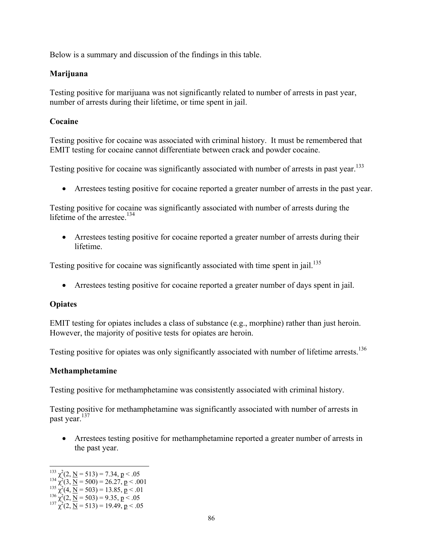Below is a summary and discussion of the findings in this table.

#### **Marijuana**

Testing positive for marijuana was not significantly related to number of arrests in past year, number of arrests during their lifetime, or time spent in jail.

#### **Cocaine**

Testing positive for cocaine was associated with criminal history. It must be remembered that EMIT testing for cocaine cannot differentiate between crack and powder cocaine.

Testing positive for cocaine was significantly associated with number of arrests in past year.<sup>133</sup>

• Arrestees testing positive for cocaine reported a greater number of arrests in the past year.

Testing positive for cocaine was significantly associated with number of arrests during the lifetime of the arrestee.<sup>134</sup>

• Arrestees testing positive for cocaine reported a greater number of arrests during their lifetime.

Testing positive for cocaine was significantly associated with time spent in jail.<sup>135</sup>

• Arrestees testing positive for cocaine reported a greater number of days spent in jail.

#### **Opiates**

EMIT testing for opiates includes a class of substance (e.g., morphine) rather than just heroin. However, the majority of positive tests for opiates are heroin.

Testing positive for opiates was only significantly associated with number of lifetime arrests.<sup>136</sup>

#### **Methamphetamine**

Testing positive for methamphetamine was consistently associated with criminal history.

Testing positive for methamphetamine was significantly associated with number of arrests in past year.<sup>137</sup>

• Arrestees testing positive for methamphetamine reported a greater number of arrests in the past year.

<sup>1</sup> 

<sup>&</sup>lt;sup>133</sup>  $\chi^2$ (2, <u>N</u> = 513) = 7.34, p < .05<br>
<sup>134</sup>  $\chi^2$ (3, <u>N</u> = 500) = 26.27, p < .001<br>
<sup>135</sup>  $\chi^2$ (4, <u>N</u> = 503) = 13.85, p < .01<br>
<sup>136</sup>  $\chi^2$ (2, <u>N</u> = 503) = 9.35, p < .05

<sup>&</sup>lt;sup>136</sup>  $\chi^2$ (2, <u>N</u> = 503) = 9.35, <u>p</u> < .05<br><sup>137</sup>  $\chi^2$ (2, <u>N</u> = 513) = 19.49, <u>p</u> < .05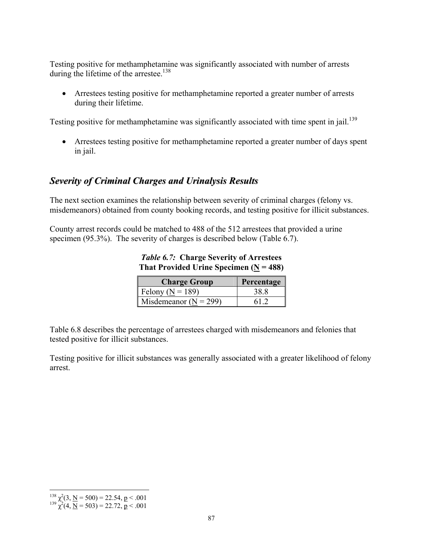Testing positive for methamphetamine was significantly associated with number of arrests during the lifetime of the arrestee.<sup>138</sup>

• Arrestees testing positive for methamphetamine reported a greater number of arrests during their lifetime.

Testing positive for methamphetamine was significantly associated with time spent in jail.<sup>139</sup>

• Arrestees testing positive for methamphetamine reported a greater number of days spent in jail.

### *Severity of Criminal Charges and Urinalysis Results*

The next section examines the relationship between severity of criminal charges (felony vs. misdemeanors) obtained from county booking records, and testing positive for illicit substances.

County arrest records could be matched to 488 of the 512 arrestees that provided a urine specimen (95.3%). The severity of charges is described below (Table 6.7).

*Table 6.7:* **Charge Severity of Arrestees That Provided Urine Specimen (** $N = 488$ **)** 

| <b>Charge Group</b>       | Percentage |
|---------------------------|------------|
| Felony ( $N = 189$ )      |            |
| Misdemeanor ( $N = 299$ ) |            |

Table 6.8 describes the percentage of arrestees charged with misdemeanors and felonies that tested positive for illicit substances.

Testing positive for illicit substances was generally associated with a greater likelihood of felony arrest.

 $\overline{a}$ <sup>138</sup>  $\chi^2$ (3, <u>N</u> = 500) = 22.54, <u>p</u> < .001<br><sup>139</sup>  $\chi^2$ (4, <u>N</u> = 503) = 22.72, <u>p</u> < .001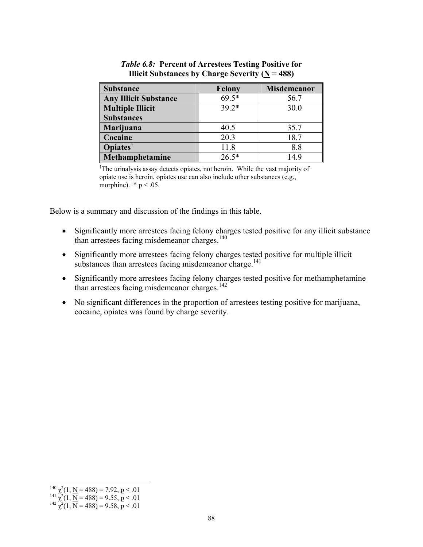| <b>Substance</b>             | <b>Felony</b> | <b>Misdemeanor</b> |
|------------------------------|---------------|--------------------|
| <b>Any Illicit Substance</b> | $69.5*$       | 56.7               |
| <b>Multiple Illicit</b>      | $39.2*$       | 30.0               |
| <b>Substances</b>            |               |                    |
| Marijuana                    | 40.5          | 35.7               |
| Cocaine                      | 20.3          | 18.7               |
| <b>Opiates</b> <sup>†</sup>  | 11.8          | 8.8                |
| Methamphetamine              | $26.5*$       | 149                |

*Table 6.8:* **Percent of Arrestees Testing Positive for Illicit Substances by Charge Severity (N = 488)** 

<sup>†</sup>The urinalysis assay detects opiates, not heroin. While the vast majority of opiate use is heroin, opiates use can also include other substances (e.g., morphine).  $*$  <u>p</u> < .05.

Below is a summary and discussion of the findings in this table.

- Significantly more arrestees facing felony charges tested positive for any illicit substance than arrestees facing misdemeanor charges.140
- Significantly more arrestees facing felony charges tested positive for multiple illicit substances than arrestees facing misdemeanor charge.<sup>141</sup>
- Significantly more arrestees facing felony charges tested positive for methamphetamine than arrestees facing misdemeanor charges. $142$
- No significant differences in the proportion of arrestees testing positive for marijuana, cocaine, opiates was found by charge severity.

 $\overline{a}$ 

 $^{140}$   $\chi^2(1, \text{ N} = 488) = 7.92, \, \text{p} < .01$ <br>  $^{141}$   $\chi^2(1, \text{ N} = 488) = 9.55, \, \text{p} < .01$ <br>  $^{142}$   $\chi^2(1, \text{ N} = 488) = 9.58, \, \text{p} < .01$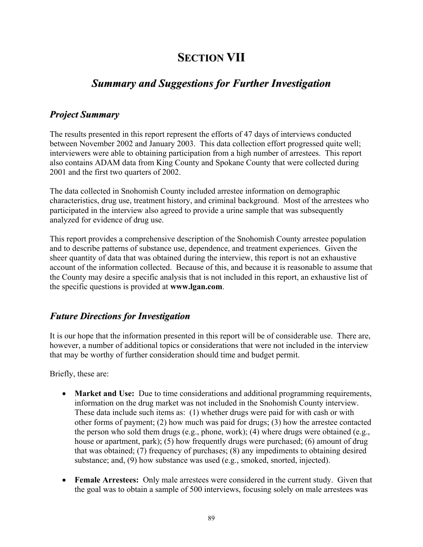# **SECTION VII**

## *Summary and Suggestions for Further Investigation*

### *Project Summary*

The results presented in this report represent the efforts of 47 days of interviews conducted between November 2002 and January 2003. This data collection effort progressed quite well; interviewers were able to obtaining participation from a high number of arrestees. This report also contains ADAM data from King County and Spokane County that were collected during 2001 and the first two quarters of 2002.

The data collected in Snohomish County included arrestee information on demographic characteristics, drug use, treatment history, and criminal background. Most of the arrestees who participated in the interview also agreed to provide a urine sample that was subsequently analyzed for evidence of drug use.

This report provides a comprehensive description of the Snohomish County arrestee population and to describe patterns of substance use, dependence, and treatment experiences. Given the sheer quantity of data that was obtained during the interview, this report is not an exhaustive account of the information collected. Because of this, and because it is reasonable to assume that the County may desire a specific analysis that is not included in this report, an exhaustive list of the specific questions is provided at **www.lgan.com**.

### *Future Directions for Investigation*

It is our hope that the information presented in this report will be of considerable use. There are, however, a number of additional topics or considerations that were not included in the interview that may be worthy of further consideration should time and budget permit.

Briefly, these are:

- **Market and Use:** Due to time considerations and additional programming requirements, information on the drug market was not included in the Snohomish County interview. These data include such items as: (1) whether drugs were paid for with cash or with other forms of payment; (2) how much was paid for drugs; (3) how the arrestee contacted the person who sold them drugs (e.g., phone, work); (4) where drugs were obtained (e.g., house or apartment, park); (5) how frequently drugs were purchased; (6) amount of drug that was obtained; (7) frequency of purchases; (8) any impediments to obtaining desired substance; and, (9) how substance was used (e.g., smoked, snorted, injected).
- **Female Arrestees:** Only male arrestees were considered in the current study. Given that the goal was to obtain a sample of 500 interviews, focusing solely on male arrestees was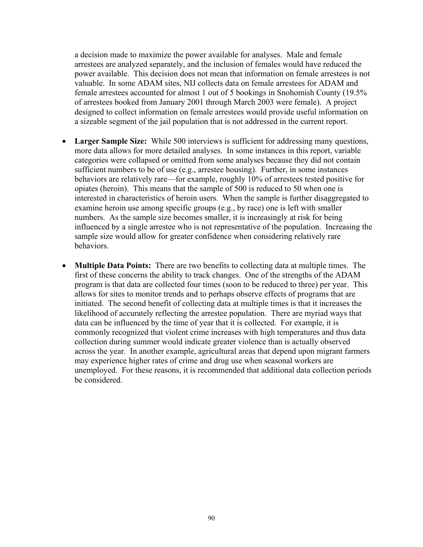a decision made to maximize the power available for analyses. Male and female arrestees are analyzed separately, and the inclusion of females would have reduced the power available. This decision does not mean that information on female arrestees is not valuable. In some ADAM sites, NIJ collects data on female arrestees for ADAM and female arrestees accounted for almost 1 out of 5 bookings in Snohomish County (19.5% of arrestees booked from January 2001 through March 2003 were female). A project designed to collect information on female arrestees would provide useful information on a sizeable segment of the jail population that is not addressed in the current report.

- **Larger Sample Size:** While 500 interviews is sufficient for addressing many questions, more data allows for more detailed analyses. In some instances in this report, variable categories were collapsed or omitted from some analyses because they did not contain sufficient numbers to be of use (e.g., arrestee housing). Further, in some instances behaviors are relatively rare—for example, roughly 10% of arrestees tested positive for opiates (heroin). This means that the sample of 500 is reduced to 50 when one is interested in characteristics of heroin users. When the sample is further disaggregated to examine heroin use among specific groups (e.g., by race) one is left with smaller numbers. As the sample size becomes smaller, it is increasingly at risk for being influenced by a single arrestee who is not representative of the population. Increasing the sample size would allow for greater confidence when considering relatively rare behaviors.
- **Multiple Data Points:** There are two benefits to collecting data at multiple times. The first of these concerns the ability to track changes.One of the strengths of the ADAM program is that data are collected four times (soon to be reduced to three) per year. This allows for sites to monitor trends and to perhaps observe effects of programs that are initiated. The second benefit of collecting data at multiple times is that it increases the likelihood of accurately reflecting the arrestee population. There are myriad ways that data can be influenced by the time of year that it is collected. For example, it is commonly recognized that violent crime increases with high temperatures and thus data collection during summer would indicate greater violence than is actually observed across the year. In another example, agricultural areas that depend upon migrant farmers may experience higher rates of crime and drug use when seasonal workers are unemployed. For these reasons, it is recommended that additional data collection periods be considered.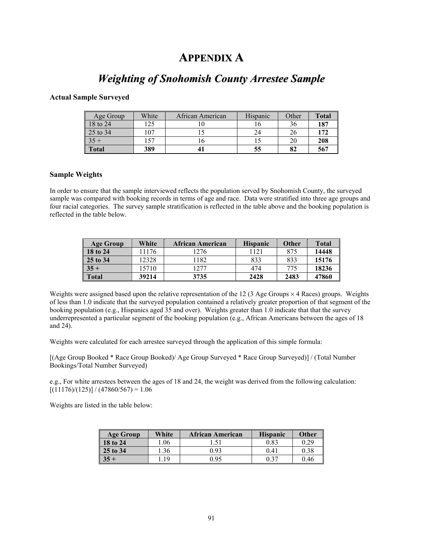## **APPENDIX A**

## *Weighting of Snohomish County Arrestee Sample*

#### **Actual Sample Surveyed**

| Age Group    | White | African American | Hispanic | Other | <b>Total</b> |
|--------------|-------|------------------|----------|-------|--------------|
| 18 to 24     | .25   |                  |          | 36    | 187          |
| 25 to 34     | 107   |                  |          | 26    | 172          |
| $35 +$       | 157   |                  |          | 20    | 208          |
| <b>Total</b> | 389   |                  | 55       | 82    | 567          |

#### **Sample Weights**

In order to ensure that the sample interviewed reflects the population served by Snohomish County, the surveyed sample was compared with booking records in terms of age and race. Data were stratified into three age groups and four racial categories. The survey sample stratification is reflected in the table above and the booking population is reflected in the table below.

| <b>Age Group</b>  | White | African American | <b>Hispanic</b> | Other | <b>Total</b> |
|-------------------|-------|------------------|-----------------|-------|--------------|
| $\sqrt{18}$ to 24 | 11176 | 1276             | 1121            | 875   | 14448        |
| 25 to 34          | 12328 | 182              | 833             | 833   | 15176        |
| $35 +$            | 15710 | 1277             | 474             | 775   | 18236        |
| <b>Total</b>      | 39214 | 3735             | 2428            | 2483  | 47860        |

Weights were assigned based upon the relative representation of the 12 (3 Age Groups  $\times$  4 Races) groups. Weights of less than 1.0 indicate that the surveyed population contained a relatively greater proportion of that segment of the booking population (e.g., Hispanics aged 35 and over). Weights greater than 1.0 indicate that that the survey underrepresented a particular segment of the booking population (e.g., African Americans between the ages of 18 and 24).

Weights were calculated for each arrestee surveyed through the application of this simple formula:

[(Age Group Booked \* Race Group Booked)/ Age Group Surveyed \* Race Group Surveyed)] / (Total Number Bookings/Total Number Surveyed)

e.g., For white arrestees between the ages of 18 and 24, the weight was derived from the following calculation:  $[(11176)/(125)] / (47860/567) = 1.06$ 

Weights are listed in the table below:

| Age Group | White | <b>African American</b> | <b>Hispanic</b> | <b>Other</b> |
|-----------|-------|-------------------------|-----------------|--------------|
| 18 to 24  | .06   |                         | 0.83            | 0.29         |
| 25 to 34  | .36   | 0.93                    | 0.41            | 0.38         |
|           | 19    | 0.95                    | 0.37            | 0.46         |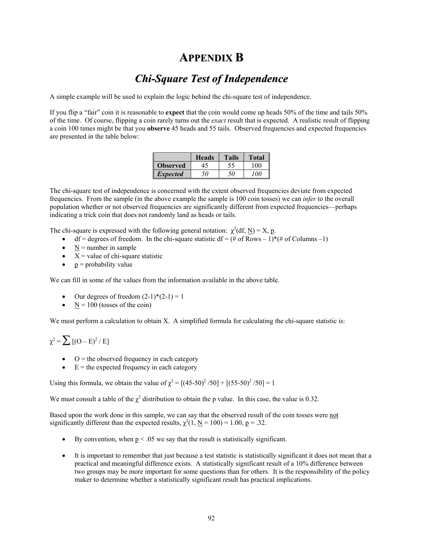## **APPENDIX B**

## *Chi-Square Test of Independence*

A simple example will be used to explain the logic behind the chi-square test of independence.

If you flip a "fair" coin it is reasonable to **expect** that the coin would come up heads 50% of the time and tails 50% of the time. Of course, flipping a coin rarely turns out the *exact* result that is expected. A realistic result of flipping a coin 100 times might be that you **observe** 45 heads and 55 tails. Observed frequencies and expected frequencies are presented in the table below:

|                 | <b>Heads</b> | <b>Tails</b> | <b>Total</b>  |
|-----------------|--------------|--------------|---------------|
| <b>Observed</b> |              |              | 00            |
| <i>Expected</i> | 50           | 50           | $^{\prime}00$ |

The chi-square test of independence is concerned with the extent observed frequencies deviate from expected frequencies. From the sample (in the above example the sample is 100 coin tosses) we can *infer* to the overall population whether or not observed frequencies are significantly different from expected frequencies—perhaps indicating a trick coin that does not randomly land as heads or tails.

The chi-square is expressed with the following general notation:  $\chi^2(df, N) = X$ , p.

- df = degrees of freedom. In the chi-square statistic df =  $(\# \text{ of Rows} 1) * (\# \text{ of Columns} 1)$
- $N =$  number in sample
- $X =$  value of chi-square statistic
- $p =$  probability value

We can fill in some of the values from the information available in the above table.

- Our degrees of freedom  $(2-1)*(2-1) = 1$
- $N = 100$  (tosses of the coin)

We must perform a calculation to obtain X. A simplified formula for calculating the chi-square statistic is:

 $\chi^2 = \sum [(O - E)^2 / E]$ 

- $\bullet$  O = the observed frequency in each category
- $\bullet$  E = the expected frequency in each category

Using this formula, we obtain the value of  $\chi^2 = [(45-50)^2 / 50] + [(55-50)^2 / 50] = 1$ 

We must consult a table of the  $\chi^2$  distribution to obtain the p value. In this case, the value is 0.32.

Based upon the work done in this sample, we can say that the observed result of the coin tosses were not significantly different than the expected results,  $\chi^2(1, \underline{N} = 100) = 1.00$ ,  $\underline{p} = .32$ .

- By convention, when  $p < 0.05$  we say that the result is statistically significant.
- It is important to remember that just because a test statistic is statistically significant it does not mean that a practical and meaningful difference exists. A statistically significant result of a 10% difference between two groups may be more important for some questions than for others. It is the responsibility of the policy maker to determine whether a statistically significant result has practical implications.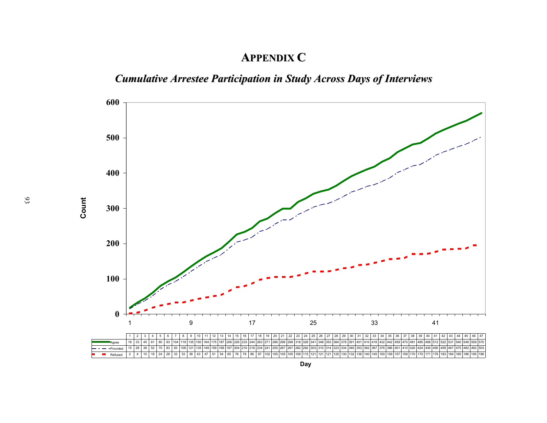## **APPENDIX C**

# *Cumulative Arrestee Participation in Study Across Days of Interviews*

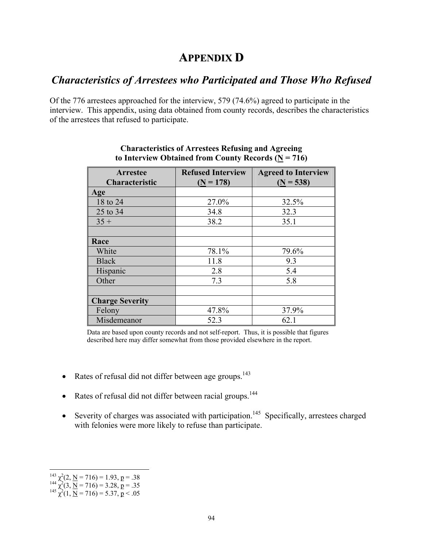## **APPENDIX D**

## *Characteristics of Arrestees who Participated and Those Who Refused*

Of the 776 arrestees approached for the interview, 579 (74.6%) agreed to participate in the interview. This appendix, using data obtained from county records, describes the characteristics of the arrestees that refused to participate.

| <b>Arrestee</b><br>Characteristic | <b>Refused Interview</b><br>$(N = 178)$ | <b>Agreed to Interview</b><br>$(N = 538)$ |
|-----------------------------------|-----------------------------------------|-------------------------------------------|
| Age                               |                                         |                                           |
| 18 to 24                          | 27.0%                                   | 32.5%                                     |
| 25 to 34                          | 34.8                                    | 32.3                                      |
| $35 +$                            | 38.2                                    | 35.1                                      |
|                                   |                                         |                                           |
| Race                              |                                         |                                           |
| White                             | 78.1%                                   | 79.6%                                     |
| <b>Black</b>                      | 11.8                                    | 9.3                                       |
| Hispanic                          | 2.8                                     | 5.4                                       |
| Other                             | 7.3                                     | 5.8                                       |
|                                   |                                         |                                           |
| <b>Charge Severity</b>            |                                         |                                           |
| Felony                            | 47.8%                                   | 37.9%                                     |
| Misdemeanor                       | 52.3                                    | 62.1                                      |

#### **Characteristics of Arrestees Refusing and Agreeing to Interview Obtained from County Records (N = 716)**

Data are based upon county records and not self-report. Thus, it is possible that figures described here may differ somewhat from those provided elsewhere in the report.

- Rates of refusal did not differ between age groups. $143$
- Rates of refusal did not differ between racial groups. $144$
- Severity of charges was associated with participation.<sup>145</sup> Specifically, arrestees charged with felonies were more likely to refuse than participate.

 $\overline{a}$ 

<sup>&</sup>lt;sup>143</sup>  $\chi^2$ (2, <u>N</u> = 716) = 1.93, <u>p</u> = .38<br><sup>144</sup>  $\chi^2$ (3, <u>N</u> = 716) = 3.28, <u>p</u> = .35<br><sup>145</sup>  $\chi^2$ (1, <u>N</u> = 716) = 5.37, <u>p</u> < .05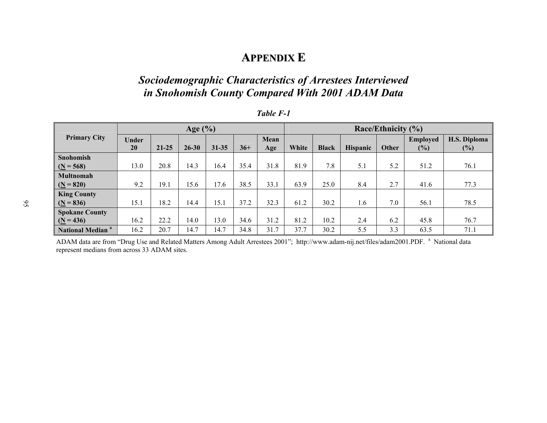## **APPENDIX E**

## *Sociodemographic Characteristics of Arrestees Interviewed in Snohomish County Compared With 2001 ADAM Data*

|                                    | Age $(\% )$ |           |           |           |       | Race/Ethnicity (%) |       |              |                 |       |                 |              |
|------------------------------------|-------------|-----------|-----------|-----------|-------|--------------------|-------|--------------|-----------------|-------|-----------------|--------------|
| <b>Primary City</b>                | Under       |           |           |           |       | Mean               |       |              |                 |       | <b>Employed</b> | H.S. Diploma |
|                                    | <b>20</b>   | $21 - 25$ | $26 - 30$ | $31 - 35$ | $36+$ | Age                | White | <b>Black</b> | <b>Hispanic</b> | Other | (%)             | $(\%)$       |
| Snohomish                          |             |           |           |           |       |                    |       |              |                 |       |                 |              |
| $(N = 568)$                        | 13.0        | 20.8      | 14.3      | 16.4      | 35.4  | 31.8               | 81.9  | 7.8          | 5.1             | 5.2   | 51.2            | 76.1         |
| <b>Multnomah</b>                   |             |           |           |           |       |                    |       |              |                 |       |                 |              |
| $(N = 820)$                        | 9.2         | 19.1      | 15.6      | 17.6      | 38.5  | 33.1               | 63.9  | 25.0         | 8.4             | 2.7   | 41.6            | 77.3         |
| <b>King County</b>                 |             |           |           |           |       |                    |       |              |                 |       |                 |              |
| $(N = 836)$                        | 15.1        | 18.2      | 14.4      | 15.1      | 37.2  | 32.3               | 61.2  | 30.2         | 1.6             | 7.0   | 56.1            | 78.5         |
| <b>Spokane County</b>              |             |           |           |           |       |                    |       |              |                 |       |                 |              |
| $(N = 436)$                        | 16.2        | 22.2      | 14.0      | 13.0      | 34.6  | 31.2               | 81.2  | 10.2         | 2.4             | 6.2   | 45.8            | 76.7         |
| <b>National Median<sup>a</sup></b> | 16.2        | 20.7      | 14.7      | 14.7      | 34.8  | 31.7               | 37.7  | 30.2         | 5.5             | 3.3   | 63.5            | 71.1         |

#### *Table F-1*

ADAM data are from "Drug Use and Related Matters Among Adult Arrestees 2001"; http://www.adam-nij.net/files/adam2001.PDF. <sup>a</sup> National data represent medians from across 33 ADAM sites.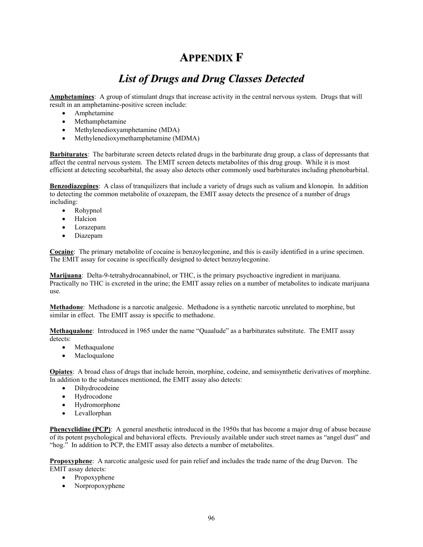## **APPENDIX F**

## *List of Drugs and Drug Classes Detected*

**Amphetamines**: A group of stimulant drugs that increase activity in the central nervous system. Drugs that will result in an amphetamine-positive screen include:

- Amphetamine
- Methamphetamine
- Methylenedioxyamphetamine (MDA)
- Methylenedioxymethamphetamine (MDMA)

**Barbiturates**: The barbiturate screen detects related drugs in the barbiturate drug group, a class of depressants that affect the central nervous system. The EMIT screen detects metabolites of this drug group. While it is most efficient at detecting secobarbital, the assay also detects other commonly used barbiturates including phenobarbital.

**Benzodiazepines**: A class of tranquilizers that include a variety of drugs such as valium and klonopin. In addition to detecting the common metabolite of oxazepam, the EMIT assay detects the presence of a number of drugs including:

- Rohypnol
- Halcion
- Lorazepam
- Diazepam

**Cocaine**: The primary metabolite of cocaine is benzoylecgonine, and this is easily identified in a urine specimen. The EMIT assay for cocaine is specifically designed to detect benzoylecgonine.

**Marijuana**: Delta-9-tetrahydrocannabinol, or THC, is the primary psychoactive ingredient in marijuana. Practically no THC is excreted in the urine; the EMIT assay relies on a number of metabolites to indicate marijuana use.

**Methadone**: Methadone is a narcotic analgesic. Methadone is a synthetic narcotic unrelated to morphine, but similar in effect. The EMIT assay is specific to methadone.

**Methaqualone**: Introduced in 1965 under the name "Quaalude" as a barbiturates substitute. The EMIT assay detects:

- Methaqualone
- **Macloqualone**

**Opiates**: A broad class of drugs that include heroin, morphine, codeine, and semisynthetic derivatives of morphine. In addition to the substances mentioned, the EMIT assay also detects:

- Dihydrocodeine
- Hydrocodone
- Hydromorphone
- Levallorphan

**Phencyclidine (PCP)**: A general anesthetic introduced in the 1950s that has become a major drug of abuse because of its potent psychological and behavioral effects. Previously available under such street names as "angel dust" and "hog." In addition to PCP, the EMIT assay also detects a number of metabolites.

**Propoxyphene**: A narcotic analgesic used for pain relief and includes the trade name of the drug Darvon. The EMIT assay detects:

- Propoxyphene
- Norpropoxyphene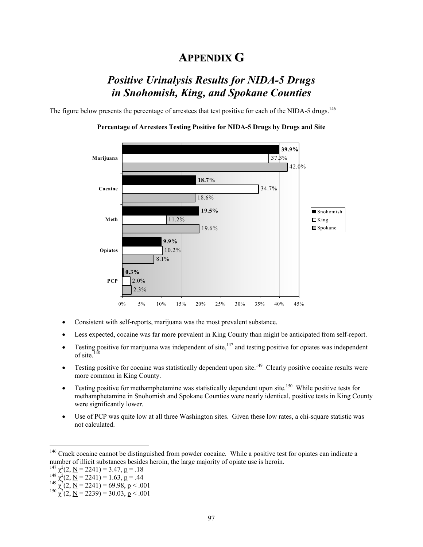### **APPENDIX G**

## *Positive Urinalysis Results for NIDA-5 Drugs in Snohomish, King, and Spokane Counties*

The figure below presents the percentage of arrestees that test positive for each of the NIDA-5 drugs.<sup>146</sup>



#### **Percentage of Arrestees Testing Positive for NIDA-5 Drugs by Drugs and Site**

- Consistent with self-reports, marijuana was the most prevalent substance.
- Less expected, cocaine was far more prevalent in King County than might be anticipated from self-report.
- Testing positive for marijuana was independent of site, $147$  and testing positive for opiates was independent of site.
- Testing positive for cocaine was statistically dependent upon site.<sup>149</sup> Clearly positive cocaine results were more common in King County.
- Testing positive for methamphetamine was statistically dependent upon site.<sup>150</sup> While positive tests for methamphetamine in Snohomish and Spokane Counties were nearly identical, positive tests in King County were significantly lower.
- Use of PCP was quite low at all three Washington sites. Given these low rates, a chi-square statistic was not calculated.

 $\overline{a}$ 

<sup>&</sup>lt;sup>146</sup> Crack cocaine cannot be distinguished from powder cocaine. While a positive test for opiates can indicate a number of illicit substances besides heroin, the large majority of opiate use is heroin.

<sup>&</sup>lt;sup>147</sup>  $\chi^2(2, \underline{N} = 2241) = 3.47, \underline{p} = .18$ <br>
<sup>148</sup>  $\chi^2(2, \underline{N} = 2241) = 1.63, \underline{p} = .44$ <br>
<sup>149</sup>  $\chi^2(2, \underline{N} = 2241) = 69.98, \underline{p} < .001$ <br>
<sup>150</sup>  $\chi^2(2, \underline{N} = 2239) = 30.03, \underline{p} < .001$